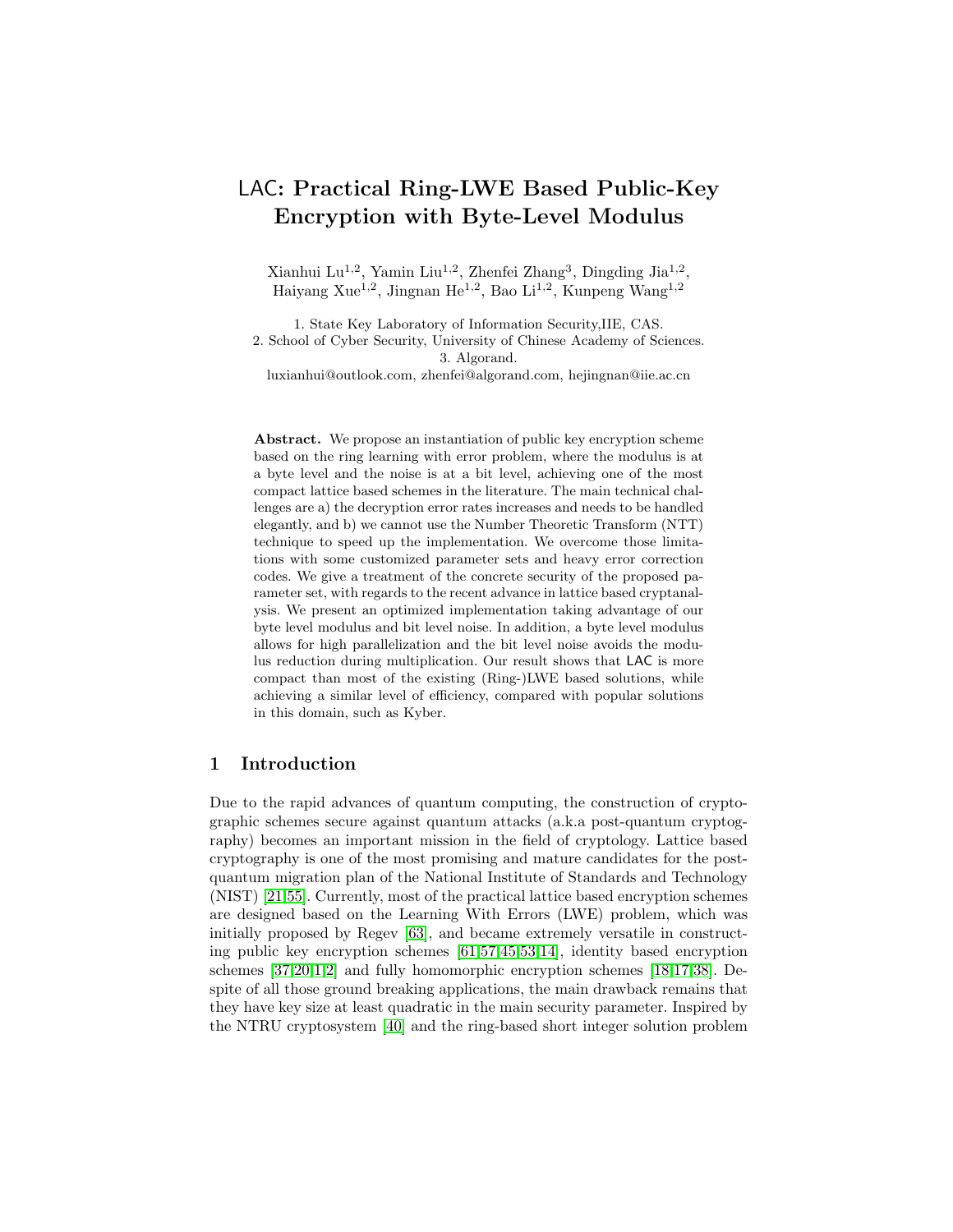# LAC: Practical Ring-LWE Based Public-Key Encryption with Byte-Level Modulus

Xianhui Lu<sup>1,2</sup>, Yamin Liu<sup>1,2</sup>, Zhenfei Zhang<sup>3</sup>, Dingding Jia<sup>1,2</sup>, Haiyang Xue<sup>1,2</sup>, Jingnan He<sup>1,2</sup>, Bao Li<sup>1,2</sup>, Kunpeng Wang<sup>1,2</sup>

1. State Key Laboratory of Information Security,IIE, CAS. 2. School of Cyber Security, University of Chinese Academy of Sciences. 3. Algorand. luxianhui@outlook.com, zhenfei@algorand.com, hejingnan@iie.ac.cn

Abstract. We propose an instantiation of public key encryption scheme based on the ring learning with error problem, where the modulus is at a byte level and the noise is at a bit level, achieving one of the most compact lattice based schemes in the literature. The main technical challenges are a) the decryption error rates increases and needs to be handled elegantly, and b) we cannot use the Number Theoretic Transform (NTT) technique to speed up the implementation. We overcome those limitations with some customized parameter sets and heavy error correction codes. We give a treatment of the concrete security of the proposed parameter set, with regards to the recent advance in lattice based cryptanalysis. We present an optimized implementation taking advantage of our byte level modulus and bit level noise. In addition, a byte level modulus allows for high parallelization and the bit level noise avoids the modulus reduction during multiplication. Our result shows that LAC is more compact than most of the existing (Ring-)LWE based solutions, while achieving a similar level of efficiency, compared with popular solutions in this domain, such as Kyber.

## 1 Introduction

Due to the rapid advances of quantum computing, the construction of cryptographic schemes secure against quantum attacks (a.k.a post-quantum cryptography) becomes an important mission in the field of cryptology. Lattice based cryptography is one of the most promising and mature candidates for the postquantum migration plan of the National Institute of Standards and Technology (NIST) [\[21,](#page-31-0)[55\]](#page-33-0). Currently, most of the practical lattice based encryption schemes are designed based on the Learning With Errors (LWE) problem, which was initially proposed by Regev [\[63\]](#page-34-0), and became extremely versatile in constructing public key encryption schemes [\[61,](#page-34-1)[57,](#page-33-1)[45,](#page-33-2)[53,](#page-33-3)[14\]](#page-30-0), identity based encryption schemes [\[37](#page-32-0)[,20,](#page-31-1)[1,](#page-29-0)[2\]](#page-29-1) and fully homomorphic encryption schemes [\[18,](#page-31-2)[17,](#page-31-3)[38\]](#page-32-1). Despite of all those ground breaking applications, the main drawback remains that they have key size at least quadratic in the main security parameter. Inspired by the NTRU cryptosystem [\[40\]](#page-32-2) and the ring-based short integer solution problem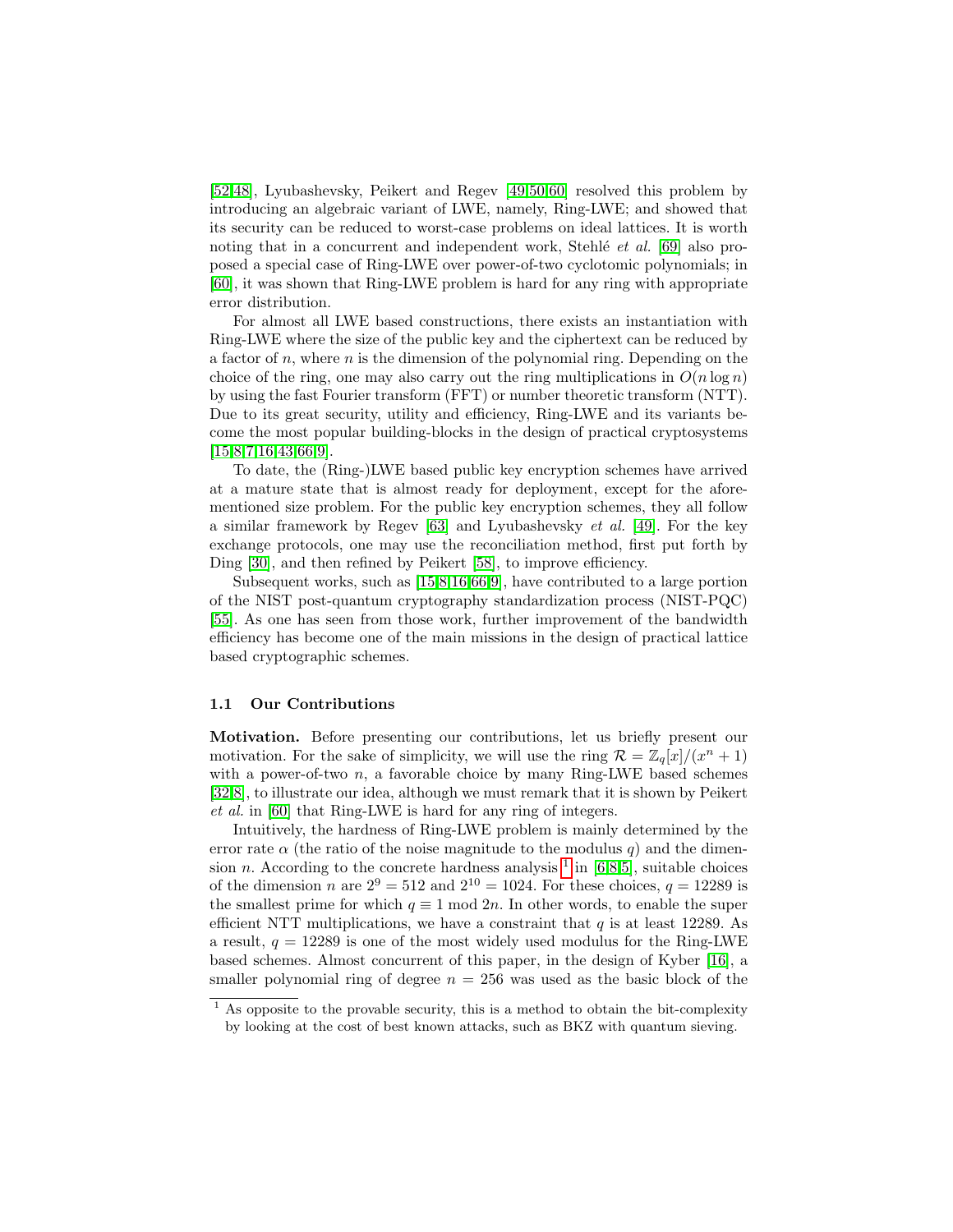[\[52](#page-33-4)[,48\]](#page-33-5), Lyubashevsky, Peikert and Regev [\[49](#page-33-6)[,50,](#page-33-7)[60\]](#page-33-8) resolved this problem by introducing an algebraic variant of LWE, namely, Ring-LWE; and showed that its security can be reduced to worst-case problems on ideal lattices. It is worth noting that in a concurrent and independent work, Stehlé et al.  $[69]$  also proposed a special case of Ring-LWE over power-of-two cyclotomic polynomials; in [\[60\]](#page-33-8), it was shown that Ring-LWE problem is hard for any ring with appropriate error distribution.

For almost all LWE based constructions, there exists an instantiation with Ring-LWE where the size of the public key and the ciphertext can be reduced by a factor of  $n$ , where  $n$  is the dimension of the polynomial ring. Depending on the choice of the ring, one may also carry out the ring multiplications in  $O(n \log n)$ by using the fast Fourier transform (FFT) or number theoretic transform (NTT). Due to its great security, utility and efficiency, Ring-LWE and its variants become the most popular building-blocks in the design of practical cryptosystems  $[15,8,7,16,43,66,9]$  $[15,8,7,16,43,66,9]$  $[15,8,7,16,43,66,9]$  $[15,8,7,16,43,66,9]$  $[15,8,7,16,43,66,9]$  $[15,8,7,16,43,66,9]$  $[15,8,7,16,43,66,9]$ .

To date, the (Ring-)LWE based public key encryption schemes have arrived at a mature state that is almost ready for deployment, except for the aforementioned size problem. For the public key encryption schemes, they all follow a similar framework by Regev [\[63\]](#page-34-0) and Lyubashevsky et al. [\[49\]](#page-33-6). For the key exchange protocols, one may use the reconciliation method, first put forth by Ding [\[30\]](#page-31-4), and then refined by Peikert [\[58\]](#page-33-9), to improve efficiency.

Subsequent works, such as [\[15,](#page-30-1)[8](#page-30-2)[,16,](#page-30-4)[66,](#page-34-3)[9\]](#page-30-5), have contributed to a large portion of the NIST post-quantum cryptography standardization process (NIST-PQC) [\[55\]](#page-33-0). As one has seen from those work, further improvement of the bandwidth efficiency has become one of the main missions in the design of practical lattice based cryptographic schemes.

#### 1.1 Our Contributions

Motivation. Before presenting our contributions, let us briefly present our motivation. For the sake of simplicity, we will use the ring  $\mathcal{R} = \mathbb{Z}_q[x]/(x^n + 1)$ with a power-of-two  $n$ , a favorable choice by many Ring-LWE based schemes [\[32](#page-32-4)[,8\]](#page-30-2), to illustrate our idea, although we must remark that it is shown by Peikert et al. in [\[60\]](#page-33-8) that Ring-LWE is hard for any ring of integers.

Intuitively, the hardness of Ring-LWE problem is mainly determined by the error rate  $\alpha$  (the ratio of the noise magnitude to the modulus q) and the dimension *n*. According to the concrete hardness analysis  $\frac{1}{1}$  $\frac{1}{1}$  $\frac{1}{1}$  in [\[6,](#page-30-6)[8](#page-30-2)[,5\]](#page-30-7), suitable choices of the dimension n are  $2^9 = 512$  and  $2^{10} = 1024$ . For these choices,  $q = 12289$  is the smallest prime for which  $q \equiv 1 \mod 2n$ . In other words, to enable the super efficient NTT multiplications, we have a constraint that  $q$  is at least 12289. As a result,  $q = 12289$  is one of the most widely used modulus for the Ring-LWE based schemes. Almost concurrent of this paper, in the design of Kyber [\[16\]](#page-30-4), a smaller polynomial ring of degree  $n = 256$  was used as the basic block of the

<span id="page-1-0"></span> $<sup>1</sup>$  As opposite to the provable security, this is a method to obtain the bit-complexity</sup> by looking at the cost of best known attacks, such as BKZ with quantum sieving.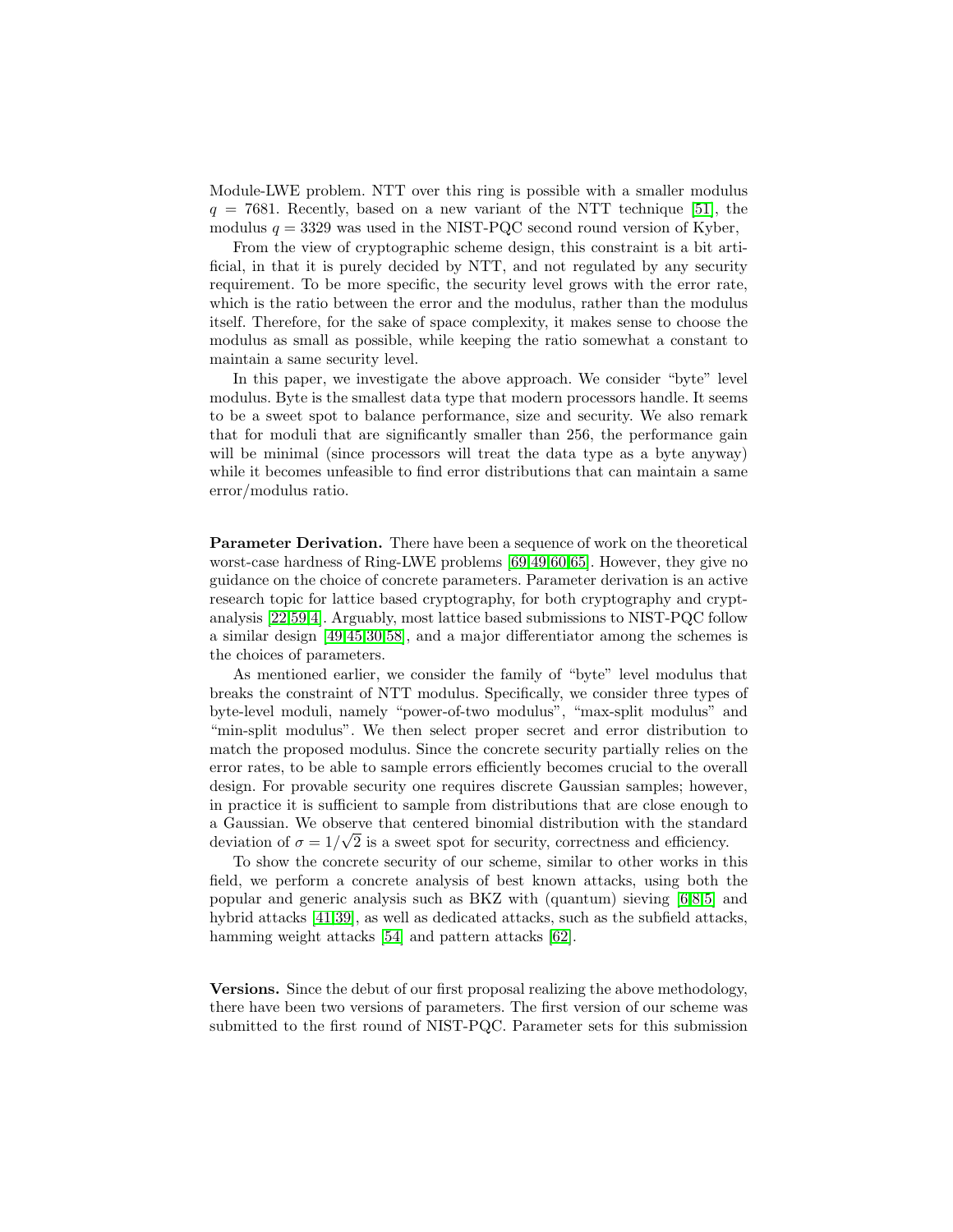Module-LWE problem. NTT over this ring is possible with a smaller modulus  $q = 7681$ . Recently, based on a new variant of the NTT technique [\[51\]](#page-33-10), the modulus  $q = 3329$  was used in the NIST-PQC second round version of Kyber,

From the view of cryptographic scheme design, this constraint is a bit artificial, in that it is purely decided by NTT, and not regulated by any security requirement. To be more specific, the security level grows with the error rate, which is the ratio between the error and the modulus, rather than the modulus itself. Therefore, for the sake of space complexity, it makes sense to choose the modulus as small as possible, while keeping the ratio somewhat a constant to maintain a same security level.

In this paper, we investigate the above approach. We consider "byte" level modulus. Byte is the smallest data type that modern processors handle. It seems to be a sweet spot to balance performance, size and security. We also remark that for moduli that are significantly smaller than 256, the performance gain will be minimal (since processors will treat the data type as a byte anyway) while it becomes unfeasible to find error distributions that can maintain a same error/modulus ratio.

Parameter Derivation. There have been a sequence of work on the theoretical worst-case hardness of Ring-LWE problems [\[69](#page-34-2)[,49,](#page-33-6)[60,](#page-33-8)[65\]](#page-34-4). However, they give no guidance on the choice of concrete parameters. Parameter derivation is an active research topic for lattice based cryptography, for both cryptography and cryptanalysis [\[22](#page-31-5)[,59,](#page-33-11)[4\]](#page-30-8). Arguably, most lattice based submissions to NIST-PQC follow a similar design [\[49,](#page-33-6)[45,](#page-33-2)[30,](#page-31-4)[58\]](#page-33-9), and a major differentiator among the schemes is the choices of parameters.

As mentioned earlier, we consider the family of "byte" level modulus that breaks the constraint of NTT modulus. Specifically, we consider three types of byte-level moduli, namely "power-of-two modulus", "max-split modulus" and "min-split modulus". We then select proper secret and error distribution to match the proposed modulus. Since the concrete security partially relies on the error rates, to be able to sample errors efficiently becomes crucial to the overall design. For provable security one requires discrete Gaussian samples; however, in practice it is sufficient to sample from distributions that are close enough to a Gaussian. We observe that centered binomial distribution with the standard √ deviation of  $\sigma = 1/\sqrt{2}$  is a sweet spot for security, correctness and efficiency.

To show the concrete security of our scheme, similar to other works in this field, we perform a concrete analysis of best known attacks, using both the popular and generic analysis such as BKZ with (quantum) sieving [\[6,](#page-30-6)[8,](#page-30-2)[5\]](#page-30-7) and hybrid attacks [\[41,](#page-32-5)[39\]](#page-32-6), as well as dedicated attacks, such as the subfield attacks, hamming weight attacks [\[54\]](#page-33-12) and pattern attacks [\[62\]](#page-34-5).

Versions. Since the debut of our first proposal realizing the above methodology, there have been two versions of parameters. The first version of our scheme was submitted to the first round of NIST-PQC. Parameter sets for this submission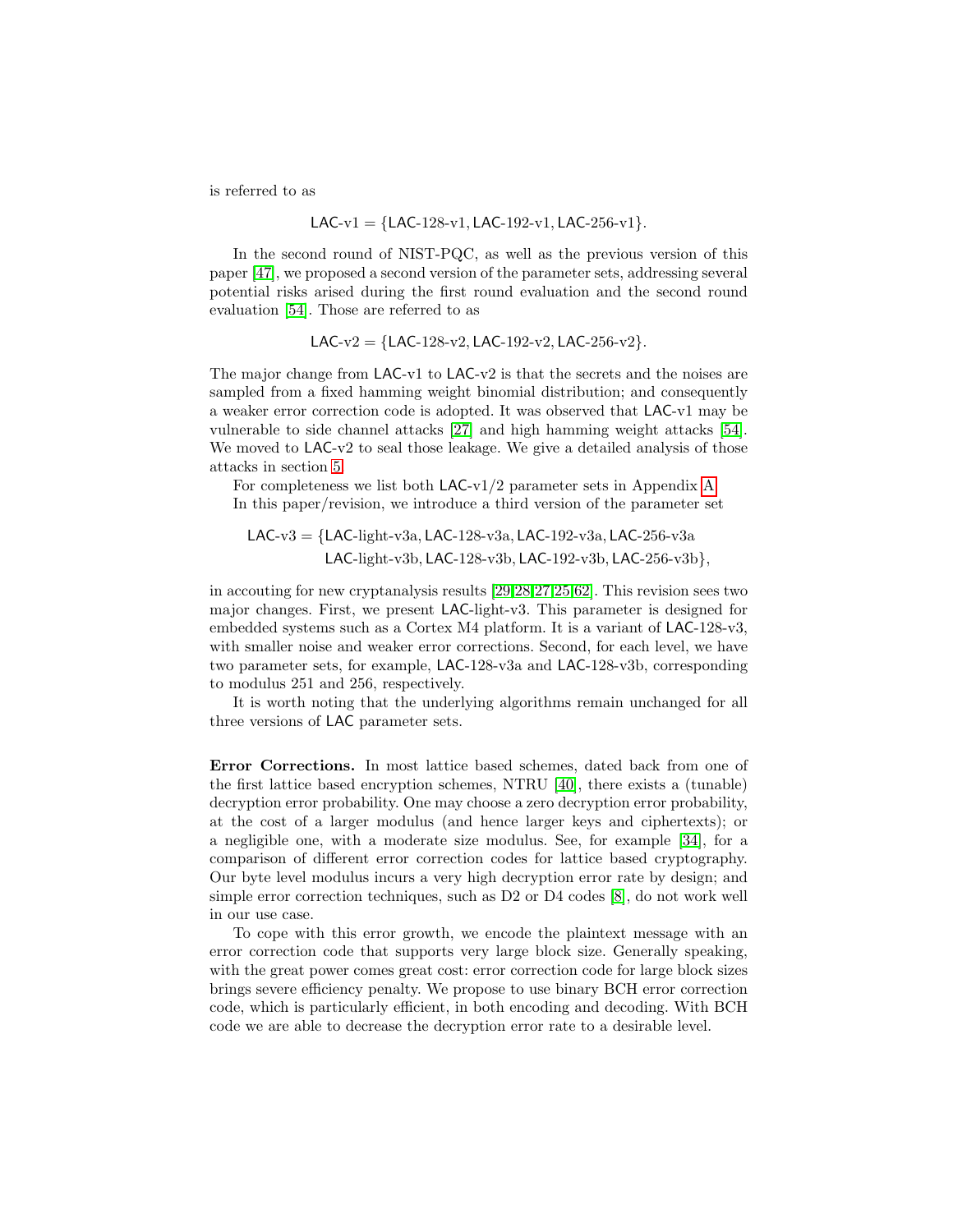is referred to as

$$
LAC-v1 = \{LAC-128-v1, LAC-192-v1, LAC-256-v1\}.
$$

In the second round of NIST-PQC, as well as the previous version of this paper [\[47\]](#page-33-13), we proposed a second version of the parameter sets, addressing several potential risks arised during the first round evaluation and the second round evaluation [\[54\]](#page-33-12). Those are referred to as

LAC-v2 = {LAC-128-v2, LAC-192-v2, LAC-256-v2}.

The major change from LAC-v1 to LAC-v2 is that the secrets and the noises are sampled from a fixed hamming weight binomial distribution; and consequently a weaker error correction code is adopted. It was observed that LAC-v1 may be vulnerable to side channel attacks [\[27\]](#page-31-6) and high hamming weight attacks [\[54\]](#page-33-12). We moved to LAC-v2 to seal those leakage. We give a detailed analysis of those attacks in section [5.](#page-16-0)

For completeness we list both LAC-v1/2 parameter sets in Appendix [A.](#page-34-6) In this paper/revision, we introduce a third version of the parameter set

LAC-v3 = {LAC-light-v3a, LAC-128-v3a, LAC-192-v3a, LAC-256-v3a LAC-light-v3b, LAC-128-v3b, LAC-192-v3b, LAC-256-v3b},

in accouting for new cryptanalysis results [\[29,](#page-31-7)[28,](#page-31-8)[27,](#page-31-6)[25,](#page-31-9)[62\]](#page-34-5). This revision sees two major changes. First, we present LAC-light-v3. This parameter is designed for embedded systems such as a Cortex M4 platform. It is a variant of LAC-128-v3, with smaller noise and weaker error corrections. Second, for each level, we have two parameter sets, for example, LAC-128-v3a and LAC-128-v3b, corresponding to modulus 251 and 256, respectively.

It is worth noting that the underlying algorithms remain unchanged for all three versions of LAC parameter sets.

Error Corrections. In most lattice based schemes, dated back from one of the first lattice based encryption schemes, NTRU [\[40\]](#page-32-2), there exists a (tunable) decryption error probability. One may choose a zero decryption error probability, at the cost of a larger modulus (and hence larger keys and ciphertexts); or a negligible one, with a moderate size modulus. See, for example [\[34\]](#page-32-7), for a comparison of different error correction codes for lattice based cryptography. Our byte level modulus incurs a very high decryption error rate by design; and simple error correction techniques, such as D2 or D4 codes [\[8\]](#page-30-2), do not work well in our use case.

To cope with this error growth, we encode the plaintext message with an error correction code that supports very large block size. Generally speaking, with the great power comes great cost: error correction code for large block sizes brings severe efficiency penalty. We propose to use binary BCH error correction code, which is particularly efficient, in both encoding and decoding. With BCH code we are able to decrease the decryption error rate to a desirable level.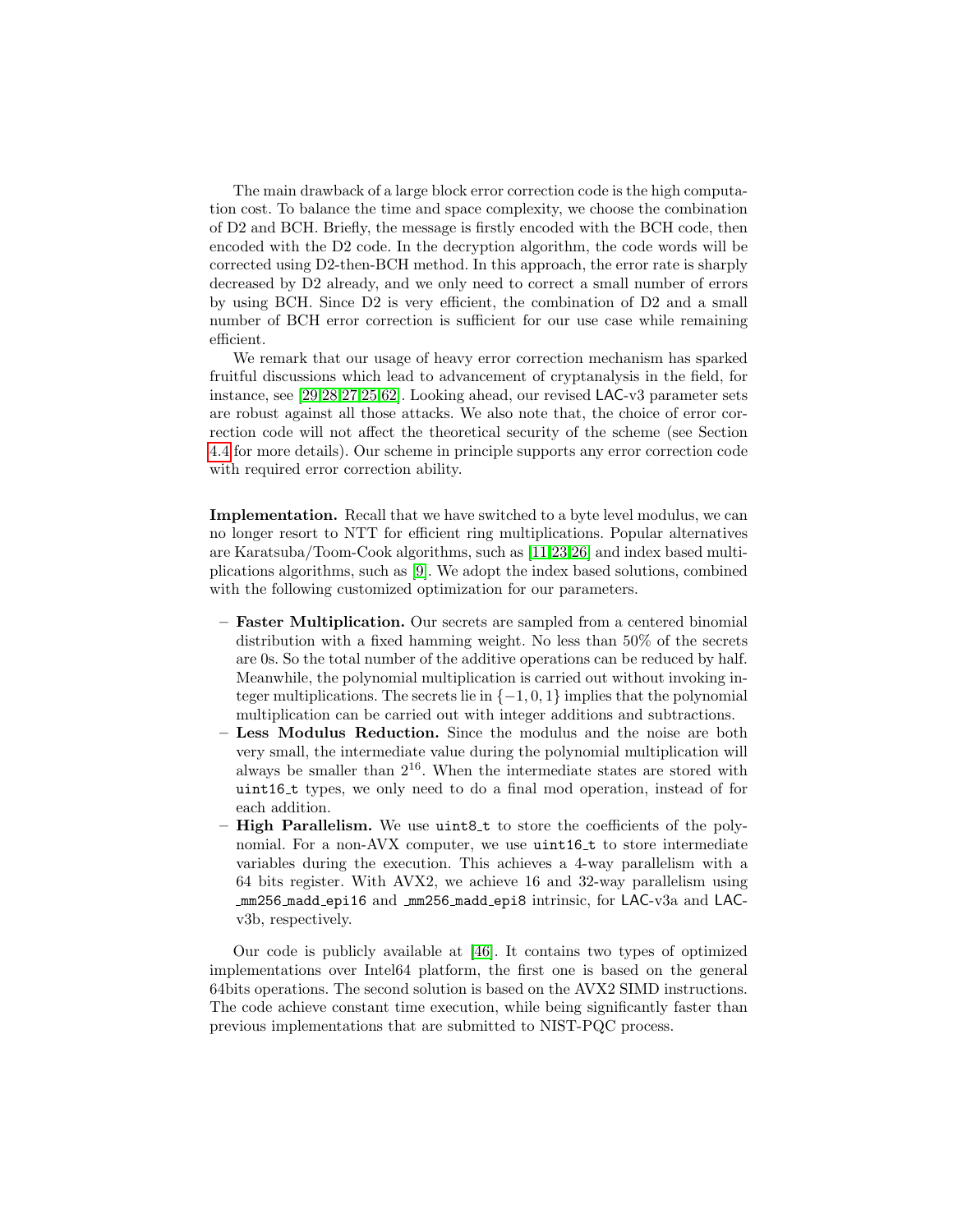The main drawback of a large block error correction code is the high computation cost. To balance the time and space complexity, we choose the combination of D2 and BCH. Briefly, the message is firstly encoded with the BCH code, then encoded with the D2 code. In the decryption algorithm, the code words will be corrected using D2-then-BCH method. In this approach, the error rate is sharply decreased by D2 already, and we only need to correct a small number of errors by using BCH. Since D2 is very efficient, the combination of D2 and a small number of BCH error correction is sufficient for our use case while remaining efficient.

We remark that our usage of heavy error correction mechanism has sparked fruitful discussions which lead to advancement of cryptanalysis in the field, for instance, see [\[29](#page-31-7)[,28,](#page-31-8)[27,](#page-31-6)[25](#page-31-9)[,62\]](#page-34-5). Looking ahead, our revised LAC-v3 parameter sets are robust against all those attacks. We also note that, the choice of error correction code will not affect the theoretical security of the scheme (see Section [4.4](#page-14-0) for more details). Our scheme in principle supports any error correction code with required error correction ability.

Implementation. Recall that we have switched to a byte level modulus, we can no longer resort to NTT for efficient ring multiplications. Popular alternatives are Karatsuba/Toom-Cook algorithms, such as [\[11,](#page-30-9)[23,](#page-31-10)[26\]](#page-31-11) and index based multiplications algorithms, such as [\[9\]](#page-30-5). We adopt the index based solutions, combined with the following customized optimization for our parameters.

- Faster Multiplication. Our secrets are sampled from a centered binomial distribution with a fixed hamming weight. No less than 50% of the secrets are 0s. So the total number of the additive operations can be reduced by half. Meanwhile, the polynomial multiplication is carried out without invoking integer multiplications. The secrets lie in  $\{-1,0,1\}$  implies that the polynomial multiplication can be carried out with integer additions and subtractions.
- Less Modulus Reduction. Since the modulus and the noise are both very small, the intermediate value during the polynomial multiplication will always be smaller than 216. When the intermediate states are stored with uint16 t types, we only need to do a final mod operation, instead of for each addition.
- $-$  High Parallelism. We use uintest to store the coefficients of the polynomial. For a non-AVX computer, we use uint16<sub>-t</sub> to store intermediate variables during the execution. This achieves a 4-way parallelism with a 64 bits register. With AVX2, we achieve 16 and 32-way parallelism using mm256 madd epi16 and mm256 madd epi8 intrinsic, for LAC-v3a and LACv3b, respectively.

Our code is publicly available at [\[46\]](#page-33-14). It contains two types of optimized implementations over Intel64 platform, the first one is based on the general 64bits operations. The second solution is based on the AVX2 SIMD instructions. The code achieve constant time execution, while being significantly faster than previous implementations that are submitted to NIST-PQC process.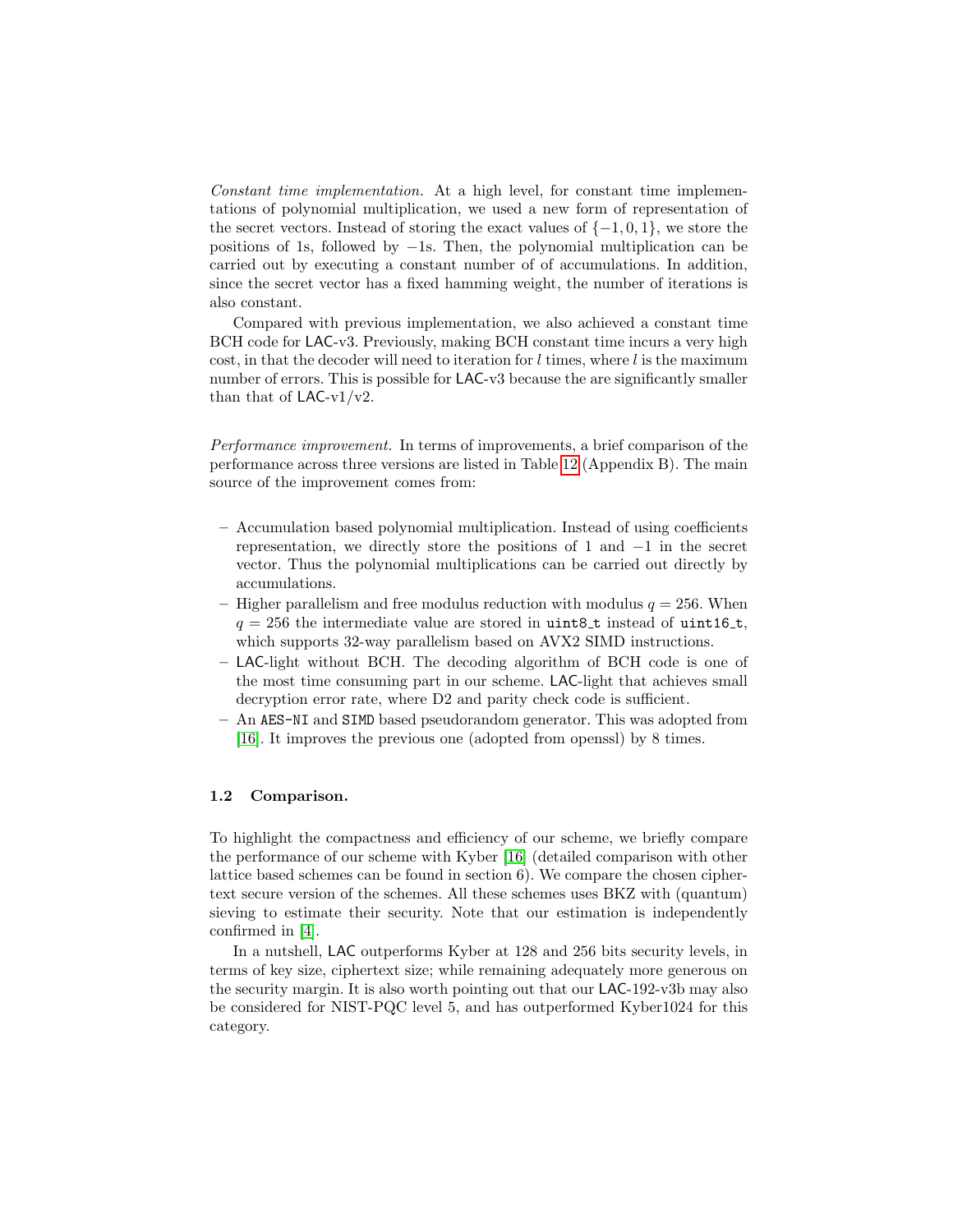Constant time implementation. At a high level, for constant time implementations of polynomial multiplication, we used a new form of representation of the secret vectors. Instead of storing the exact values of  $\{-1,0,1\}$ , we store the positions of 1s, followed by −1s. Then, the polynomial multiplication can be carried out by executing a constant number of of accumulations. In addition, since the secret vector has a fixed hamming weight, the number of iterations is also constant.

Compared with previous implementation, we also achieved a constant time BCH code for LAC-v3. Previously, making BCH constant time incurs a very high cost, in that the decoder will need to iteration for  $l$  times, where  $l$  is the maximum number of errors. This is possible for LAC-v3 because the are significantly smaller than that of  $LAC-v1/v2$ .

Performance improvement. In terms of improvements, a brief comparison of the performance across three versions are listed in Table [12](#page-35-0) (Appendix B). The main source of the improvement comes from:

- Accumulation based polynomial multiplication. Instead of using coefficients representation, we directly store the positions of 1 and  $-1$  in the secret vector. Thus the polynomial multiplications can be carried out directly by accumulations.
- Higher parallelism and free modulus reduction with modulus  $q = 256$ . When  $q = 256$  the intermediate value are stored in uint8<sub>-t</sub> instead of uint16<sub>-t</sub>, which supports 32-way parallelism based on AVX2 SIMD instructions.
- LAC-light without BCH. The decoding algorithm of BCH code is one of the most time consuming part in our scheme. LAC-light that achieves small decryption error rate, where D2 and parity check code is sufficient.
- An AES-NI and SIMD based pseudorandom generator. This was adopted from [\[16\]](#page-30-4). It improves the previous one (adopted from openssl) by 8 times.

## 1.2 Comparison.

To highlight the compactness and efficiency of our scheme, we briefly compare the performance of our scheme with Kyber [\[16\]](#page-30-4) (detailed comparison with other lattice based schemes can be found in section 6). We compare the chosen ciphertext secure version of the schemes. All these schemes uses BKZ with (quantum) sieving to estimate their security. Note that our estimation is independently confirmed in [\[4\]](#page-30-8).

In a nutshell, LAC outperforms Kyber at 128 and 256 bits security levels, in terms of key size, ciphertext size; while remaining adequately more generous on the security margin. It is also worth pointing out that our LAC-192-v3b may also be considered for NIST-PQC level 5, and has outperformed Kyber1024 for this category.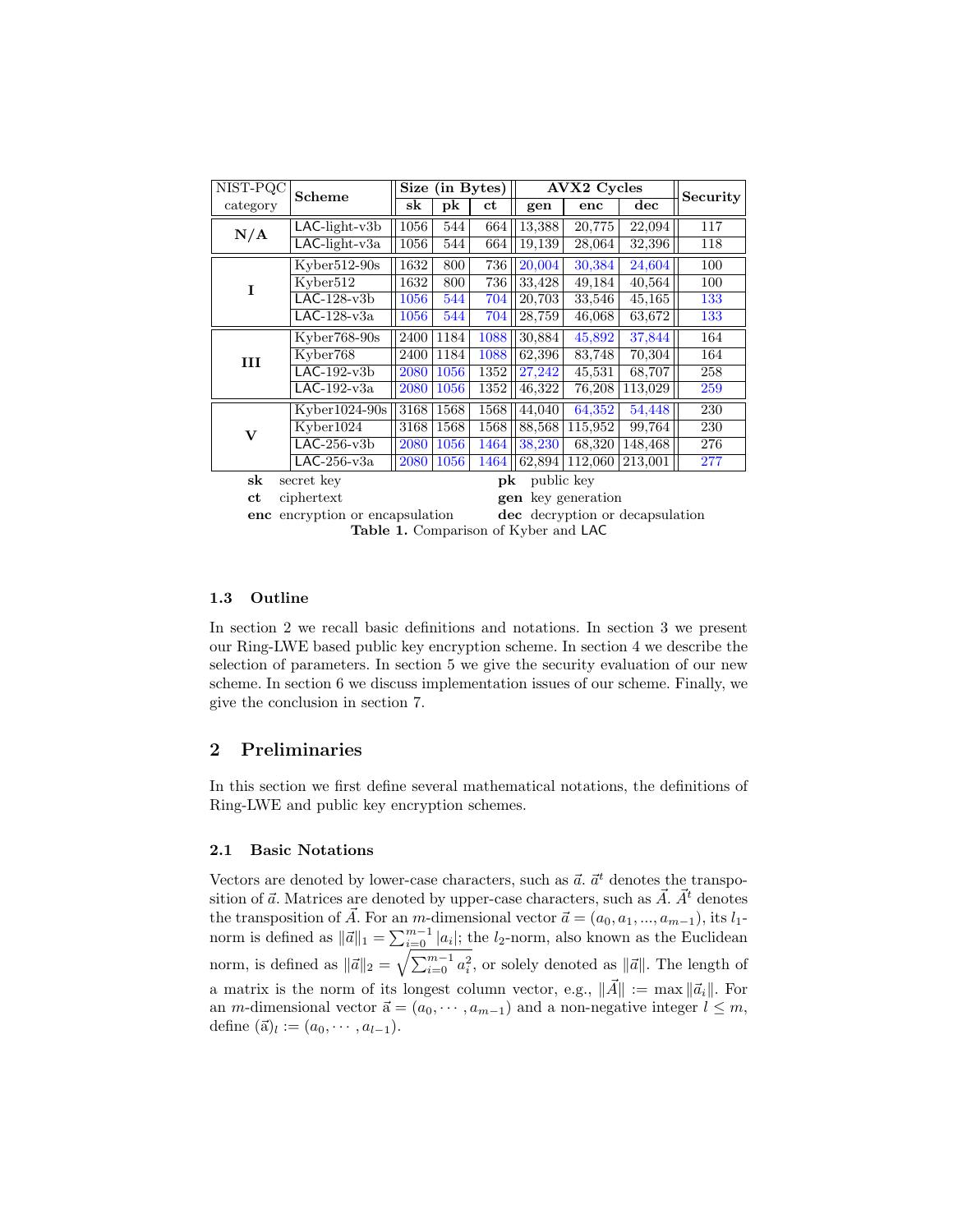| $\overline{\text{NIST-PQC}}$ | <b>Scheme</b>               |          | Size (in Bytes) |      |                                      | <b>AVX2</b> Cycles |                                 | Security |
|------------------------------|-----------------------------|----------|-----------------|------|--------------------------------------|--------------------|---------------------------------|----------|
| category                     |                             | sk       | pk              | ct   | gen                                  | enc                | $\rm{dec}$                      |          |
| N/A                          | $LAC$ -light-v $3b$         | 1056     | 544             | 664  | 13,388                               | 20,775             | 22,094                          | 117      |
|                              | $LAC$ -light-v $3a$         | $1056\,$ | 544             | 664  | 19,139                               | 28,064             | 32,396                          | 118      |
|                              | $Kvber512-90s$              | 1632     | 800             | 736  | 20,004                               | 30,384             | 24,604                          | 100      |
| I                            | Kyber512                    | 1632     | 800             | 736  | 33,428                               | 49,184             | 40,564                          | 100      |
|                              | $LAC-128-v3b$               | 1056     | 544             | 704  | 20,703                               | 33,546             | 45,165                          | 133      |
|                              | $LAC-128-v3a$               | 1056     | 544             | 704  | 28,759                               | 46,068             | 63,672                          | 133      |
|                              | $Kyber768-90s$              | 2400     | 1184            | 1088 | 30,884                               | 45,892             | 37,844                          | 164      |
| Ш                            | Kyber768                    | 2400     | 1184            | 1088 | 62,396                               | 83,748             | 70,304                          | 164      |
|                              | $LAC-192-v3b$               | 2080     | 1056            | 1352 | 27,242                               | 45,531             | 68,707                          | 258      |
|                              | $LAC-192-v3a$               | 2080     | 1056            | 1352 | 46,322                               | 76,208             | 113,029                         | 259      |
|                              | $Kvber1024-90s$             | 3168     | 1568            | 1568 | 44,040                               | 64,352             | 54,448                          | 230      |
| $\bf{V}$                     | Kyber1024                   | 3168     | 1568            | 1568 | 88,568                               | 115,952            | 99,764                          | 230      |
|                              | $LAC-256-v3b$               | 2080     | 1056            | 1464 | 38,230                               | 68,320             | 148,468                         | 276      |
|                              | $LAC-256-v3a$               | 2080     | 1056            | 1464 | 62,894                               | 112,060            | 213,001                         | 277      |
| sk                           | secret key                  |          |                 | pk   | public key                           |                    |                                 |          |
| ct                           | ciphertext                  |          |                 | gen  |                                      | key generation     |                                 |          |
| enc                          | encryption or encapsulation |          |                 |      |                                      |                    | dec decryption or decapsulation |          |
|                              |                             |          |                 |      | Table 1. Comparison of Kyber and LAC |                    |                                 |          |

### <span id="page-6-0"></span>1.3 Outline

In section 2 we recall basic definitions and notations. In section 3 we present our Ring-LWE based public key encryption scheme. In section 4 we describe the selection of parameters. In section 5 we give the security evaluation of our new scheme. In section 6 we discuss implementation issues of our scheme. Finally, we give the conclusion in section 7.

## 2 Preliminaries

In this section we first define several mathematical notations, the definitions of Ring-LWE and public key encryption schemes.

#### 2.1 Basic Notations

Vectors are denoted by lower-case characters, such as  $\vec{a}$ .  $\vec{a}^t$  denotes the transposition of  $\vec{a}$ . Matrices are denoted by upper-case characters, such as  $\vec{A}$ .  $\vec{A}^t$  denotes the transposition of  $\vec{A}$ . For an m-dimensional vector  $\vec{a} = (a_0, a_1, ..., a_{m-1}),$  its l<sub>1</sub>norm is defined as  $\|\vec{a}\|_1 = \sum_{i=0}^{m-1} |a_i|$ ; the *l*<sub>2</sub>-norm, also known as the Euclidean norm, is defined as  $\|\vec{a}\|_2 = \sqrt{\sum_{i=0}^{m-1} a_i^2}$ , or solely denoted as  $\|\vec{a}\|$ . The length of a matrix is the norm of its longest column vector, e.g.,  $\|\vec{A}\| := \max \|\vec{a}_i\|$ . For an *m*-dimensional vector  $\vec{a} = (a_0, \dots, a_{m-1})$  and a non-negative integer  $l \leq m$ , define  $(\vec{a})_l := (a_0, \cdots, a_{l-1}).$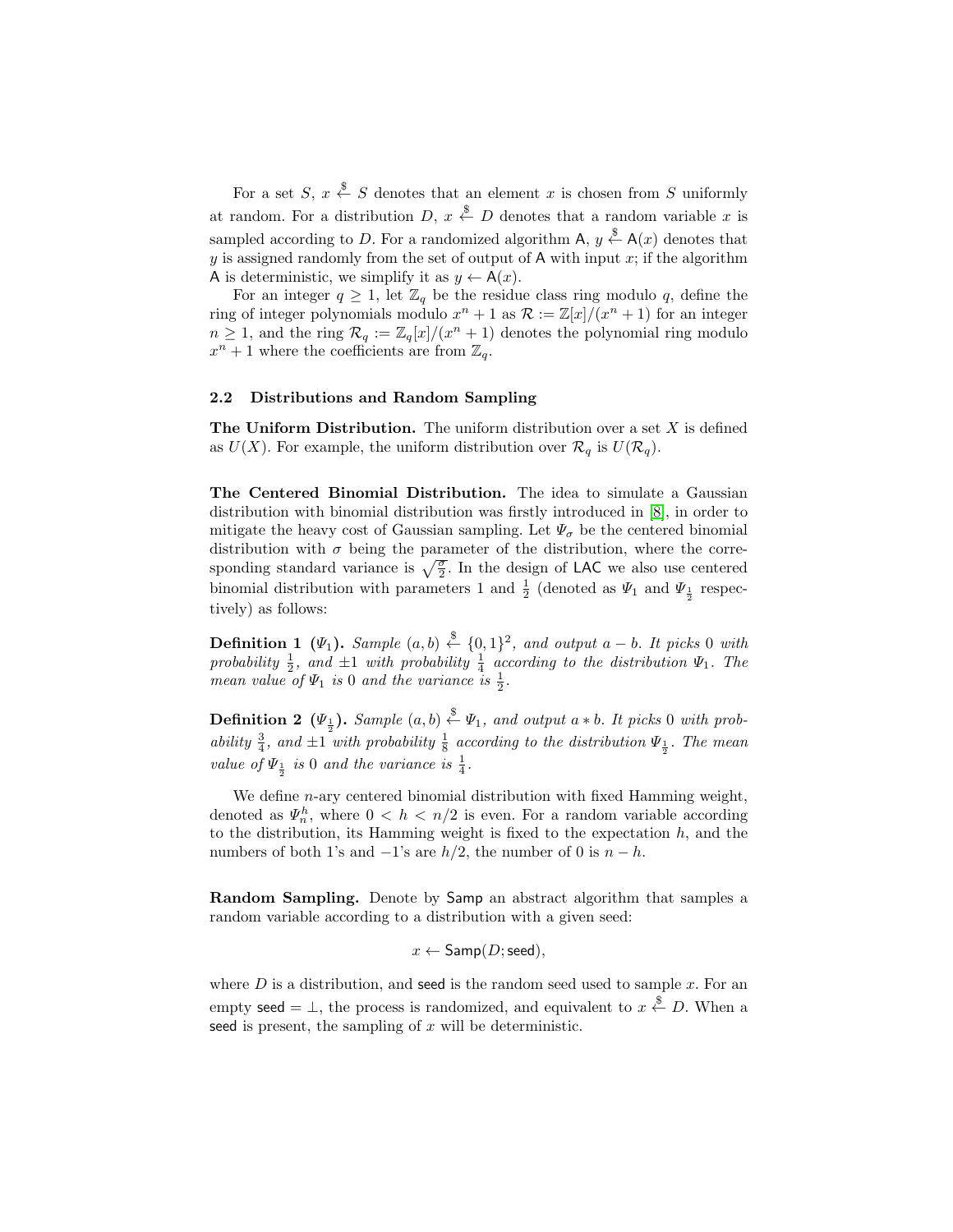For a set  $S, x \stackrel{\$}{\leftarrow} S$  denotes that an element x is chosen from S uniformly at random. For a distribution  $D, x \stackrel{\$}{\leftarrow} D$  denotes that a random variable x is sampled according to D. For a randomized algorithm  $\mathsf{A}, y \stackrel{\$}{\leftarrow} \mathsf{A}(x)$  denotes that y is assigned randomly from the set of output of A with input  $x$ ; if the algorithm A is deterministic, we simplify it as  $y \leftarrow A(x)$ .

For an integer  $q \geq 1$ , let  $\mathbb{Z}_q$  be the residue class ring modulo q, define the ring of integer polynomials modulo  $x^n + 1$  as  $\mathcal{R} := \mathbb{Z}[x]/(x^n + 1)$  for an integer  $n \geq 1$ , and the ring  $\mathcal{R}_q := \mathbb{Z}_q[x]/(x^n + 1)$  denotes the polynomial ring modulo  $x^n + 1$  where the coefficients are from  $\mathbb{Z}_q$ .

#### 2.2 Distributions and Random Sampling

The Uniform Distribution. The uniform distribution over a set  $X$  is defined as  $U(X)$ . For example, the uniform distribution over  $\mathcal{R}_q$  is  $U(\mathcal{R}_q)$ .

The Centered Binomial Distribution. The idea to simulate a Gaussian distribution with binomial distribution was firstly introduced in [\[8\]](#page-30-2), in order to mitigate the heavy cost of Gaussian sampling. Let  $\Psi_{\sigma}$  be the centered binomial distribution with  $\sigma$  being the parameter of the distribution, where the corresponding standard variance is  $\sqrt{\frac{\sigma}{2}}$ . In the design of LAC we also use centered binomial distribution with parameters 1 and  $\frac{1}{2}$  (denoted as  $\Psi_1$  and  $\Psi_{\frac{1}{2}}$  respectively) as follows:

**Definition 1** ( $\Psi_1$ ). Sample  $(a, b) \stackrel{\$}{\leftarrow} \{0, 1\}^2$ , and output  $a - b$ . It picks 0 with probability  $\frac{1}{2}$ , and  $\pm 1$  with probability  $\frac{1}{4}$  according to the distribution  $\Psi_1$ . The mean value of  $\Psi_1$  is 0 and the variance is  $\frac{1}{2}$ .

**Definition 2** ( $\Psi_{\frac{1}{2}}$ ). Sample  $(a, b) \stackrel{\$}{\leftarrow} \Psi_1$ , and output  $a * b$ . It picks 0 with probability  $\frac{3}{4}$ , and  $\pm 1$  with probability  $\frac{1}{8}$  according to the distribution  $\Psi_{\frac{1}{2}}$ . The mean value of  $\Psi_{\frac{1}{2}}$  is 0 and the variance is  $\frac{1}{4}$ .

We define  $n$ -ary centered binomial distribution with fixed Hamming weight, denoted as  $\Psi_n^h$ , where  $0 < h < n/2$  is even. For a random variable according to the distribution, its Hamming weight is fixed to the expectation  $h$ , and the numbers of both 1's and  $-1$ 's are  $h/2$ , the number of 0 is  $n - h$ .

Random Sampling. Denote by Samp an abstract algorithm that samples a random variable according to a distribution with a given seed:

$$
x \leftarrow \mathsf{Samp}(D;\mathsf{seed}),
$$

where  $D$  is a distribution, and seed is the random seed used to sample  $x$ . For an empty seed  $= \perp$ , the process is randomized, and equivalent to  $x \stackrel{\$}{\leftarrow} D$ . When a seed is present, the sampling of  $x$  will be deterministic.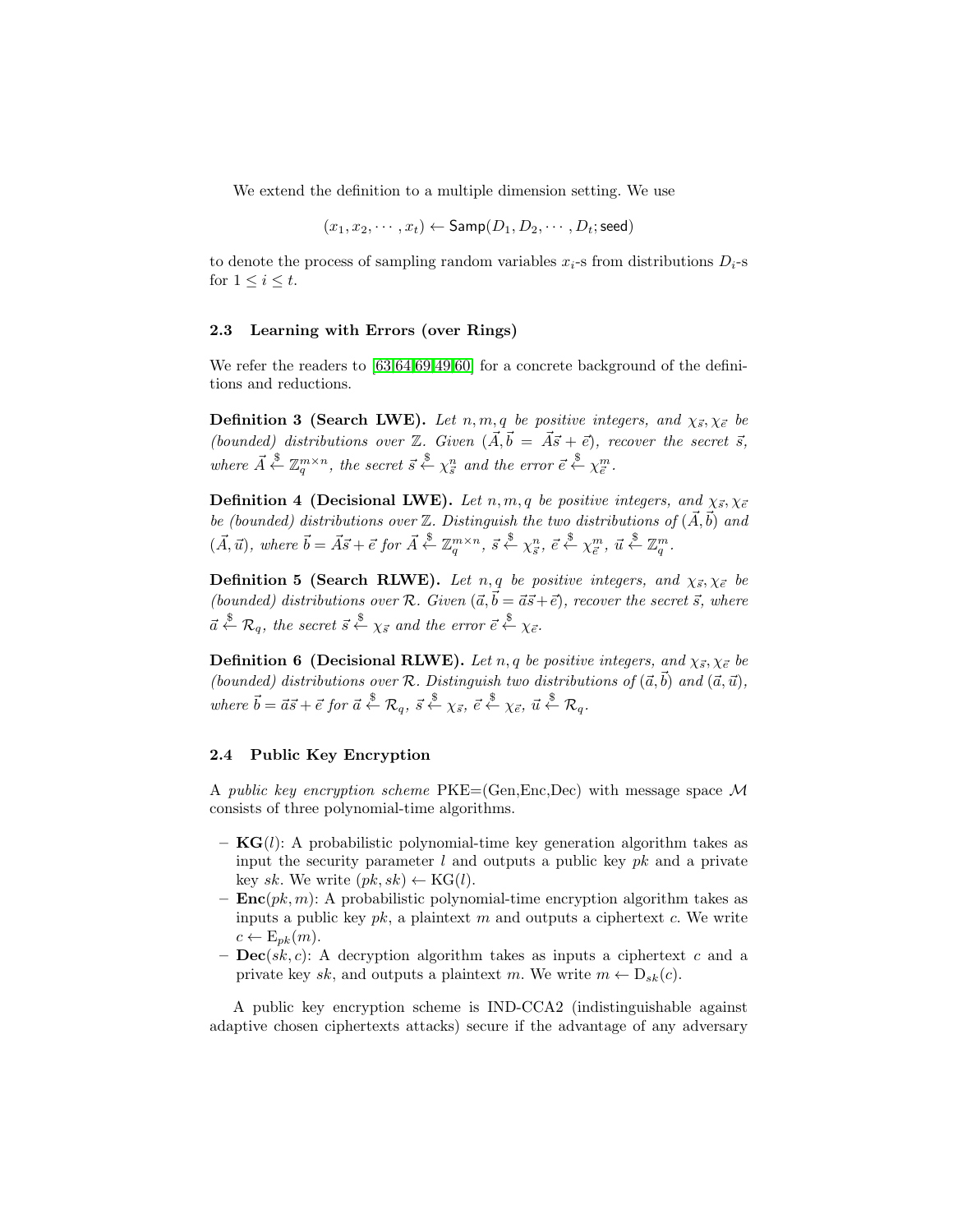We extend the definition to a multiple dimension setting. We use

$$
(x_1, x_2, \cdots, x_t) \leftarrow \mathsf{Samp}(D_1, D_2, \cdots, D_t; \mathsf{seed})
$$

to denote the process of sampling random variables  $x_i$ -s from distributions  $D_i$ -s for  $1 \leq i \leq t$ .

#### 2.3 Learning with Errors (over Rings)

We refer the readers to  $[63,64,69,49,60]$  $[63,64,69,49,60]$  $[63,64,69,49,60]$  $[63,64,69,49,60]$  $[63,64,69,49,60]$  for a concrete background of the definitions and reductions.

**Definition 3 (Search LWE).** Let n, m, q be positive integers, and  $\chi_{\vec{s}}, \chi_{\vec{e}}$  be (bounded) distributions over  $\mathbb{Z}$ . Given  $(\vec{A}, \vec{b} = \vec{A}\vec{s} + \vec{e})$ , recover the secret  $\vec{s}$ , where  $\vec{A} \stackrel{\$}{\leftarrow} \mathbb{Z}_q^{m \times n}$ , the secret  $\vec{s} \stackrel{\$}{\leftarrow} \chi_{\vec{s}}^n$  and the error  $\vec{e} \stackrel{\$}{\leftarrow} \chi_{\vec{e}}^m$ .

**Definition 4 (Decisional LWE).** Let  $n, m, q$  be positive integers, and  $\chi_{\vec{s}}, \chi_{\vec{e}}$ be (bounded) distributions over  $\mathbb Z$ . Distinguish the two distributions of  $(\vec{A}, \vec{b})$  and  $(\vec{A}, \vec{u})$ , where  $\vec{b} = \vec{A}\vec{s} + \vec{e}$  for  $\vec{A} \stackrel{\$}{\leftarrow} \mathbb{Z}_q^{m \times n}$ ,  $\vec{s} \stackrel{\$}{\leftarrow} \chi_{\vec{s}}^n$ ,  $\vec{e} \stackrel{\$}{\leftarrow} \chi_{\vec{e}}^m$ ,  $\vec{u} \stackrel{\$}{\leftarrow} \mathbb{Z}_q^m$ .

**Definition 5 (Search RLWE).** Let n, q be positive integers, and  $\chi_{\vec{s}}, \chi_{\vec{e}}$  be (bounded) distributions over R. Given  $({\vec a},{\vec b} = {\vec a} {\vec s} + {\vec e})$ , recover the secret  ${\vec s}$ , where  $\vec{a} \stackrel{\$}{\leftarrow} \mathcal{R}_q$ , the secret  $\vec{s} \stackrel{\$}{\leftarrow} \chi_{\vec{s}}$  and the error  $\vec{e} \stackrel{\$}{\leftarrow} \chi_{\vec{e}}$ .

**Definition 6 (Decisional RLWE).** Let n, q be positive integers, and  $\chi_{\vec{s}}, \chi_{\vec{e}}$  be (bounded) distributions over R. Distinguish two distributions of  $(\vec{a}, \vec{b})$  and  $(\vec{a}, \vec{u})$ , where  $\vec{b} = \vec{a}\vec{s} + \vec{e}$  for  $\vec{a} \stackrel{\$}{\leftarrow} \mathcal{R}_q$ ,  $\vec{s} \stackrel{\$}{\leftarrow} \chi_{\vec{s}}$ ,  $\vec{e} \stackrel{\$}{\leftarrow} \chi_{\vec{e}}$ ,  $\vec{u} \stackrel{\$}{\leftarrow} \mathcal{R}_q$ .

#### 2.4 Public Key Encryption

A public key encryption scheme  $PKE=(Gen, Enc, Dec)$  with message space M consists of three polynomial-time algorithms.

- $KG(l)$ : A probabilistic polynomial-time key generation algorithm takes as input the security parameter  $l$  and outputs a public key  $pk$  and a private key sk. We write  $(pk, sk) \leftarrow KG(l)$ .
- $\text{Enc}(pk, m)$ : A probabilistic polynomial-time encryption algorithm takes as inputs a public key  $pk$ , a plaintext m and outputs a ciphertext c. We write  $c \leftarrow E_{pk}(m)$ .
- $\text{Dec}(sk, c)$ : A decryption algorithm takes as inputs a ciphertext c and a private key sk, and outputs a plaintext m. We write  $m \leftarrow D_{sk}(c)$ .

A public key encryption scheme is IND-CCA2 (indistinguishable against adaptive chosen ciphertexts attacks) secure if the advantage of any adversary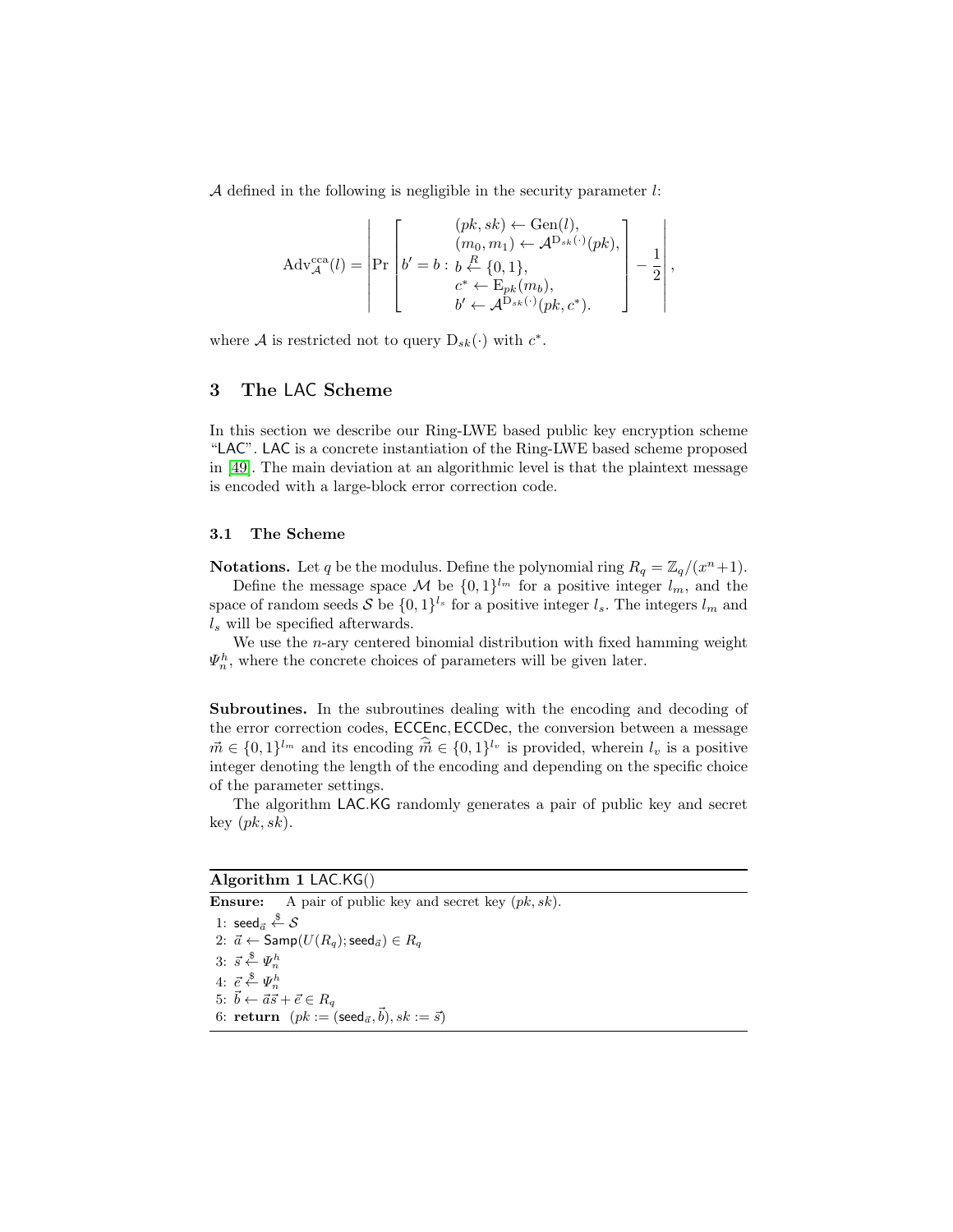A defined in the following is negligible in the security parameter  $l$ :

$$
Adv_{\mathcal{A}}^{cca}(l) = \left| \Pr \begin{bmatrix} (pk, sk) \leftarrow Gen(l), \\ (m_0, m_1) \leftarrow \mathcal{A}^{D_{sk}(\cdot)}(pk), \\ b' = b : b \stackrel{R}{\leftarrow} \{0, 1\}, \\ c^* \leftarrow E_{pk}(m_b), \\ b' \leftarrow \mathcal{A}^{D_{sk}(\cdot)}(pk, c^*). \end{bmatrix} \right] - \frac{1}{2} \right|,
$$

where A is restricted not to query  $D_{sk}(\cdot)$  with  $c^*$ .

## 3 The LAC Scheme

In this section we describe our Ring-LWE based public key encryption scheme "LAC". LAC is a concrete instantiation of the Ring-LWE based scheme proposed in [\[49\]](#page-33-6). The main deviation at an algorithmic level is that the plaintext message is encoded with a large-block error correction code.

### 3.1 The Scheme

**Notations.** Let q be the modulus. Define the polynomial ring  $R_q = \mathbb{Z}_q/(x^n + 1)$ . Define the message space M be  $\{0,1\}^{l_m}$  for a positive integer  $l_m$ , and the space of random seeds S be  $\{0,1\}^{l_s}$  for a positive integer  $l_s$ . The integers  $l_m$  and  $l<sub>s</sub>$  will be specified afterwards.

We use the  $n$ -ary centered binomial distribution with fixed hamming weight  $\Psi_n^h$ , where the concrete choices of parameters will be given later.

Subroutines. In the subroutines dealing with the encoding and decoding of the error correction codes, ECCEnc, ECCDec, the conversion between a message  $\vec{m} \in \{0,1\}^{l_m}$  and its encoding  $\hat{\vec{m}} \in \{0,1\}^{l_v}$  is provided, wherein  $l_v$  is a positive integer denoting the length of the encoding and depending on the specific choice of the parameter settings.

The algorithm LAC.KG randomly generates a pair of public key and secret key  $(pk, sk)$ .

## Algorithm 1 LAC.KG()

**Ensure:** A pair of public key and secret key  $(pk, sk)$ . 1:  $\operatorname{\mathsf{seed}}_{\vec{a}} \overset{\$}{\leftarrow} \mathcal{S}$ 2:  $\vec{a} \leftarrow$  Samp $(U(R_q); \text{seed}_{\vec{a}}) \in R_q$ 3:  $\vec{s} \overset{\$}{\leftarrow} \Psi_n^h$ 4:  $\vec{e} \overset{\$}{\leftarrow} \Psi_n^h$ 5:  $\vec{b} \leftarrow \vec{a}\vec{s} + \vec{e} \in R_q$ 6: return  $(pk := (\mathsf{seed}_{\vec{a}}, \vec{b}), sk := \vec{s})$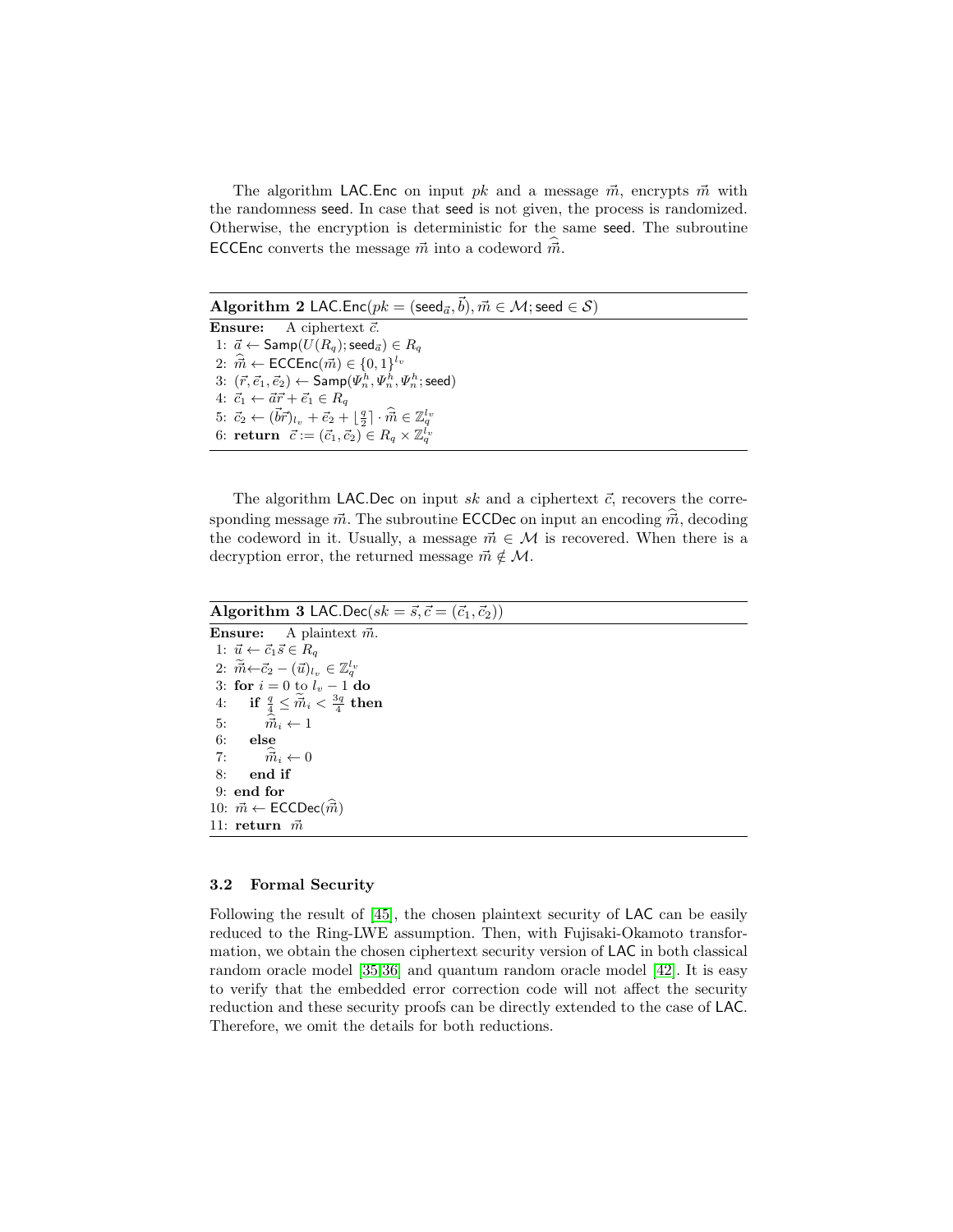The algorithm LAC. Enc on input pk and a message  $\vec{m}$ , encrypts  $\vec{m}$  with the randomness seed. In case that seed is not given, the process is randomized. Otherwise, the encryption is deterministic for the same seed. The subroutine ECCEnc converts the message  $\vec{m}$  into a codeword  $\vec{m}$ .

 $\mathbf{Algorithm} \; \mathbf{2}\; \mathsf{LAC}.\mathsf{Enc}(pk = (\mathsf{seed}_{\vec{a}}, \vec{b}), \vec{m} \in \mathcal{M}; \mathsf{seed} \in \mathcal{S})$ 

**Ensure:** A ciphertext  $\vec{c}$ . 1:  $\vec{a} \leftarrow$  Samp $(U(R_q); \text{seed}_{\vec{a}}) \in R_q$ 2:  $\hat{\vec{m}} \leftarrow \mathsf{ECCEnc}(\vec{m}) \in \{0, 1\}^{l_v}$  $3: ~ (\vec{r}, \vec{e}_1, \vec{e}_2) \leftarrow \mathsf{Samp}(\Psi_n^h, \Psi_n^h, \Psi_n^h; \mathsf{seed})$ 4:  $\vec{c}_1 \leftarrow \vec{a}\vec{r} + \vec{e}_1 \in R_q$ 5:  $\vec{c}_2 \leftarrow (\vec{b}\vec{r})_{l_v} + \vec{e}_2 + \lfloor \frac{q}{2} \rfloor \cdot \hat{\vec{m}} \in \mathbb{Z}_q^{l_v}$ 6: return  $\vec{c} := (\vec{c}_1, \vec{c}_2) \in R_q \times \mathbb{Z}_q^{l_v}$ 

The algorithm LAC.Dec on input sk and a ciphertext  $\vec{c}$ , recovers the corresponding message  $\vec{m}$ . The subroutine **ECCDec** on input an encoding  $\vec{m}$ , decoding the codeword in it. Usually, a message  $\vec{m} \in \mathcal{M}$  is recovered. When there is a decryption error, the returned message  $\vec{m} \notin \mathcal{M}$ .

Algorithm 3 LAC.Dec( $sk = \vec{s}, \vec{c} = (\vec{c}_1, \vec{c}_2)$ ) **Ensure:** A plaintext  $\vec{m}$ . 1:  $\vec{u} \leftarrow \vec{c}_1 \vec{s} \in R_q$ 

2:  $\widetilde{\vec{m}} \leftarrow \vec{c}_2 - (\vec{u})_{l_v} \in \mathbb{Z}_q^{l_v}$ 3: for  $i = 0$  to  $l_v - 1$  do  $4: \quad \text{ if } \frac{q}{4} \leq \widetilde{\vec{m}}_i < \frac{3q}{4} \text{ then }$ 5:  $\vec{m}_i \leftarrow 1$ <br>6: else else 7:  $\vec{m}_i \leftarrow 0$ <br>8: end if end if 9: end for 10:  $\vec{m} \leftarrow \text{ECCDec}(\vec{m})$ 11: return  $\vec{m}$ 

#### 3.2 Formal Security

Following the result of [\[45\]](#page-33-2), the chosen plaintext security of LAC can be easily reduced to the Ring-LWE assumption. Then, with Fujisaki-Okamoto transformation, we obtain the chosen ciphertext security version of LAC in both classical random oracle model [\[35,](#page-32-8)[36\]](#page-32-9) and quantum random oracle model [\[42\]](#page-32-10). It is easy to verify that the embedded error correction code will not affect the security reduction and these security proofs can be directly extended to the case of LAC. Therefore, we omit the details for both reductions.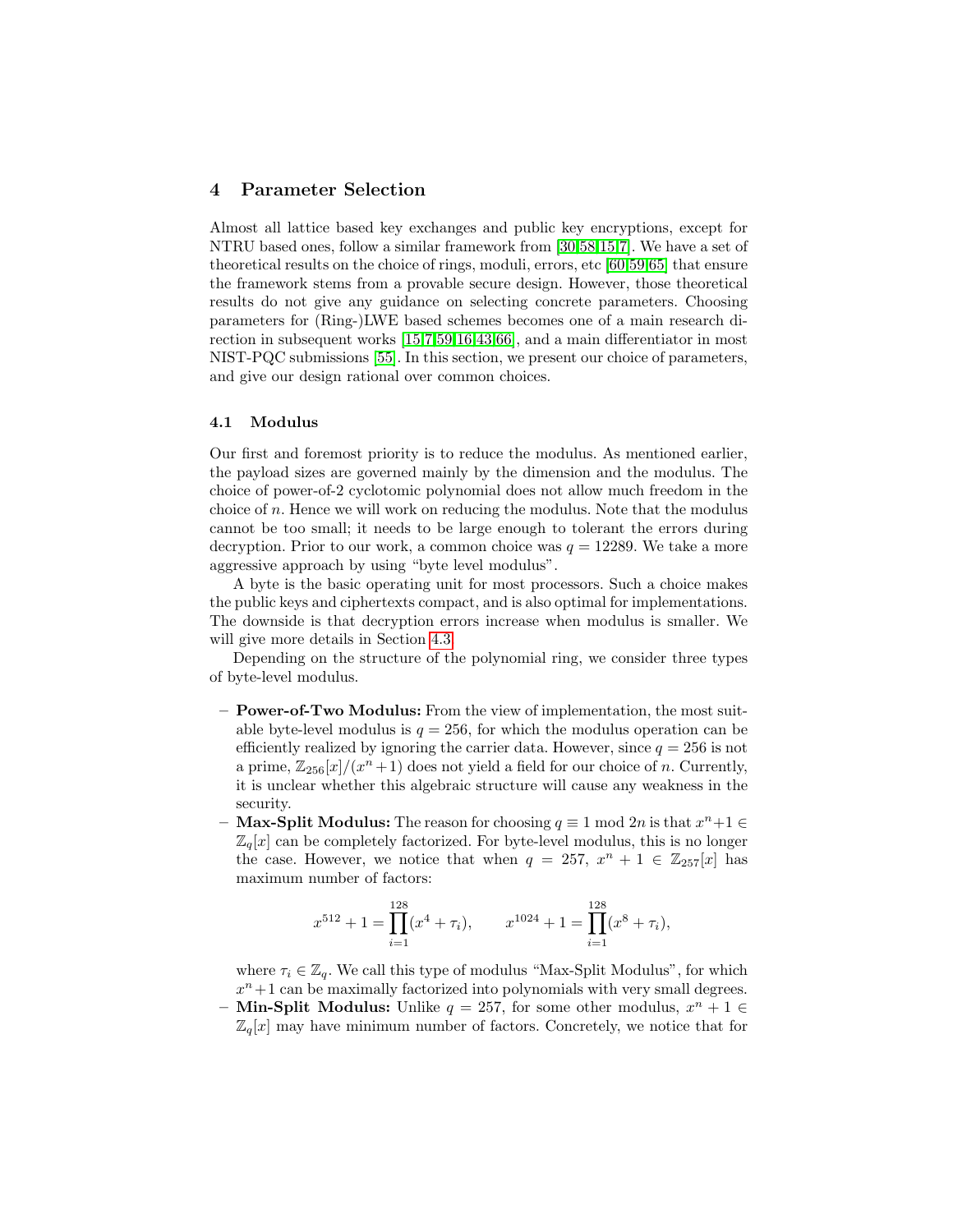## 4 Parameter Selection

Almost all lattice based key exchanges and public key encryptions, except for NTRU based ones, follow a similar framework from [\[30,](#page-31-4)[58,](#page-33-9)[15,](#page-30-1)[7\]](#page-30-3). We have a set of theoretical results on the choice of rings, moduli, errors, etc [\[60,](#page-33-8)[59,](#page-33-11)[65\]](#page-34-4) that ensure the framework stems from a provable secure design. However, those theoretical results do not give any guidance on selecting concrete parameters. Choosing parameters for (Ring-)LWE based schemes becomes one of a main research direction in subsequent works [\[15,](#page-30-1)[7,](#page-30-3)[59,](#page-33-11)[16](#page-30-4)[,43,](#page-32-3)[66\]](#page-34-3), and a main differentiator in most NIST-PQC submissions [\[55\]](#page-33-0). In this section, we present our choice of parameters, and give our design rational over common choices.

#### 4.1 Modulus

Our first and foremost priority is to reduce the modulus. As mentioned earlier, the payload sizes are governed mainly by the dimension and the modulus. The choice of power-of-2 cyclotomic polynomial does not allow much freedom in the choice of n. Hence we will work on reducing the modulus. Note that the modulus cannot be too small; it needs to be large enough to tolerant the errors during decryption. Prior to our work, a common choice was  $q = 12289$ . We take a more aggressive approach by using "byte level modulus".

A byte is the basic operating unit for most processors. Such a choice makes the public keys and ciphertexts compact, and is also optimal for implementations. The downside is that decryption errors increase when modulus is smaller. We will give more details in Section [4.3.](#page-13-0)

Depending on the structure of the polynomial ring, we consider three types of byte-level modulus.

- Power-of-Two Modulus: From the view of implementation, the most suitable byte-level modulus is  $q = 256$ , for which the modulus operation can be efficiently realized by ignoring the carrier data. However, since  $q = 256$  is not a prime,  $\mathbb{Z}_{256}[x]/(x^n+1)$  does not yield a field for our choice of n. Currently, it is unclear whether this algebraic structure will cause any weakness in the security.
- **Max-Split Modulus:** The reason for choosing  $q \equiv 1 \text{ mod } 2n$  is that  $x^n + 1 \in$  $\mathbb{Z}_q[x]$  can be completely factorized. For byte-level modulus, this is no longer the case. However, we notice that when  $q = 257, x^{n} + 1 \in \mathbb{Z}_{257}[x]$  has maximum number of factors:

$$
x^{512} + 1 = \prod_{i=1}^{128} (x^4 + \tau_i), \qquad x^{1024} + 1 = \prod_{i=1}^{128} (x^8 + \tau_i),
$$

where  $\tau_i \in \mathbb{Z}_q$ . We call this type of modulus "Max-Split Modulus", for which  $x<sup>n</sup> + 1$  can be maximally factorized into polynomials with very small degrees. - Min-Split Modulus: Unlike  $q = 257$ , for some other modulus,  $x^n + 1 \in$  $\mathbb{Z}_q[x]$  may have minimum number of factors. Concretely, we notice that for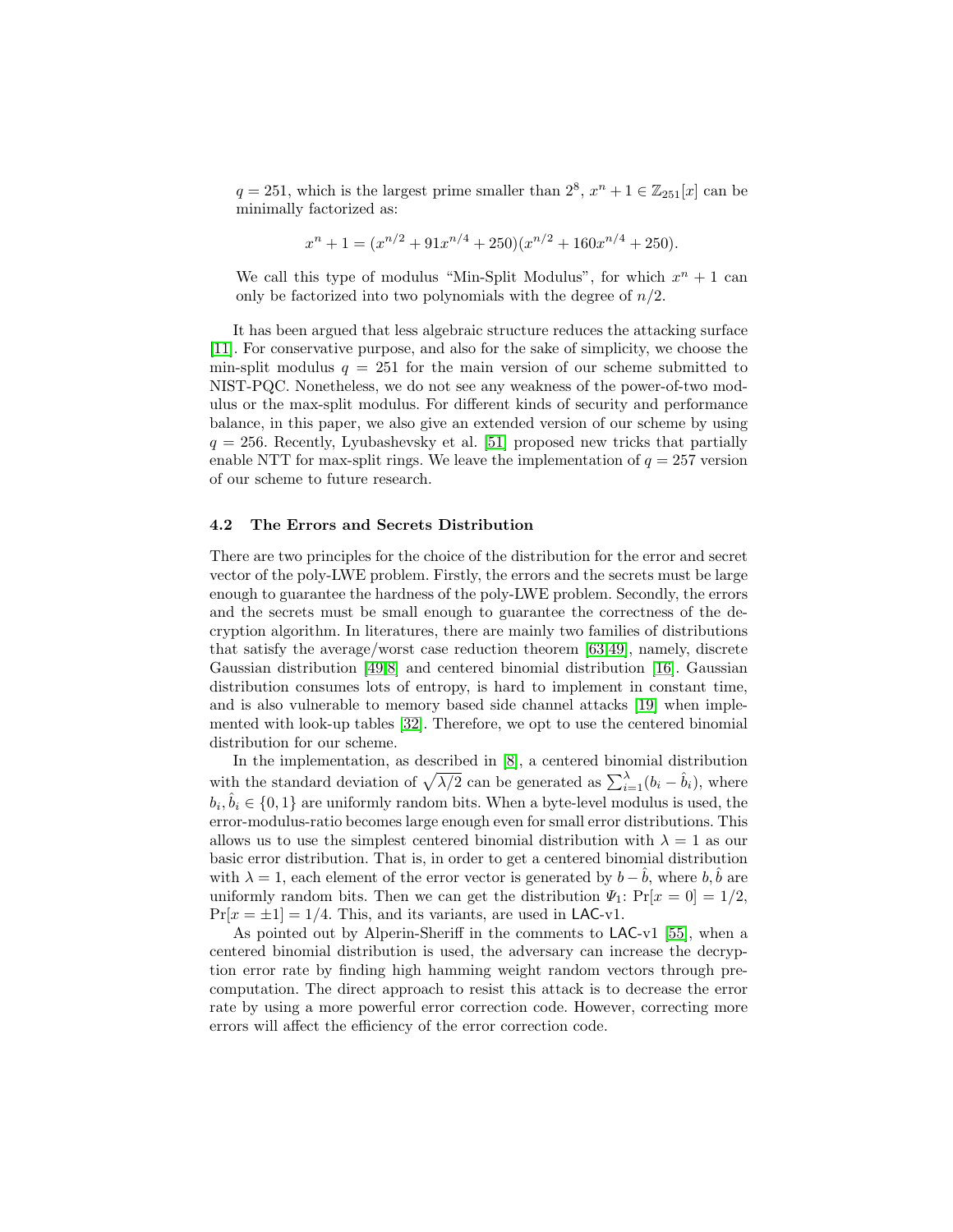$q = 251$ , which is the largest prime smaller than  $2^8$ ,  $x^n + 1 \in \mathbb{Z}_{251}[x]$  can be minimally factorized as:

$$
x^{n} + 1 = (x^{n/2} + 91x^{n/4} + 250)(x^{n/2} + 160x^{n/4} + 250).
$$

We call this type of modulus "Min-Split Modulus", for which  $x^n + 1$  can only be factorized into two polynomials with the degree of  $n/2$ .

It has been argued that less algebraic structure reduces the attacking surface [\[11\]](#page-30-9). For conservative purpose, and also for the sake of simplicity, we choose the min-split modulus  $q = 251$  for the main version of our scheme submitted to NIST-PQC. Nonetheless, we do not see any weakness of the power-of-two modulus or the max-split modulus. For different kinds of security and performance balance, in this paper, we also give an extended version of our scheme by using  $q = 256$ . Recently, Lyubashevsky et al. [\[51\]](#page-33-10) proposed new tricks that partially enable NTT for max-split rings. We leave the implementation of  $q = 257$  version of our scheme to future research.

### 4.2 The Errors and Secrets Distribution

There are two principles for the choice of the distribution for the error and secret vector of the poly-LWE problem. Firstly, the errors and the secrets must be large enough to guarantee the hardness of the poly-LWE problem. Secondly, the errors and the secrets must be small enough to guarantee the correctness of the decryption algorithm. In literatures, there are mainly two families of distributions that satisfy the average/worst case reduction theorem [\[63](#page-34-0)[,49\]](#page-33-6), namely, discrete Gaussian distribution [\[49](#page-33-6)[,8\]](#page-30-2) and centered binomial distribution [\[16\]](#page-30-4). Gaussian distribution consumes lots of entropy, is hard to implement in constant time, and is also vulnerable to memory based side channel attacks [\[19\]](#page-31-12) when implemented with look-up tables [\[32\]](#page-32-4). Therefore, we opt to use the centered binomial distribution for our scheme.

In the implementation, as described in [\[8\]](#page-30-2), a centered binomial distribution with the standard deviation of  $\sqrt{\lambda/2}$  can be generated as  $\sum_{i=1}^{\lambda} (b_i - \hat{b}_i)$ , where  $b_i, \hat{b}_i \in \{0, 1\}$  are uniformly random bits. When a byte-level modulus is used, the error-modulus-ratio becomes large enough even for small error distributions. This allows us to use the simplest centered binomial distribution with  $\lambda = 1$  as our basic error distribution. That is, in order to get a centered binomial distribution with  $\lambda = 1$ , each element of the error vector is generated by  $b - b$ , where b, b are uniformly random bits. Then we can get the distribution  $\Psi_1$ :  $Pr[x = 0] = 1/2$ ,  $Pr[x = \pm 1] = 1/4$ . This, and its variants, are used in LAC-v1.

As pointed out by Alperin-Sheriff in the comments to LAC-v1 [\[55\]](#page-33-0), when a centered binomial distribution is used, the adversary can increase the decryption error rate by finding high hamming weight random vectors through precomputation. The direct approach to resist this attack is to decrease the error rate by using a more powerful error correction code. However, correcting more errors will affect the efficiency of the error correction code.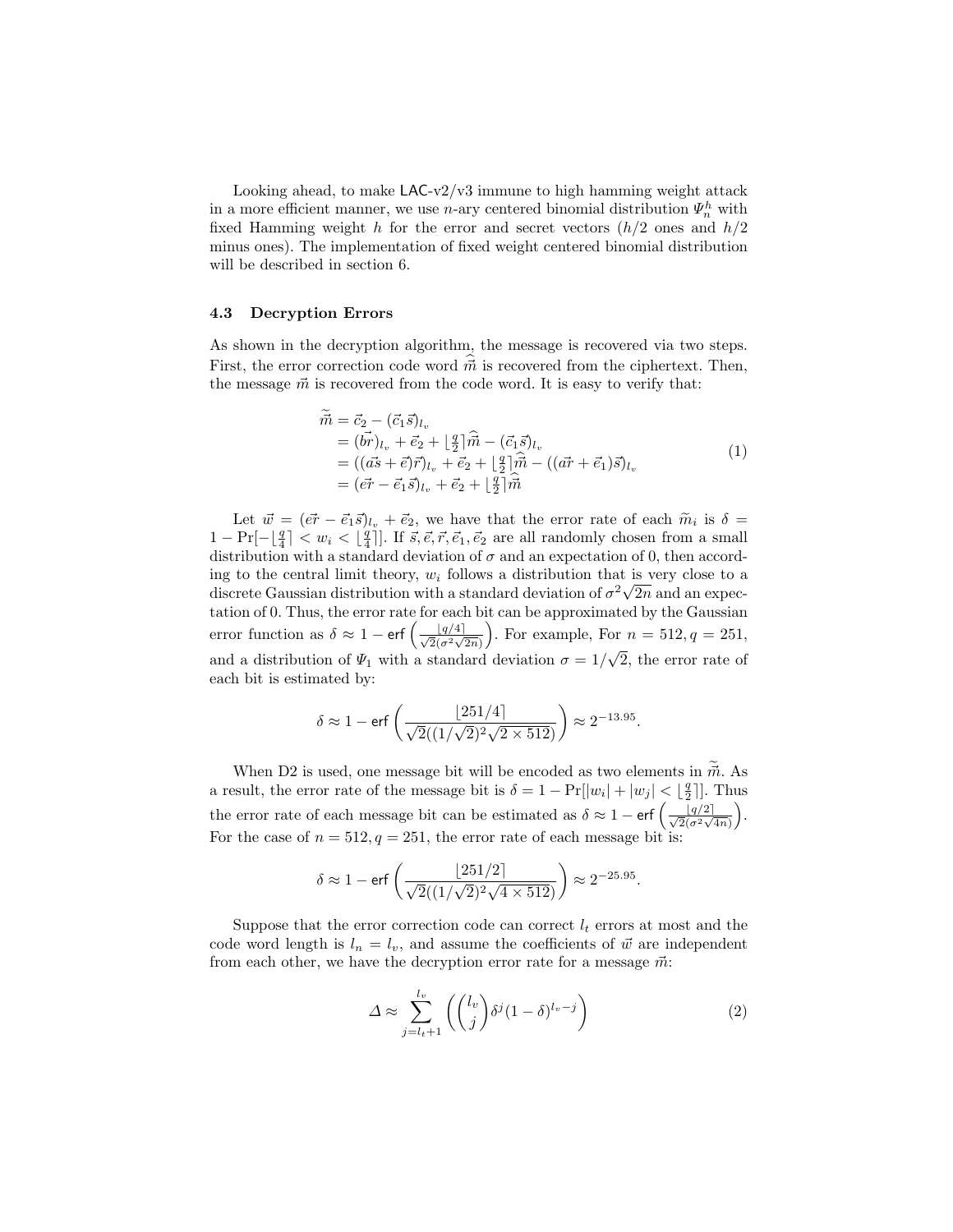Looking ahead, to make  $LAC-v2/v3$  immune to high hamming weight attack in a more efficient manner, we use n-ary centered binomial distribution  $\Psi_n^h$  with fixed Hamming weight h for the error and secret vectors  $(h/2)$  ones and  $h/2$ minus ones). The implementation of fixed weight centered binomial distribution will be described in section 6.

#### <span id="page-13-0"></span>4.3 Decryption Errors

As shown in the decryption algorithm, the message is recovered via two steps. First, the error correction code word  $\vec{m}$  is recovered from the ciphertext. Then, the message  $\vec{m}$  is recovered from the code word. It is easy to verify that:

$$
\begin{aligned}\n\vec{m} &= \vec{c}_2 - (\vec{c}_1 \vec{s})_{l_v} \\
&= (\vec{br})_{l_v} + \vec{e}_2 + \left[\frac{q}{2}\right] \hat{\vec{m}} - (\vec{c}_1 \vec{s})_{l_v} \\
&= ((\vec{as} + \vec{e}) \vec{r})_{l_v} + \vec{e}_2 + \left[\frac{q}{2}\right] \hat{\vec{m}} - ((\vec{ar} + \vec{e}_1) \vec{s})_{l_v} \\
&= (\vec{er} - \vec{e}_1 \vec{s})_{l_v} + \vec{e}_2 + \left[\frac{q}{2}\right] \hat{\vec{m}}\n\end{aligned} \tag{1}
$$

Let  $\vec{w} = (\vec{e_r} - \vec{e_1}\vec{s})_{l_v} + \vec{e_2}$ , we have that the error rate of each  $\tilde{m_i}$  is  $\delta =$ <br> $Pr_{i=1}^{[q]} \leq w_i \leq \lfloor \frac{q}{2} \rfloor$  if  $\vec{s} \leq \vec{s} \leq \vec{s}$ , are all randomly chosen from a small  $1 - \Pr[-\lfloor \frac{q}{4} \rfloor] < w_i < \lfloor \frac{q}{4} \rceil].$  If  $\vec{s}, \vec{e}, \vec{r}, \vec{e}_1, \vec{e}_2$  are all randomly chosen from a small distribution with a standard deviation of  $\sigma$  and an expectation of 0, then according to the central limit theory,  $w_i$  follows a distribution that is very close to a discrete Gaussian distribution with a standard deviation of  $\sigma^2 \sqrt{2n}$  and an expectation of 0. Thus, the error rate for each bit can be approximated by the Gaussian error function as  $\delta \approx 1 - \text{erf}\left(\frac{\lfloor q/4 \rfloor}{\sqrt{2(\sigma^2 \sqrt{2n})}}\right)$ . For example, For  $n = 512, q = 251$ , and a distribution of  $\Psi_1$  with a standard deviation  $\sigma = 1/\sqrt{2}$ , the error rate of √ each bit is estimated by:

$$
\delta \approx 1 - \mathrm{erf}\left(\frac{\lfloor 251/4\rfloor}{\sqrt{2}((1/\sqrt{2})^2\sqrt{2\times 512})}\right) \approx 2^{-13.95}.
$$

When D2 is used, one message bit will be encoded as two elements in  $\tilde{m}$ . As a result, the error rate of the message bit is  $\delta = 1 - \Pr[|w_i| + |w_j| < \lfloor \frac{q}{2} \rfloor]$ . Thus the error rate of each message bit can be estimated as  $\delta \approx 1 - \text{erf}\left(\frac{|q/2|}{\sqrt{2}(\sigma^2\sqrt{4n})}\right)$ . For the case of  $n = 512, q = 251$ , the error rate of each message bit is:

$$
\delta \approx 1 - \text{erf}\left(\frac{\lfloor 251/2 \rfloor}{\sqrt{2}((1/\sqrt{2})^2\sqrt{4 \times 512})}\right) \approx 2^{-25.95}
$$

Suppose that the error correction code can correct  $l_t$  errors at most and the code word length is  $l_n = l_v$ , and assume the coefficients of  $\vec{w}$  are independent from each other, we have the decryption error rate for a message  $\vec{m}$ :

$$
\Delta \approx \sum_{j=l_t+1}^{l_v} \left( \binom{l_v}{j} \delta^j (1-\delta)^{l_v-j} \right) \tag{2}
$$

.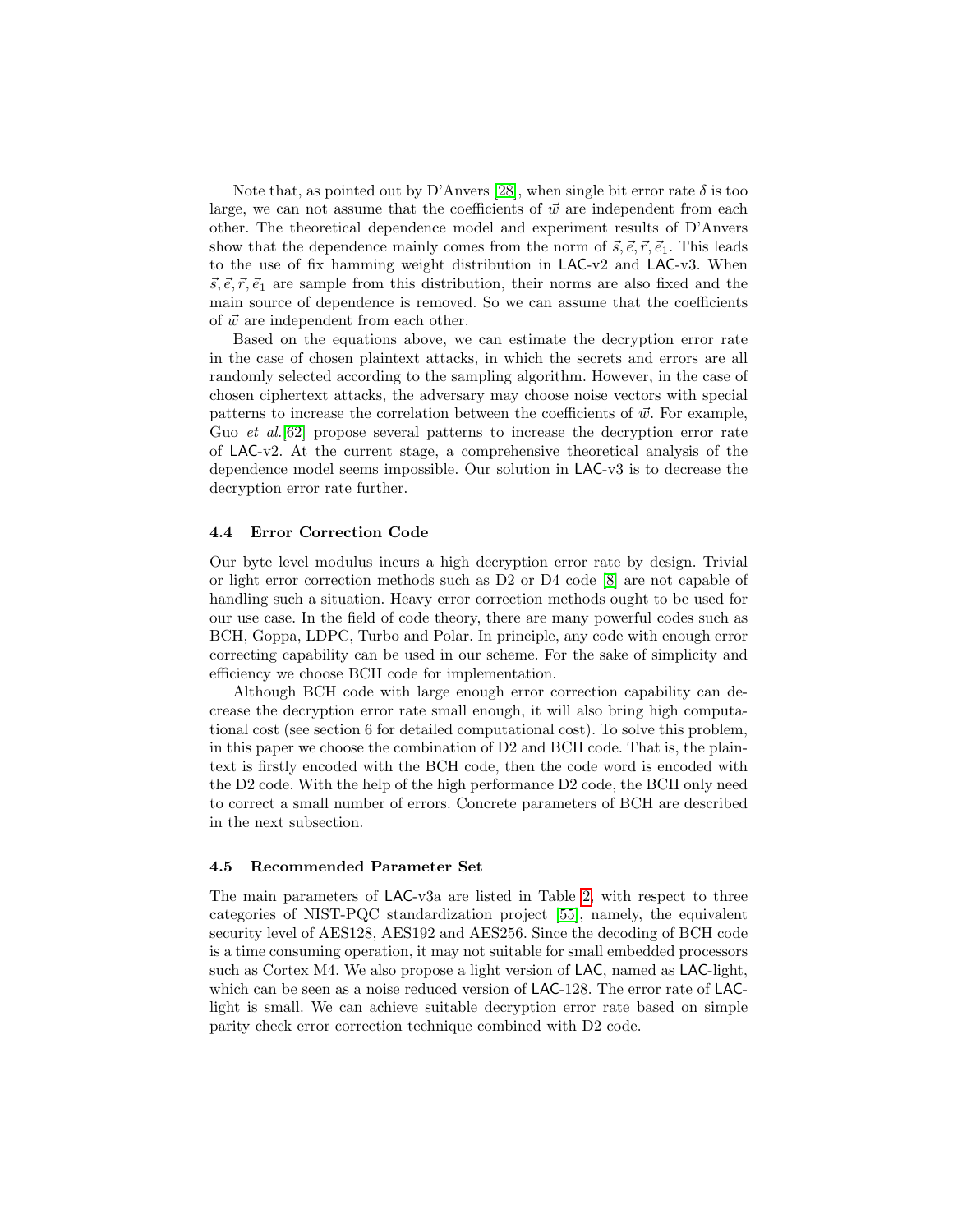Note that, as pointed out by D'Anvers [\[28\]](#page-31-8), when single bit error rate  $\delta$  is too large, we can not assume that the coefficients of  $\vec{w}$  are independent from each other. The theoretical dependence model and experiment results of D'Anvers show that the dependence mainly comes from the norm of  $\vec{s}, \vec{e}, \vec{r}, \vec{e}_1$ . This leads to the use of fix hamming weight distribution in LAC-v2 and LAC-v3. When  $\vec{s}, \vec{e}, \vec{r}, \vec{e}_1$  are sample from this distribution, their norms are also fixed and the main source of dependence is removed. So we can assume that the coefficients of  $\vec{w}$  are independent from each other.

Based on the equations above, we can estimate the decryption error rate in the case of chosen plaintext attacks, in which the secrets and errors are all randomly selected according to the sampling algorithm. However, in the case of chosen ciphertext attacks, the adversary may choose noise vectors with special patterns to increase the correlation between the coefficients of  $\vec{w}$ . For example, Guo *et al.*[\[62\]](#page-34-5) propose several patterns to increase the decryption error rate of LAC-v2. At the current stage, a comprehensive theoretical analysis of the dependence model seems impossible. Our solution in LAC-v3 is to decrease the decryption error rate further.

#### <span id="page-14-0"></span>4.4 Error Correction Code

Our byte level modulus incurs a high decryption error rate by design. Trivial or light error correction methods such as D2 or D4 code [\[8\]](#page-30-2) are not capable of handling such a situation. Heavy error correction methods ought to be used for our use case. In the field of code theory, there are many powerful codes such as BCH, Goppa, LDPC, Turbo and Polar. In principle, any code with enough error correcting capability can be used in our scheme. For the sake of simplicity and efficiency we choose BCH code for implementation.

Although BCH code with large enough error correction capability can decrease the decryption error rate small enough, it will also bring high computational cost (see section 6 for detailed computational cost). To solve this problem, in this paper we choose the combination of D2 and BCH code. That is, the plaintext is firstly encoded with the BCH code, then the code word is encoded with the D2 code. With the help of the high performance D2 code, the BCH only need to correct a small number of errors. Concrete parameters of BCH are described in the next subsection.

#### 4.5 Recommended Parameter Set

The main parameters of LAC-v3a are listed in Table [2,](#page-15-0) with respect to three categories of NIST-PQC standardization project [\[55\]](#page-33-0), namely, the equivalent security level of AES128, AES192 and AES256. Since the decoding of BCH code is a time consuming operation, it may not suitable for small embedded processors such as Cortex M4. We also propose a light version of LAC, named as LAC-light, which can be seen as a noise reduced version of LAC-128. The error rate of LAClight is small. We can achieve suitable decryption error rate based on simple parity check error correction technique combined with D2 code.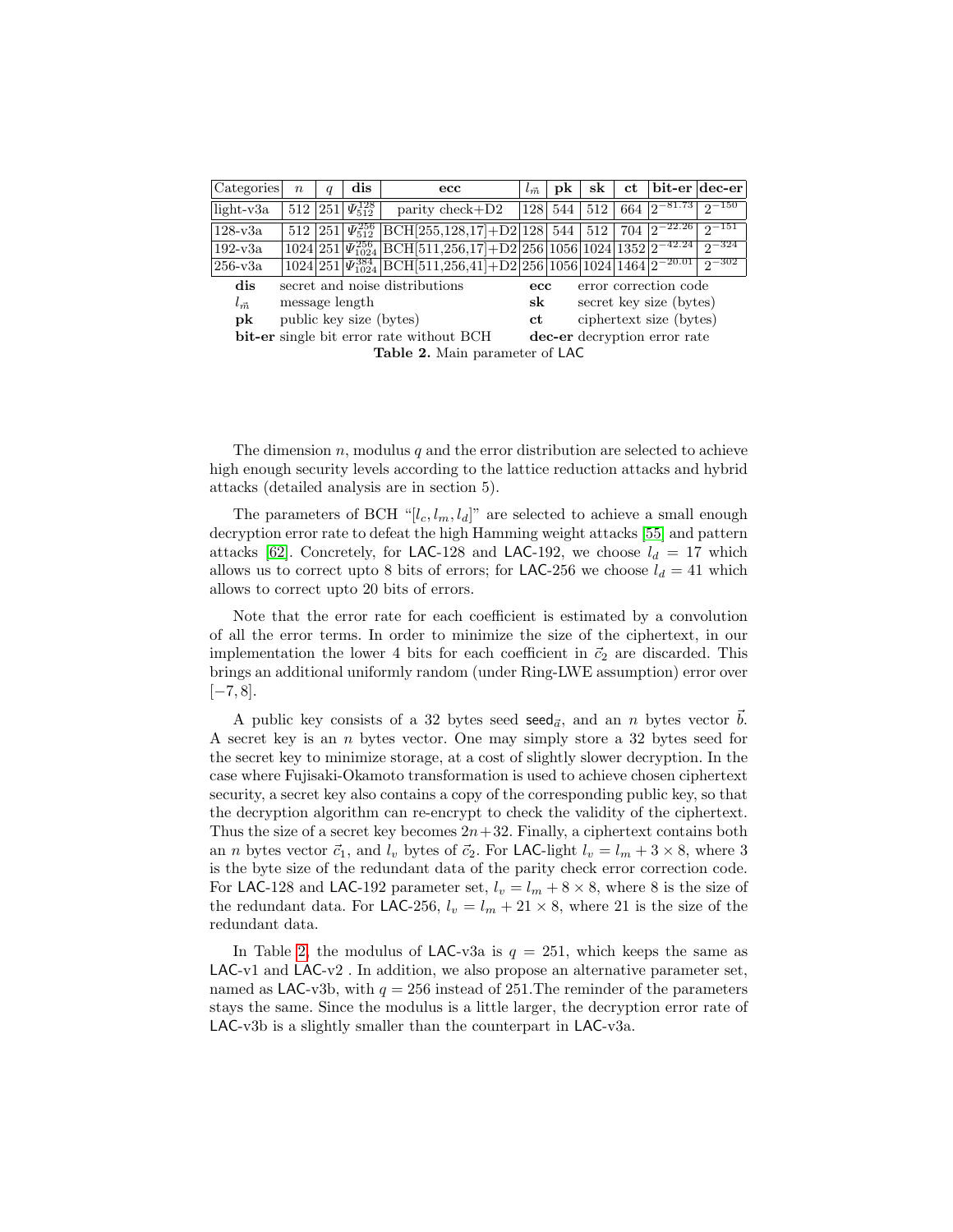<span id="page-15-0"></span>

| Categories                                      | $\boldsymbol{n}$        | $\boldsymbol{q}$              | $\mathbf{dis}$                          | $_{\rm ecc}$                                                                                                                                                    | $l_{\vec{m}}$                | pk          | sk | ct  | bit-er   dec-er            |            |
|-------------------------------------------------|-------------------------|-------------------------------|-----------------------------------------|-----------------------------------------------------------------------------------------------------------------------------------------------------------------|------------------------------|-------------|----|-----|----------------------------|------------|
| $light-v3a$                                     |                         |                               | $\frac{512}{251}\sqrt{\frac{128}{512}}$ | $\text{parity check} + \text{D2}$                                                                                                                               |                              | 128 544 512 |    | 664 | $ 2^{-81.73} $             | $2^{-150}$ |
| $128 - v3a$                                     |                         |                               |                                         | $\frac{1}{251}$ $\sqrt{251}$ $\sqrt{256}$ BCH[255,128,17]+D2 128 544 512                                                                                        |                              |             |    |     | $1704$ $\sqrt{2^{-22.26}}$ | $2^{-151}$ |
| $192-v3a$                                       |                         |                               |                                         | $1024\left 251\right \Psi_{1024}^{256}\left \text{BCH}\left[511,256,17\right]+\text{D2}\left 256\right 1056\left 1024\right 1352\left 2^{-42.24}\right \right]$ |                              |             |    |     |                            | $2^{-324}$ |
| $256$ -v $3a$                                   |                         |                               |                                         | $1024\left 251\right \Psi_{1024}^{384}\left[\text{BCH}[511,256,41]+\text{D2}\left[256\right 1056\left 1024\right 1464\left 2\right]-20.01\right]$               |                              |             |    |     |                            | $2 - 302$  |
| dis                                             |                         |                               |                                         | secret and noise distributions                                                                                                                                  | $_{\rm ecc}$                 |             |    |     | error correction code      |            |
| $l_{\vec{m}}$                                   |                         |                               | message length                          |                                                                                                                                                                 | $_{\rm sk}$                  |             |    |     | secret key size (bytes)    |            |
| pk                                              | public key size (bytes) | ciphertext size (bytes)<br>ct |                                         |                                                                                                                                                                 |                              |             |    |     |                            |            |
| <b>bit-er</b> single bit error rate without BCH |                         |                               |                                         |                                                                                                                                                                 | dec-er decryption error rate |             |    |     |                            |            |
| Table 2. Main parameter of LAC                  |                         |                               |                                         |                                                                                                                                                                 |                              |             |    |     |                            |            |

The dimension  $n$ , modulus  $q$  and the error distribution are selected to achieve high enough security levels according to the lattice reduction attacks and hybrid attacks (detailed analysis are in section 5).

The parameters of BCH "[ $l_c, l_m, l_d$ ]" are selected to achieve a small enough decryption error rate to defeat the high Hamming weight attacks [\[55\]](#page-33-0) and pattern attacks [\[62\]](#page-34-5). Concretely, for LAC-128 and LAC-192, we choose  $l_d = 17$  which allows us to correct upto 8 bits of errors; for LAC-256 we choose  $l_d = 41$  which allows to correct upto 20 bits of errors.

Note that the error rate for each coefficient is estimated by a convolution of all the error terms. In order to minimize the size of the ciphertext, in our implementation the lower 4 bits for each coefficient in  $\vec{c}_2$  are discarded. This brings an additional uniformly random (under Ring-LWE assumption) error over  $[-7, 8].$ 

A public key consists of a 32 bytes seed seed<sub> $\vec{a}$ </sub>, and an n bytes vector  $\vec{b}$ . A secret key is an n bytes vector. One may simply store a 32 bytes seed for the secret key to minimize storage, at a cost of slightly slower decryption. In the case where Fujisaki-Okamoto transformation is used to achieve chosen ciphertext security, a secret key also contains a copy of the corresponding public key, so that the decryption algorithm can re-encrypt to check the validity of the ciphertext. Thus the size of a secret key becomes  $2n+32$ . Finally, a ciphertext contains both an *n* bytes vector  $\vec{c}_1$ , and  $l_v$  bytes of  $\vec{c}_2$ . For LAC-light  $l_v = l_m + 3 \times 8$ , where 3 is the byte size of the redundant data of the parity check error correction code. For LAC-128 and LAC-192 parameter set,  $l_v = l_m + 8 \times 8$ , where 8 is the size of the redundant data. For LAC-256,  $l_v = l_m + 21 \times 8$ , where 21 is the size of the redundant data.

In Table [2,](#page-15-0) the modulus of LAC-v3a is  $q = 251$ , which keeps the same as LAC-v1 and LAC-v2 . In addition, we also propose an alternative parameter set, named as LAC-v3b, with  $q = 256$  instead of 251. The reminder of the parameters stays the same. Since the modulus is a little larger, the decryption error rate of LAC-v3b is a slightly smaller than the counterpart in LAC-v3a.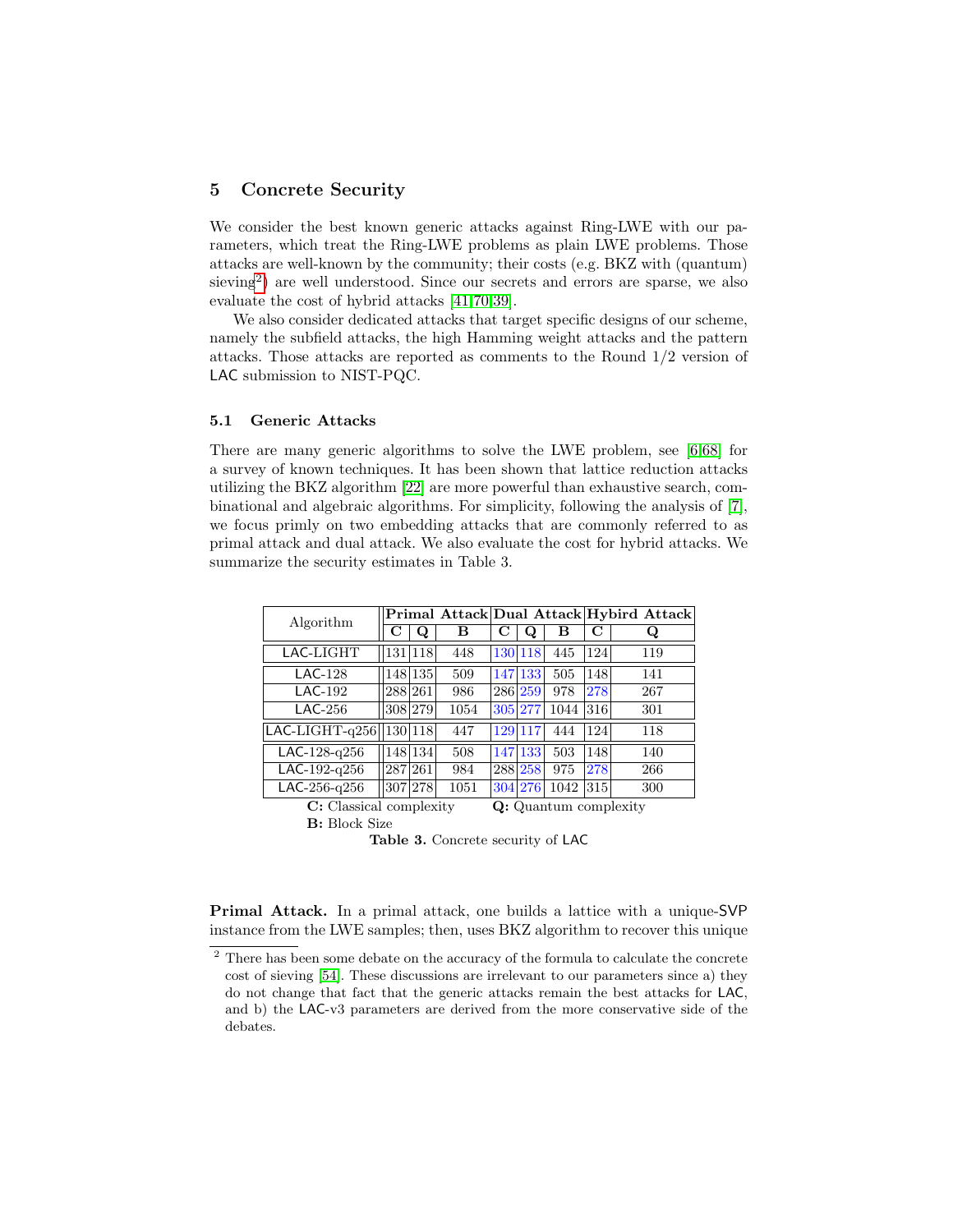## <span id="page-16-0"></span>5 Concrete Security

We consider the best known generic attacks against Ring-LWE with our parameters, which treat the Ring-LWE problems as plain LWE problems. Those attacks are well-known by the community; their costs (e.g. BKZ with (quantum) sieving<sup>[2](#page-16-1)</sup>) are well understood. Since our secrets and errors are sparse, we also evaluate the cost of hybrid attacks [\[41](#page-32-5)[,70,](#page-34-8)[39\]](#page-32-6).

We also consider dedicated attacks that target specific designs of our scheme, namely the subfield attacks, the high Hamming weight attacks and the pattern attacks. Those attacks are reported as comments to the Round 1/2 version of LAC submission to NIST-PQC.

#### 5.1 Generic Attacks

There are many generic algorithms to solve the LWE problem, see [\[6,](#page-30-6)[68\]](#page-34-9) for a survey of known techniques. It has been shown that lattice reduction attacks utilizing the BKZ algorithm [\[22\]](#page-31-5) are more powerful than exhaustive search, combinational and algebraic algorithms. For simplicity, following the analysis of [\[7\]](#page-30-3), we focus primly on two embedding attacks that are commonly referred to as primal attack and dual attack. We also evaluate the cost for hybrid attacks. We summarize the security estimates in Table 3.

| Algorithm                                        |  |         |      |         |         |      |     | Primal Attack Dual Attack Hybird Attack |  |
|--------------------------------------------------|--|---------|------|---------|---------|------|-----|-----------------------------------------|--|
|                                                  |  | Q       | в    |         | Q       | в    | С   | Q                                       |  |
| LAC-LIGHT                                        |  | 131 118 | 448  |         | 130 118 | 445  | 124 | 119                                     |  |
| $LAC-128$                                        |  | 148 135 | 509  |         | 147 133 | 505  | 148 | 141                                     |  |
| $LAC-192$                                        |  | 288 261 | 986  |         | 286 259 | 978  | 278 | 267                                     |  |
| $LAC-256$                                        |  | 308 279 | 1054 | 305 277 |         | 1044 | 316 | 301                                     |  |
| LAC-LIGHT- $q256$   130 118                      |  |         | 447  |         | 129 117 | 444  | 124 | 118                                     |  |
| LAC- $128$ - $q256$                              |  | 148 134 | 508  |         | 147 133 | 503  | 148 | 140                                     |  |
| LAC-192-q256                                     |  | 287 261 | 984  |         | 288 258 | 975  | 278 | 266                                     |  |
| LAC-256-q256                                     |  | 307 278 | 1051 |         | 304 276 | 1042 | 315 | 300                                     |  |
| C: Classical complexity<br>Q: Quantum complexity |  |         |      |         |         |      |     |                                         |  |

B: Block Size

Table 3. Concrete security of LAC

Primal Attack. In a primal attack, one builds a lattice with a unique-SVP instance from the LWE samples; then, uses BKZ algorithm to recover this unique

<span id="page-16-1"></span><sup>&</sup>lt;sup>2</sup> There has been some debate on the accuracy of the formula to calculate the concrete cost of sieving [\[54\]](#page-33-12). These discussions are irrelevant to our parameters since a) they do not change that fact that the generic attacks remain the best attacks for LAC, and b) the LAC-v3 parameters are derived from the more conservative side of the debates.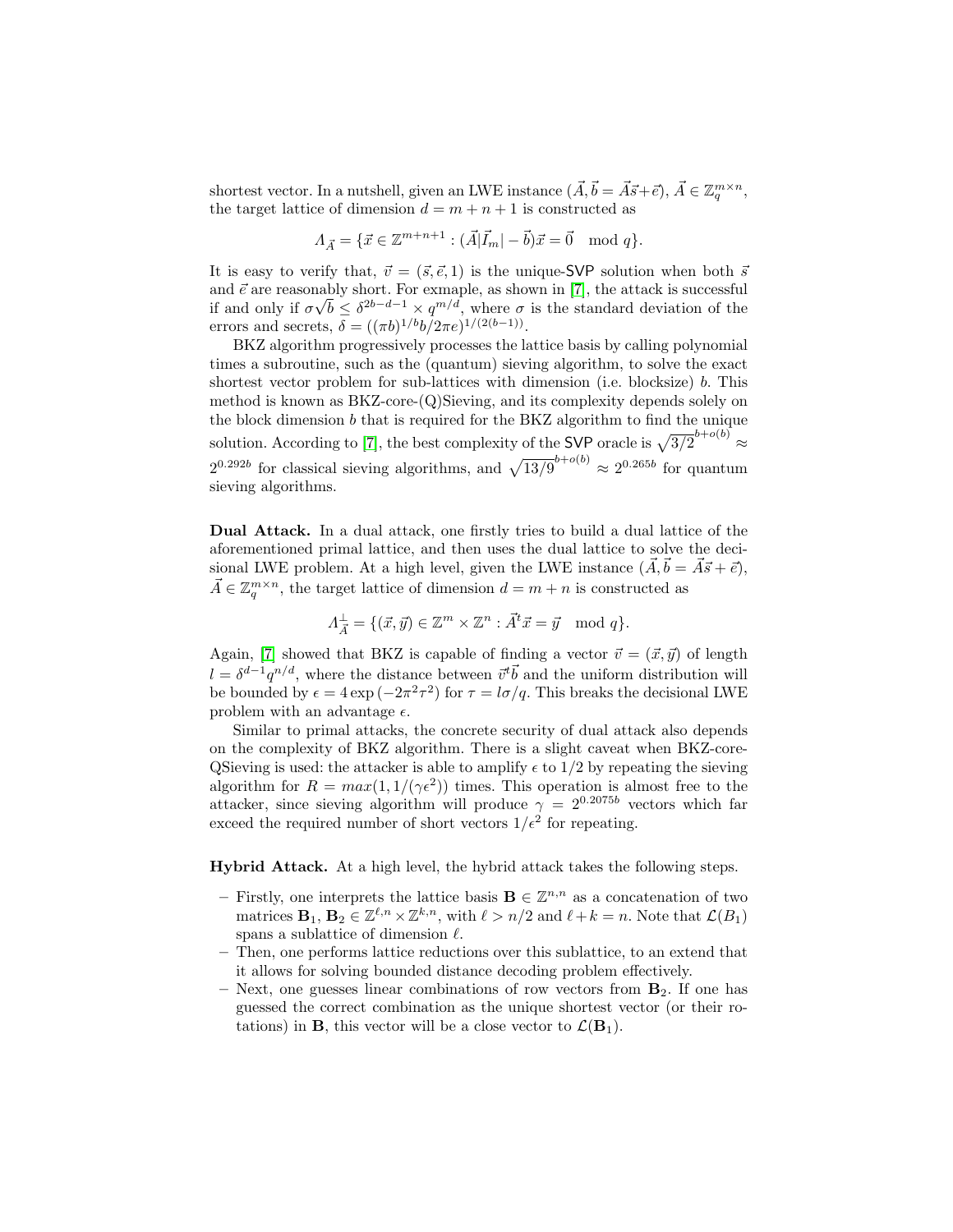shortest vector. In a nutshell, given an LWE instance  $(\vec{A}, \vec{b} = \vec{A}\vec{s} + \vec{e}), \vec{A} \in \mathbb{Z}_q^{m \times n}$ , the target lattice of dimension  $d = m + n + 1$  is constructed as

$$
\Lambda_{\vec{A}} = \{ \vec{x} \in \mathbb{Z}^{m+n+1} : (\vec{A}|\vec{I}_m| - \vec{b})\vec{x} = \vec{0} \mod q \}.
$$

It is easy to verify that,  $\vec{v} = (\vec{s}, \vec{e}, 1)$  is the unique-SVP solution when both  $\vec{s}$ and  $\vec{e}$  are reasonably short. For exmaple, as shown in [\[7\]](#page-30-3), the attack is successful if and only if  $\sigma\sqrt{b} \leq \delta^{2b-d-1} \times q^{m/d}$ , where  $\sigma$  is the standard deviation of the errors and secrets,  $\delta = ((\pi b)^{1/b} b / 2\pi e)^{1/(2(b-1))}$ .

BKZ algorithm progressively processes the lattice basis by calling polynomial times a subroutine, such as the (quantum) sieving algorithm, to solve the exact shortest vector problem for sub-lattices with dimension (i.e. blocksize) b. This method is known as BKZ-core-(Q)Sieving, and its complexity depends solely on the block dimension  $b$  that is required for the BKZ algorithm to find the unique solution. According to [\[7\]](#page-30-3), the best complexity of the SVP oracle is  $\sqrt{3/2}^{b+o(b)} \approx$  $2^{0.292b}$  for classical sieving algorithms, and  $\sqrt{13/9}^{b+o(b)} \approx 2^{0.265b}$  for quantum sieving algorithms.

Dual Attack. In a dual attack, one firstly tries to build a dual lattice of the aforementioned primal lattice, and then uses the dual lattice to solve the decisional LWE problem. At a high level, given the LWE instance  $(\vec{A}, \vec{b} = \vec{A}\vec{s} + \vec{e})$ ,  $\vec{A} \in \mathbb{Z}_q^{m \times n}$ , the target lattice of dimension  $d = m + n$  is constructed as

$$
\Lambda_{\vec{A}}^{\perp} = \{ (\vec{x}, \vec{y}) \in \mathbb{Z}^m \times \mathbb{Z}^n : \vec{A}^t \vec{x} = \vec{y} \mod q \}.
$$

Again, [\[7\]](#page-30-3) showed that BKZ is capable of finding a vector  $\vec{v} = (\vec{x}, \vec{y})$  of length  $l = \delta^{d-1} q^{n/d}$ , where the distance between  $\vec{v}^{\text{t}} \vec{b}$  and the uniform distribution will be bounded by  $\epsilon = 4 \exp(-2\pi^2 \tau^2)$  for  $\tau = l\sigma/q$ . This breaks the decisional LWE problem with an advantage  $\epsilon$ .

Similar to primal attacks, the concrete security of dual attack also depends on the complexity of BKZ algorithm. There is a slight caveat when BKZ-core-QSieving is used: the attacker is able to amplify  $\epsilon$  to 1/2 by repeating the sieving algorithm for  $R = max(1, 1/(\gamma \epsilon^2))$  times. This operation is almost free to the attacker, since sieving algorithm will produce  $\gamma = 2^{0.2075b}$  vectors which far exceed the required number of short vectors  $1/\epsilon^2$  for repeating.

Hybrid Attack. At a high level, the hybrid attack takes the following steps.

- Firstly, one interprets the lattice basis  $\mathbf{B} \in \mathbb{Z}^{n,n}$  as a concatenation of two matrices  $\mathbf{B}_1, \mathbf{B}_2 \in \mathbb{Z}^{\ell,n} \times \mathbb{Z}^{k,n}$ , with  $\ell > n/2$  and  $\ell + k = n$ . Note that  $\mathcal{L}(B_1)$ spans a sublattice of dimension  $\ell$ .
- Then, one performs lattice reductions over this sublattice, to an extend that it allows for solving bounded distance decoding problem effectively.
- Next, one guesses linear combinations of row vectors from  $\mathbf{B}_2$ . If one has guessed the correct combination as the unique shortest vector (or their rotations) in **B**, this vector will be a close vector to  $\mathcal{L}(\mathbf{B}_1)$ .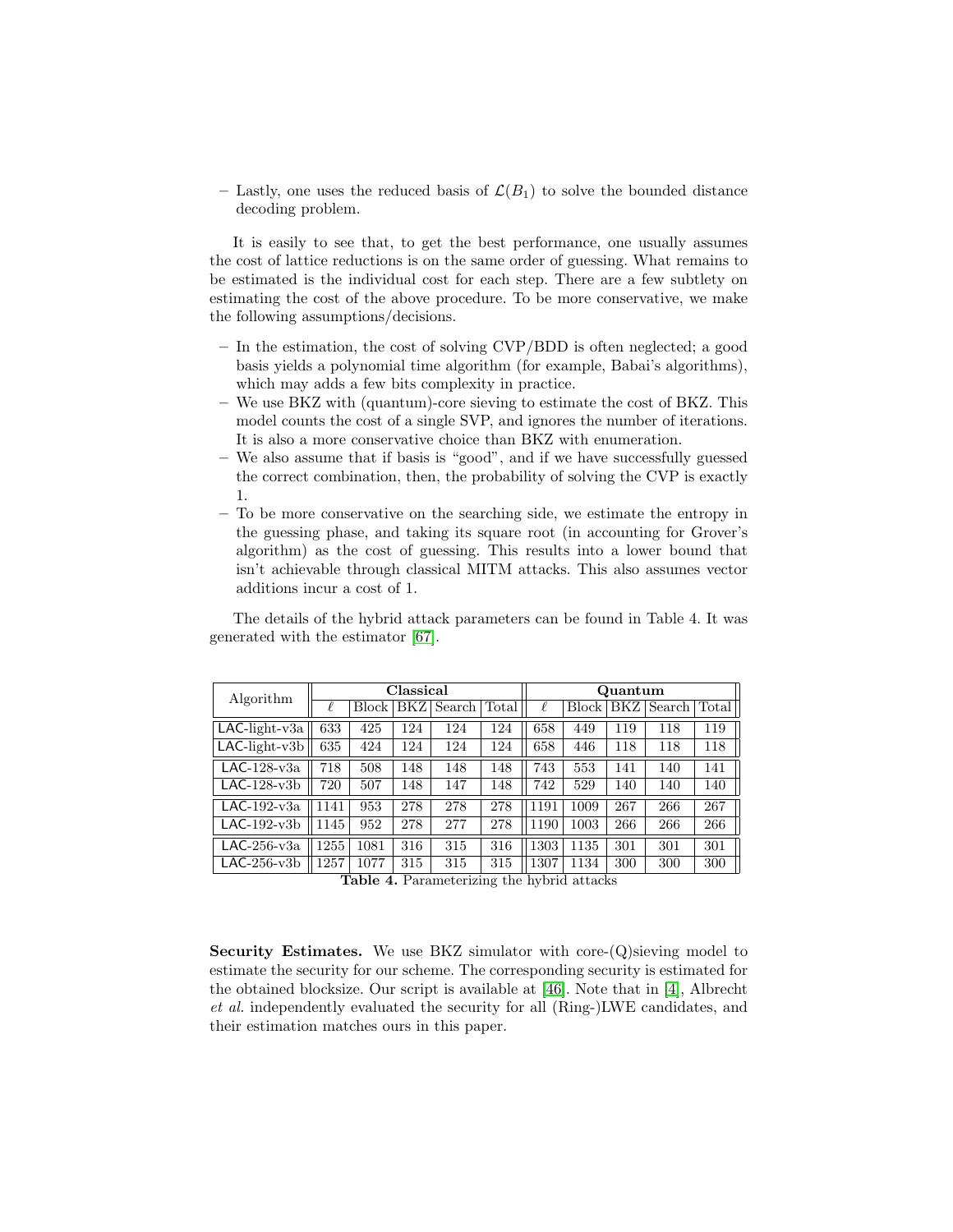– Lastly, one uses the reduced basis of  $\mathcal{L}(B_1)$  to solve the bounded distance decoding problem.

It is easily to see that, to get the best performance, one usually assumes the cost of lattice reductions is on the same order of guessing. What remains to be estimated is the individual cost for each step. There are a few subtlety on estimating the cost of the above procedure. To be more conservative, we make the following assumptions/decisions.

- In the estimation, the cost of solving CVP/BDD is often neglected; a good basis yields a polynomial time algorithm (for example, Babai's algorithms), which may adds a few bits complexity in practice.
- We use BKZ with (quantum)-core sieving to estimate the cost of BKZ. This model counts the cost of a single SVP, and ignores the number of iterations. It is also a more conservative choice than BKZ with enumeration.
- We also assume that if basis is "good", and if we have successfully guessed the correct combination, then, the probability of solving the CVP is exactly 1.
- To be more conservative on the searching side, we estimate the entropy in the guessing phase, and taking its square root (in accounting for Grover's algorithm) as the cost of guessing. This results into a lower bound that isn't achievable through classical MITM attacks. This also assumes vector additions incur a cost of 1.

The details of the hybrid attack parameters can be found in Table 4. It was generated with the estimator [\[67\]](#page-34-10).

| Algorithm           |      |         | Classical |        |       | Quantum |              |     |        |       |  |
|---------------------|------|---------|-----------|--------|-------|---------|--------------|-----|--------|-------|--|
|                     |      | Block l | BKZ       | Search | Total | l       | <b>Block</b> | BKZ | Search | Total |  |
| $LAC$ -light-v $3a$ | 633  | 425     | 124       | 124    | 124   | 658     | 449          | 119 | 118    | 119   |  |
| $LAC$ -light-v3b    | 635  | 424     | 124       | 124    | 124   | 658     | 446          | 118 | 118    | 118   |  |
| LAC- $128$ - $v3a$  | 718  | 508     | 148       | 148    | 148   | 743     | 553          | 141 | 140    | 141   |  |
| $LAC-128-v3b$       | 720  | 507     | 148       | 147    | 148   | 742     | 529          | 140 | 140    | 140   |  |
| LAC-192- $v3a$      | 1141 | 953     | 278       | 278    | 278   | 1191    | 1009         | 267 | 266    | 267   |  |
| $LAC-192-v3b$       | 1145 | 952     | 278       | 277    | 278   | 1190    | 1003         | 266 | 266    | 266   |  |
| $LAC-256-v3a$       | 1255 | 1081    | 316       | 315    | 316   | 1303    | 1135         | 301 | 301    | 301   |  |
| $LAC-256-v3b$       | 1257 | 1077    | 315       | 315    | 315   | 1307    | 1134         | 300 | 300    | 300   |  |

Table 4. Parameterizing the hybrid attacks

Security Estimates. We use BKZ simulator with core- $(Q)$ sieving model to estimate the security for our scheme. The corresponding security is estimated for the obtained blocksize. Our script is available at [\[46\]](#page-33-14). Note that in [\[4\]](#page-30-8), Albrecht et al. independently evaluated the security for all (Ring-)LWE candidates, and their estimation matches ours in this paper.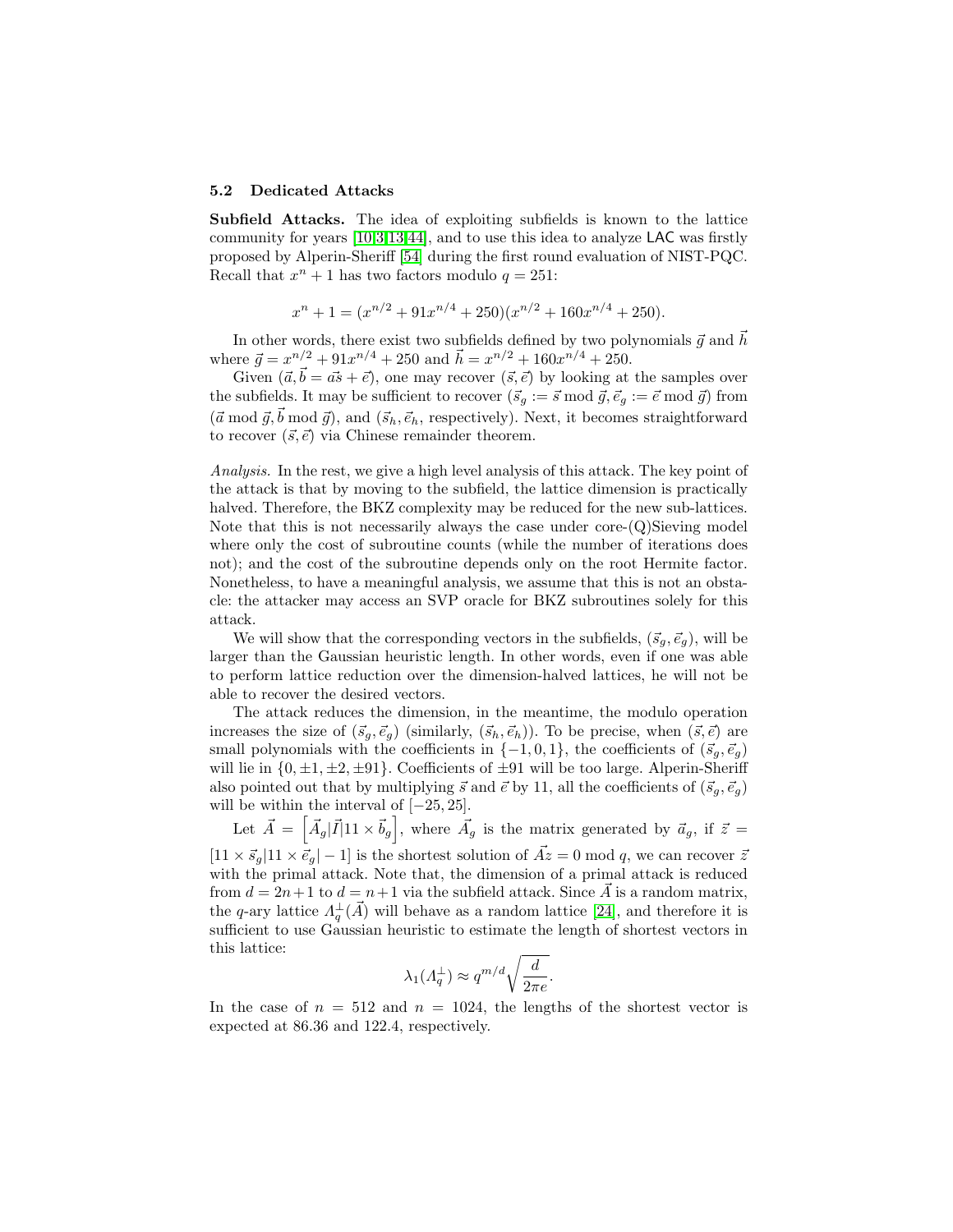#### 5.2 Dedicated Attacks

Subfield Attacks. The idea of exploiting subfields is known to the lattice community for years [\[10,](#page-30-10)[3,](#page-29-2)[13](#page-30-11)[,44\]](#page-32-11), and to use this idea to analyze LAC was firstly proposed by Alperin-Sheriff [\[54\]](#page-33-12) during the first round evaluation of NIST-PQC. Recall that  $x^n + 1$  has two factors modulo  $q = 251$ :

$$
x^{n} + 1 = (x^{n/2} + 91x^{n/4} + 250)(x^{n/2} + 160x^{n/4} + 250).
$$

In other words, there exist two subfields defined by two polynomials  $\vec{q}$  and  $\vec{h}$ where  $\vec{g} = x^{n/2} + 91x^{n/4} + 250$  and  $\vec{h} = x^{n/2} + 160x^{n/4} + 250$ .

Given  $(\vec{a}, \vec{b} = \vec{as} + \vec{e})$ , one may recover  $(\vec{s}, \vec{e})$  by looking at the samples over the subfields. It may be sufficient to recover  $({\vec s}_g := {\vec s} \bmod {\vec g}, {\vec e}_g := {\vec e} \bmod {\vec g}$  from  $({\vec{a}} \bmod {\vec{g}}, {\vec{b}} \bmod {\vec{g}})$ , and  $({\vec{s}}_h, {\vec{e}}_h$ , respectively). Next, it becomes straightforward to recover  $(\vec{s}, \vec{e})$  via Chinese remainder theorem.

Analysis. In the rest, we give a high level analysis of this attack. The key point of the attack is that by moving to the subfield, the lattice dimension is practically halved. Therefore, the BKZ complexity may be reduced for the new sub-lattices. Note that this is not necessarily always the case under core-(Q)Sieving model where only the cost of subroutine counts (while the number of iterations does not); and the cost of the subroutine depends only on the root Hermite factor. Nonetheless, to have a meaningful analysis, we assume that this is not an obstacle: the attacker may access an SVP oracle for BKZ subroutines solely for this attack.

We will show that the corresponding vectors in the subfields,  $(\vec{s}_q, \vec{e}_q)$ , will be larger than the Gaussian heuristic length. In other words, even if one was able to perform lattice reduction over the dimension-halved lattices, he will not be able to recover the desired vectors.

The attack reduces the dimension, in the meantime, the modulo operation increases the size of  $(\vec{s}_g, \vec{e}_g)$  (similarly,  $(\vec{s}_h, \vec{e}_h)$ ). To be precise, when  $(\vec{s}, \vec{e})$  are small polynomials with the coefficients in  $\{-1,0,1\}$ , the coefficients of  $(\vec{s}_q, \vec{e}_q)$ will lie in  $\{0, \pm 1, \pm 2, \pm 91\}$ . Coefficients of  $\pm 91$  will be too large. Alperin-Sheriff also pointed out that by multiplying  $\vec{s}$  and  $\vec{e}$  by 11, all the coefficients of  $(\vec{s}_q, \vec{e}_q)$ will be within the interval of  $[-25, 25]$ .

Let  $\vec{A} = \begin{bmatrix} \vec{A}_g | \vec{I} | 11 \times \vec{b}_g \end{bmatrix}$ , where  $\vec{A}_g$  is the matrix generated by  $\vec{a}_g$ , if  $\vec{z} =$  $[11 \times \vec{s}_q]$   $[11 \times \vec{e}_q]$  – 1] is the shortest solution of  $\vec{Az} = 0 \mod q$ , we can recover  $\vec{z}$ with the primal attack. Note that, the dimension of a primal attack is reduced from  $d = 2n+1$  to  $d = n+1$  via the subfield attack. Since  $\vec{A}$  is a random matrix, the q-ary lattice  $\Lambda_q^{\perp}(\vec{A})$  will behave as a random lattice [\[24\]](#page-31-13), and therefore it is sufficient to use Gaussian heuristic to estimate the length of shortest vectors in this lattice:

$$
\lambda_1(A_q^{\perp}) \approx q^{m/d} \sqrt{\frac{d}{2\pi e}}.
$$

In the case of  $n = 512$  and  $n = 1024$ , the lengths of the shortest vector is expected at 86.36 and 122.4, respectively.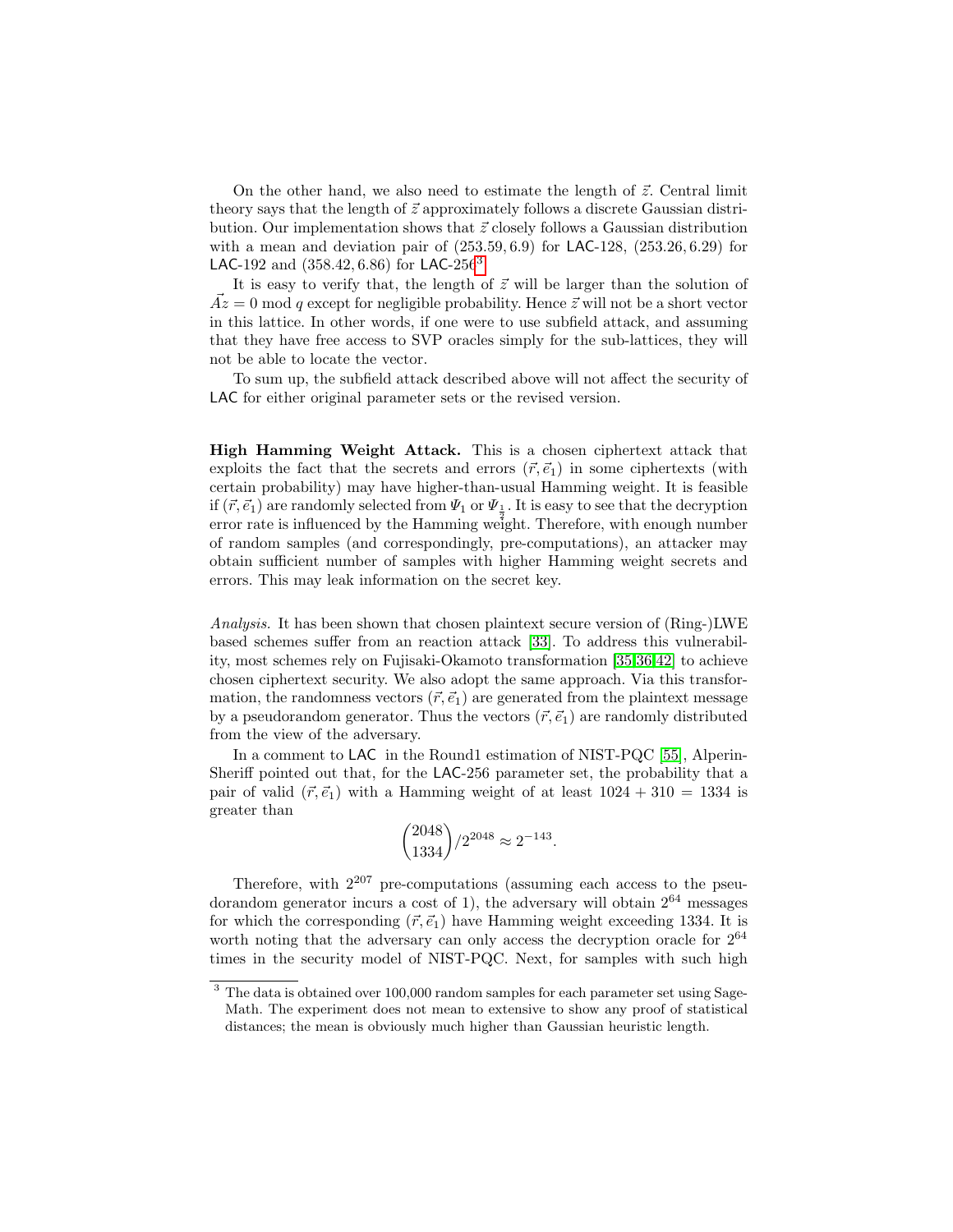On the other hand, we also need to estimate the length of  $\vec{z}$ . Central limit theory says that the length of  $\vec{z}$  approximately follows a discrete Gaussian distribution. Our implementation shows that  $\vec{z}$  closely follows a Gaussian distribution with a mean and deviation pair of  $(253.59, 6.9)$  for LAC-128,  $(253.26, 6.29)$  for LAC-192 and  $(358.42, 6.86)$  $(358.42, 6.86)$  $(358.42, 6.86)$  for LAC-256<sup>3</sup>.

It is easy to verify that, the length of  $\vec{z}$  will be larger than the solution of  $\overrightarrow{Az} = 0$  mod q except for negligible probability. Hence  $\overrightarrow{z}$  will not be a short vector in this lattice. In other words, if one were to use subfield attack, and assuming that they have free access to SVP oracles simply for the sub-lattices, they will not be able to locate the vector.

To sum up, the subfield attack described above will not affect the security of LAC for either original parameter sets or the revised version.

High Hamming Weight Attack. This is a chosen ciphertext attack that exploits the fact that the secrets and errors  $(\vec{r}, \vec{e}_1)$  in some ciphertexts (with certain probability) may have higher-than-usual Hamming weight. It is feasible if  $(\vec{r}, \vec{e}_1)$  are randomly selected from  $\Psi_1$  or  $\Psi_{\frac{1}{2}}$ . It is easy to see that the decryption error rate is influenced by the Hamming weight. Therefore, with enough number of random samples (and correspondingly, pre-computations), an attacker may obtain sufficient number of samples with higher Hamming weight secrets and errors. This may leak information on the secret key.

Analysis. It has been shown that chosen plaintext secure version of (Ring-)LWE based schemes suffer from an reaction attack [\[33\]](#page-32-12). To address this vulnerability, most schemes rely on Fujisaki-Okamoto transformation [\[35,](#page-32-8)[36,](#page-32-9)[42\]](#page-32-10) to achieve chosen ciphertext security. We also adopt the same approach. Via this transformation, the randomness vectors  $(\vec{r}, \vec{e}_1)$  are generated from the plaintext message by a pseudorandom generator. Thus the vectors  $(\vec{r}, \vec{e}_1)$  are randomly distributed from the view of the adversary.

In a comment to LAC in the Round1 estimation of NIST-PQC [\[55\]](#page-33-0), Alperin-Sheriff pointed out that, for the LAC-256 parameter set, the probability that a pair of valid  $(\vec{r}, \vec{e}_1)$  with a Hamming weight of at least  $1024 + 310 = 1334$  is greater than

$$
\binom{2048}{1334}/2^{2048} \approx 2^{-143}.
$$

Therefore, with  $2^{207}$  pre-computations (assuming each access to the pseudorandom generator incurs a cost of 1), the adversary will obtain  $2^{64}$  messages for which the corresponding  $(\vec{r}, \vec{e}_1)$  have Hamming weight exceeding 1334. It is worth noting that the adversary can only access the decryption oracle for  $2^{64}$ times in the security model of NIST-PQC. Next, for samples with such high

<span id="page-20-0"></span><sup>&</sup>lt;sup>3</sup> The data is obtained over 100,000 random samples for each parameter set using Sage-Math. The experiment does not mean to extensive to show any proof of statistical distances; the mean is obviously much higher than Gaussian heuristic length.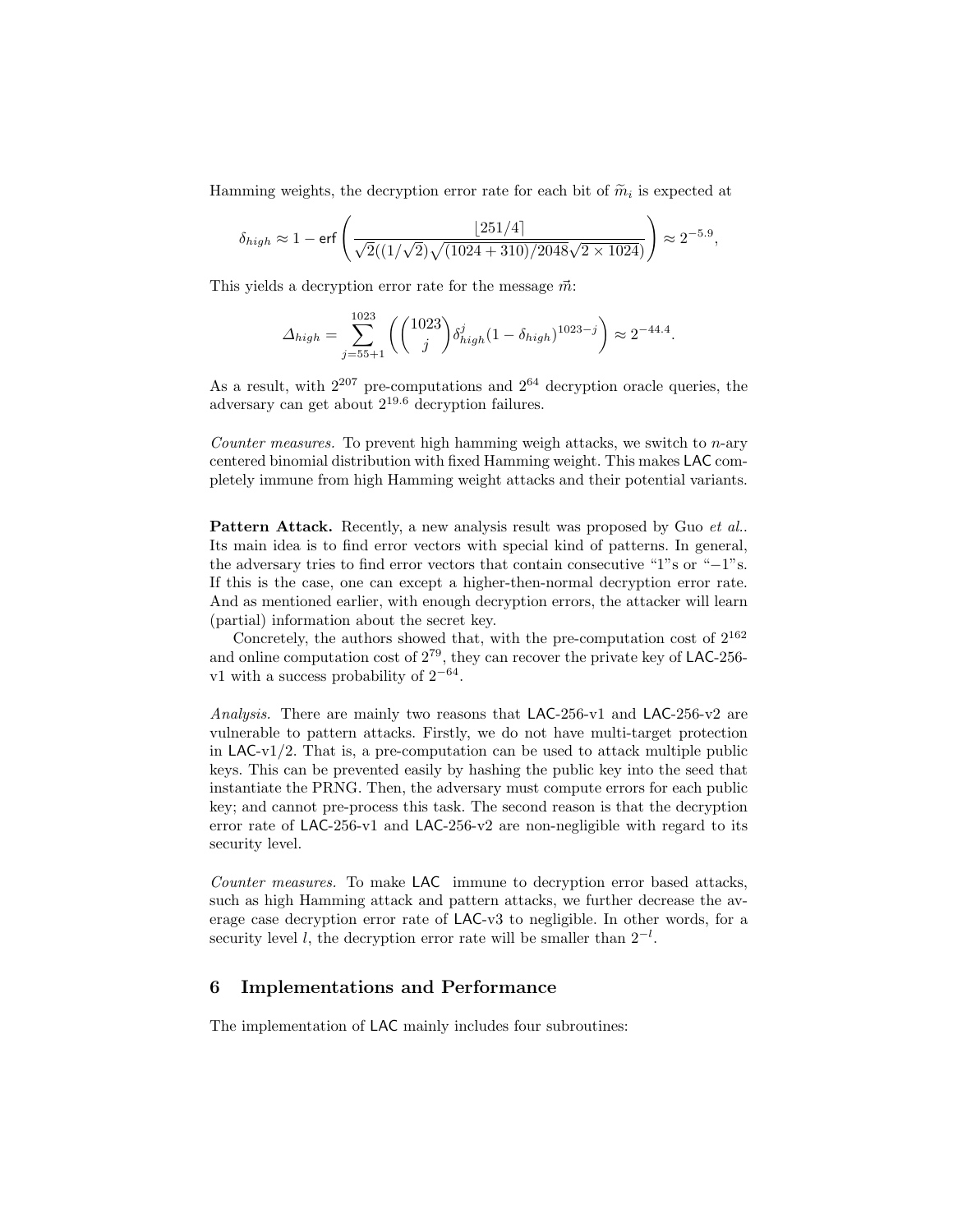Hamming weights, the decryption error rate for each bit of  $\tilde{m}_i$  is expected at

$$
\delta_{high} \approx 1 - \text{erf}\left(\frac{\lfloor 251/4\rfloor}{\sqrt{2}((1/\sqrt{2})\sqrt{(1024+310)/2048\sqrt{2 \times 1024}})}\right) \approx 2^{-5.9},
$$

This yields a decryption error rate for the message  $\vec{m}$ :

$$
\Delta_{high} = \sum_{j=55+1}^{1023} \left( \binom{1023}{j} \delta_{high}^j (1 - \delta_{high})^{1023 - j} \right) \approx 2^{-44.4}.
$$

As a result, with  $2^{207}$  pre-computations and  $2^{64}$  decryption oracle queries, the adversary can get about 219.<sup>6</sup> decryption failures.

Counter measures. To prevent high hamming weigh attacks, we switch to n-ary centered binomial distribution with fixed Hamming weight. This makes LAC completely immune from high Hamming weight attacks and their potential variants.

Pattern Attack. Recently, a new analysis result was proposed by Guo et al.. Its main idea is to find error vectors with special kind of patterns. In general, the adversary tries to find error vectors that contain consecutive "1"s or "−1"s. If this is the case, one can except a higher-then-normal decryption error rate. And as mentioned earlier, with enough decryption errors, the attacker will learn (partial) information about the secret key.

Concretely, the authors showed that, with the pre-computation cost of  $2^{162}$ and online computation cost of  $2^{79}$ , they can recover the private key of LAC-256v1 with a success probability of  $2^{-64}$ .

Analysis. There are mainly two reasons that LAC-256-v1 and LAC-256-v2 are vulnerable to pattern attacks. Firstly, we do not have multi-target protection in  $LAC-v1/2$ . That is, a pre-computation can be used to attack multiple public keys. This can be prevented easily by hashing the public key into the seed that instantiate the PRNG. Then, the adversary must compute errors for each public key; and cannot pre-process this task. The second reason is that the decryption error rate of LAC-256-v1 and LAC-256-v2 are non-negligible with regard to its security level.

Counter measures. To make LAC immune to decryption error based attacks, such as high Hamming attack and pattern attacks, we further decrease the average case decryption error rate of LAC-v3 to negligible. In other words, for a security level l, the decryption error rate will be smaller than  $2^{-l}$ .

## 6 Implementations and Performance

The implementation of LAC mainly includes four subroutines: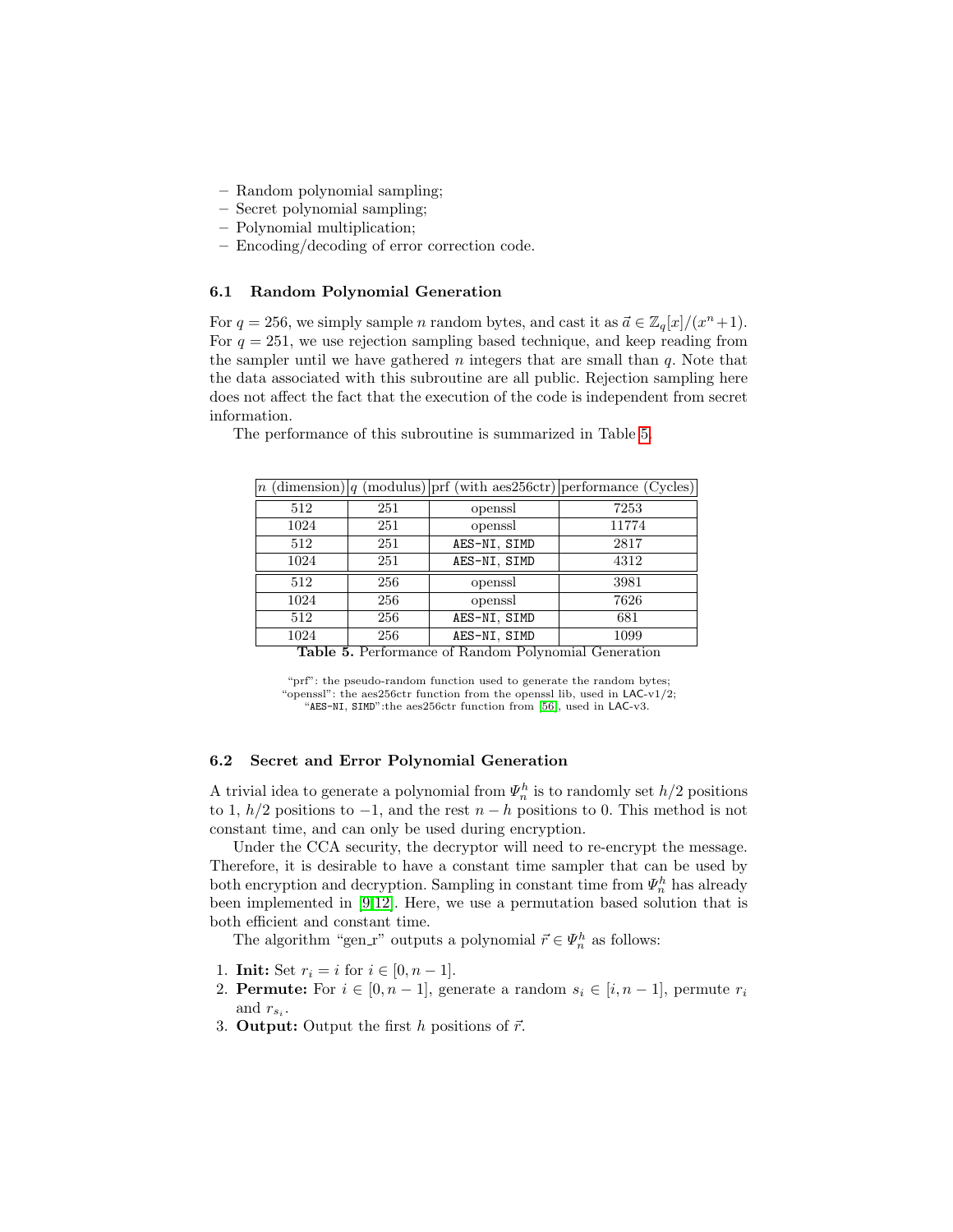- Random polynomial sampling;
- Secret polynomial sampling;
- Polynomial multiplication;
- Encoding/decoding of error correction code.

### 6.1 Random Polynomial Generation

For  $q = 256$ , we simply sample *n* random bytes, and cast it as  $\vec{a} \in \mathbb{Z}_q[x]/(x^n+1)$ . For  $q = 251$ , we use rejection sampling based technique, and keep reading from the sampler until we have gathered  $n$  integers that are small than  $q$ . Note that the data associated with this subroutine are all public. Rejection sampling here does not affect the fact that the execution of the code is independent from secret information.

|      |     |              | $\lfloor n \text{ (dimension)} \rfloor q \text{ (modulus)} \rfloor$ prf (with aes 256ctr) performance (Cycles) |
|------|-----|--------------|----------------------------------------------------------------------------------------------------------------|
| 512  | 251 | openssl      | 7253                                                                                                           |
| 1024 | 251 | openssl      | 11774                                                                                                          |
| 512  | 251 | AES-NI, SIMD | 2817                                                                                                           |
| 1024 | 251 | AES-NI, SIMD | 4312                                                                                                           |
| 512  | 256 | openssl      | 3981                                                                                                           |
| 1024 | 256 | openssl      | 7626                                                                                                           |
| 512  | 256 | AES-NI, SIMD | 681                                                                                                            |
| 1024 | 256 | AES-NI, SIMD | 1099                                                                                                           |

The performance of this subroutine is summarized in Table [5.](#page-22-0)

<span id="page-22-0"></span>Table 5. Performance of Random Polynomial Generation

"prf": the pseudo-random function used to generate the random bytes; "openssl": the aes256ctr function from the openssl lib, used in LAC-v1/2; "AES-NI, SIMD":the aes256ctr function from [\[56\]](#page-33-15), used in LAC-v3.

## 6.2 Secret and Error Polynomial Generation

A trivial idea to generate a polynomial from  $\Psi_n^h$  is to randomly set  $h/2$  positions to 1,  $h/2$  positions to  $-1$ , and the rest  $n - h$  positions to 0. This method is not constant time, and can only be used during encryption.

Under the CCA security, the decryptor will need to re-encrypt the message. Therefore, it is desirable to have a constant time sampler that can be used by both encryption and decryption. Sampling in constant time from  $\Psi_n^h$  has already been implemented in [\[9,](#page-30-5)[12\]](#page-30-12). Here, we use a permutation based solution that is both efficient and constant time.

The algorithm "gen\_r" outputs a polynomial  $\vec{r} \in \Psi_n^h$  as follows:

- 1. **Init:** Set  $r_i = i$  for  $i \in [0, n-1]$ .
- 2. **Permute:** For  $i \in [0, n-1]$ , generate a random  $s_i \in [i, n-1]$ , permute  $r_i$ and  $r_{s_i}$ .
- 3. **Output:** Output the first h positions of  $\vec{r}$ .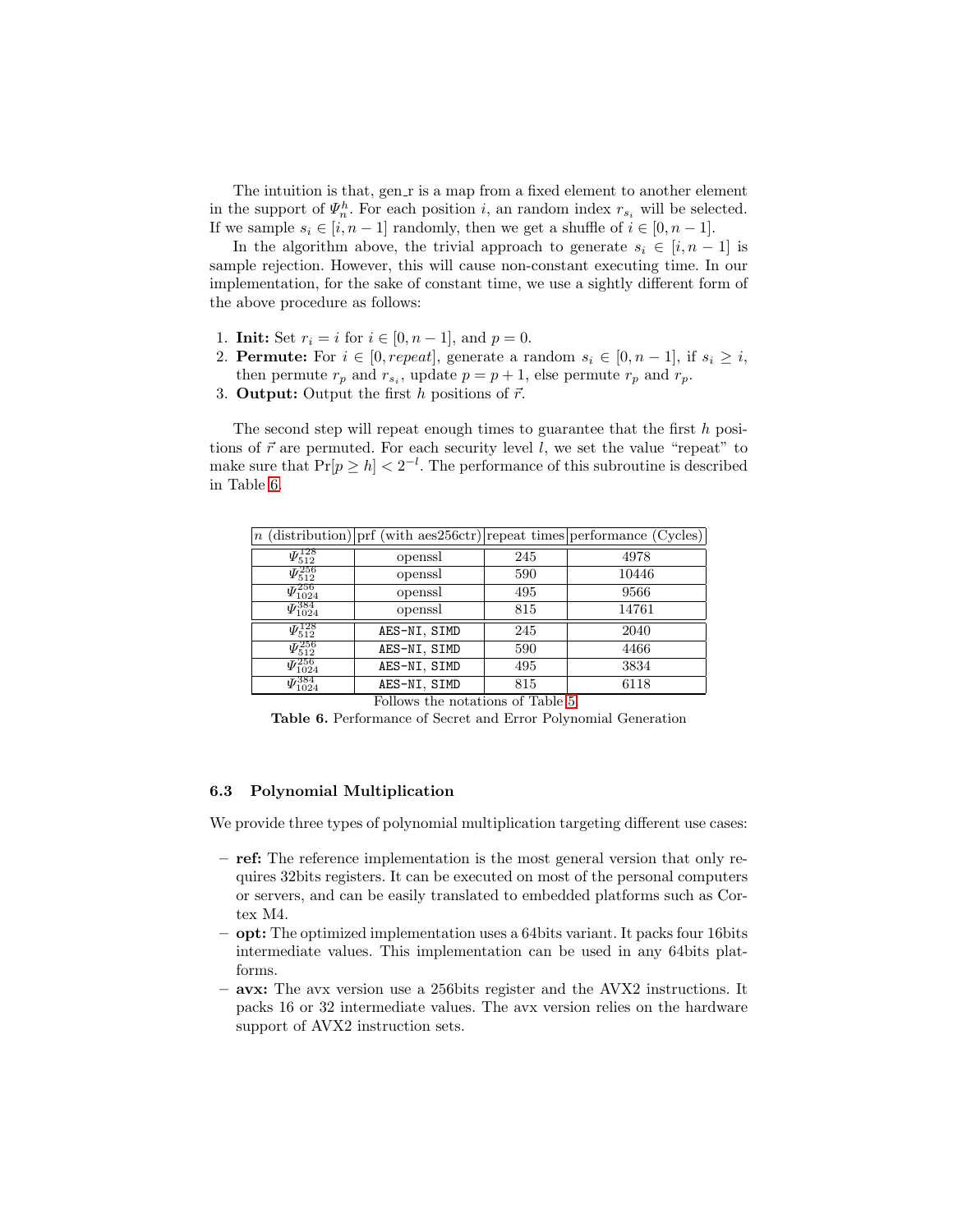The intuition is that, gen  $r$  is a map from a fixed element to another element in the support of  $\Psi_n^h$ . For each position *i*, an random index  $r_{s_i}$  will be selected. If we sample  $s_i \in [i, n-1]$  randomly, then we get a shuffle of  $i \in [0, n-1]$ .

In the algorithm above, the trivial approach to generate  $s_i \in [i, n-1]$  is sample rejection. However, this will cause non-constant executing time. In our implementation, for the sake of constant time, we use a sightly different form of the above procedure as follows:

- 1. **Init:** Set  $r_i = i$  for  $i \in [0, n-1]$ , and  $p = 0$ .
- 2. **Permute:** For  $i \in [0, repeat]$ , generate a random  $s_i \in [0, n-1]$ , if  $s_i \geq i$ , then permute  $r_p$  and  $r_{s_i}$ , update  $p = p + 1$ , else permute  $r_p$  and  $r_p$ .
- 3. **Output:** Output the first h positions of  $\vec{r}$ .

The second step will repeat enough times to guarantee that the first h positions of  $\vec{r}$  are permuted. For each security level l, we set the value "repeat" to make sure that  $Pr[p \ge h] < 2^{-l}$ . The performance of this subroutine is described in Table [6.](#page-23-0)

|                                         |              |     | $n$ (distribution) prf (with aes256ctr) repeat times performance (Cycles) |
|-----------------------------------------|--------------|-----|---------------------------------------------------------------------------|
| $\varPsi_{512}^{128}$                   | openssl      | 245 | 4978                                                                      |
| $\Psi_{512}^{256}$                      | openssl      | 590 | 10446                                                                     |
| $\varPsi_{1024}^{256}$                  | openssl      | 495 | 9566                                                                      |
| $\varPsi_{1024}^{384}$                  | openssl      | 815 | 14761                                                                     |
| $\varPsi_{512}^{128}$                   | AES-NI, SIMD | 245 | 2040                                                                      |
| $\Psi_{512}^{256}$                      | AES-NI, SIMD | 590 | 4466                                                                      |
| $\overline{\mathit{\Psi}_{1024}^{256}}$ | AES-NI, SIMD | 495 | 3834                                                                      |
| $\varPsi_{1024}^{384}$                  | AES-NI, SIMD | 815 | 6118                                                                      |

<span id="page-23-0"></span>Follows the notations of Table [5.](#page-22-0)

Table 6. Performance of Secret and Error Polynomial Generation

## 6.3 Polynomial Multiplication

We provide three types of polynomial multiplication targeting different use cases:

- ref: The reference implementation is the most general version that only requires 32bits registers. It can be executed on most of the personal computers or servers, and can be easily translated to embedded platforms such as Cortex M4.
- opt: The optimized implementation uses a 64bits variant. It packs four 16bits intermediate values. This implementation can be used in any 64bits platforms.
- avx: The avx version use a 256bits register and the AVX2 instructions. It packs 16 or 32 intermediate values. The avx version relies on the hardware support of AVX2 instruction sets.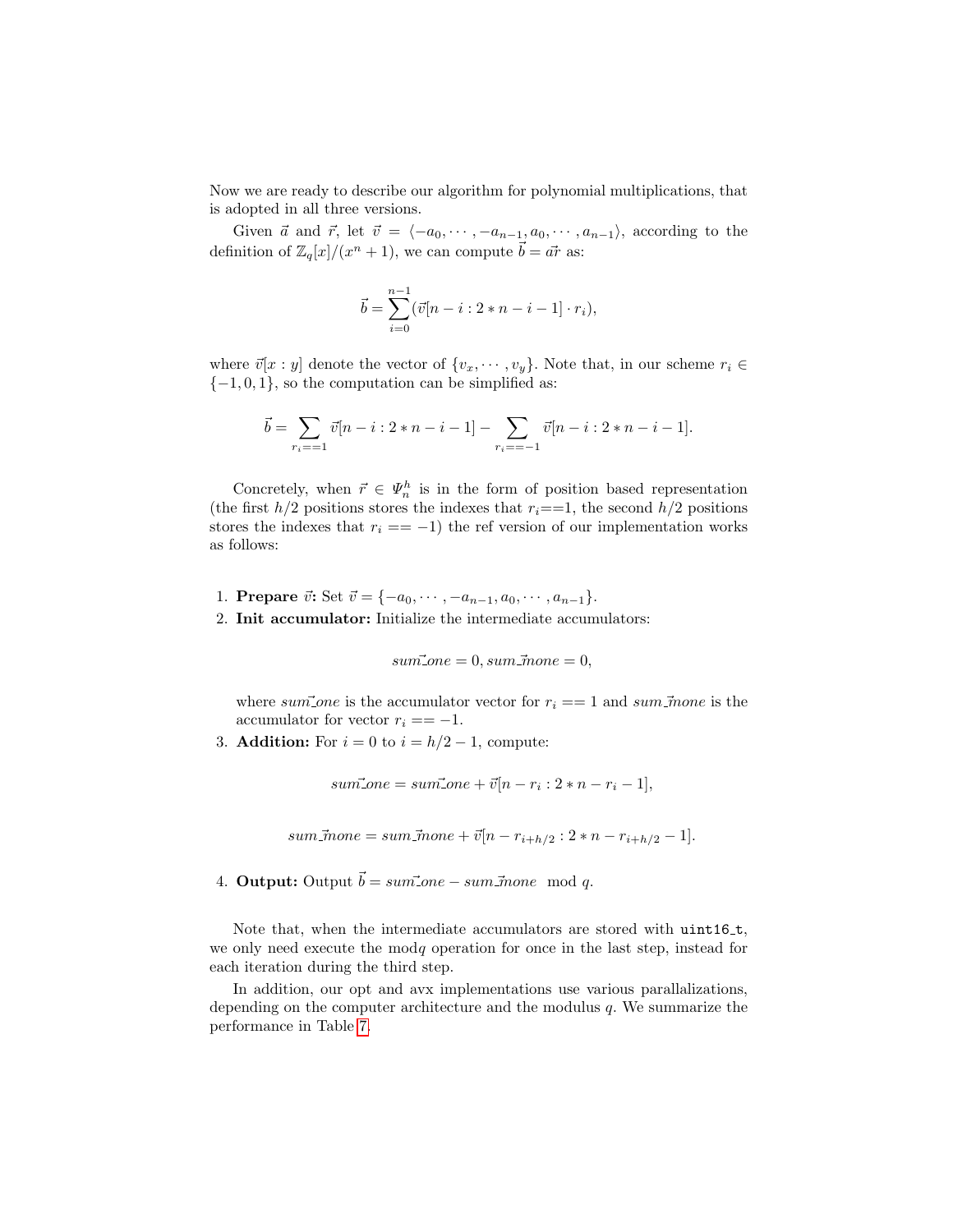Now we are ready to describe our algorithm for polynomial multiplications, that is adopted in all three versions.

Given  $\vec{a}$  and  $\vec{r}$ , let  $\vec{v} = \langle -a_0, \dots, -a_{n-1}, a_0, \dots, a_{n-1} \rangle$ , according to the definition of  $\mathbb{Z}_q[x]/(x^n + 1)$ , we can compute  $\vec{b} = \vec{ar}$  as:

$$
\vec{b} = \sum_{i=0}^{n-1} (\vec{v}[n-i:2*n-i-1] \cdot r_i),
$$

where  $\vec{v}[x : y]$  denote the vector of  $\{v_x, \dots, v_y\}$ . Note that, in our scheme  $r_i \in$  ${-1, 0, 1}$ , so the computation can be simplified as:

$$
\vec{b} = \sum_{r_i = -1} \vec{v}[n - i : 2 * n - i - 1] - \sum_{r_i = -1} \vec{v}[n - i : 2 * n - i - 1].
$$

Concretely, when  $\vec{r} \in \Psi_n^h$  is in the form of position based representation (the first  $h/2$  positions stores the indexes that  $r_i == 1$ , the second  $h/2$  positions stores the indexes that  $r_i = -1$ ) the ref version of our implementation works as follows:

- 1. Prepare  $\vec{v}$ : Set  $\vec{v} = \{-a_0, \dots, -a_{n-1}, a_0, \dots, a_{n-1}\}.$
- 2. Init accumulator: Initialize the intermediate accumulators:

$$
sum\_one = 0, sum\_\overline{m}one = 0,
$$

where sum one is the accumulator vector for  $r_i == 1$  and sum mone is the accumulator for vector  $r_i = -1$ .

3. **Addition:** For  $i = 0$  to  $i = h/2 - 1$ , compute:

 $sum\_{one} = sum\_{one} + \vec{v}[n - r_i : 2 * n - r_i - 1],$ 

sum
$$
\bar{m}one = sum\bar{m}one + \bar{v}[n - r_{i+h/2} : 2 * n - r_{i+h/2} - 1].
$$

4. Output: Output  $\vec{b} = sum\vec{c}$  one  $-sum\vec{c}$  mone mod q.

Note that, when the intermediate accumulators are stored with  $uint16_t$ , we only need execute the modq operation for once in the last step, instead for each iteration during the third step.

In addition, our opt and avx implementations use various parallalizations, depending on the computer architecture and the modulus  $q$ . We summarize the performance in Table [7.](#page-25-0)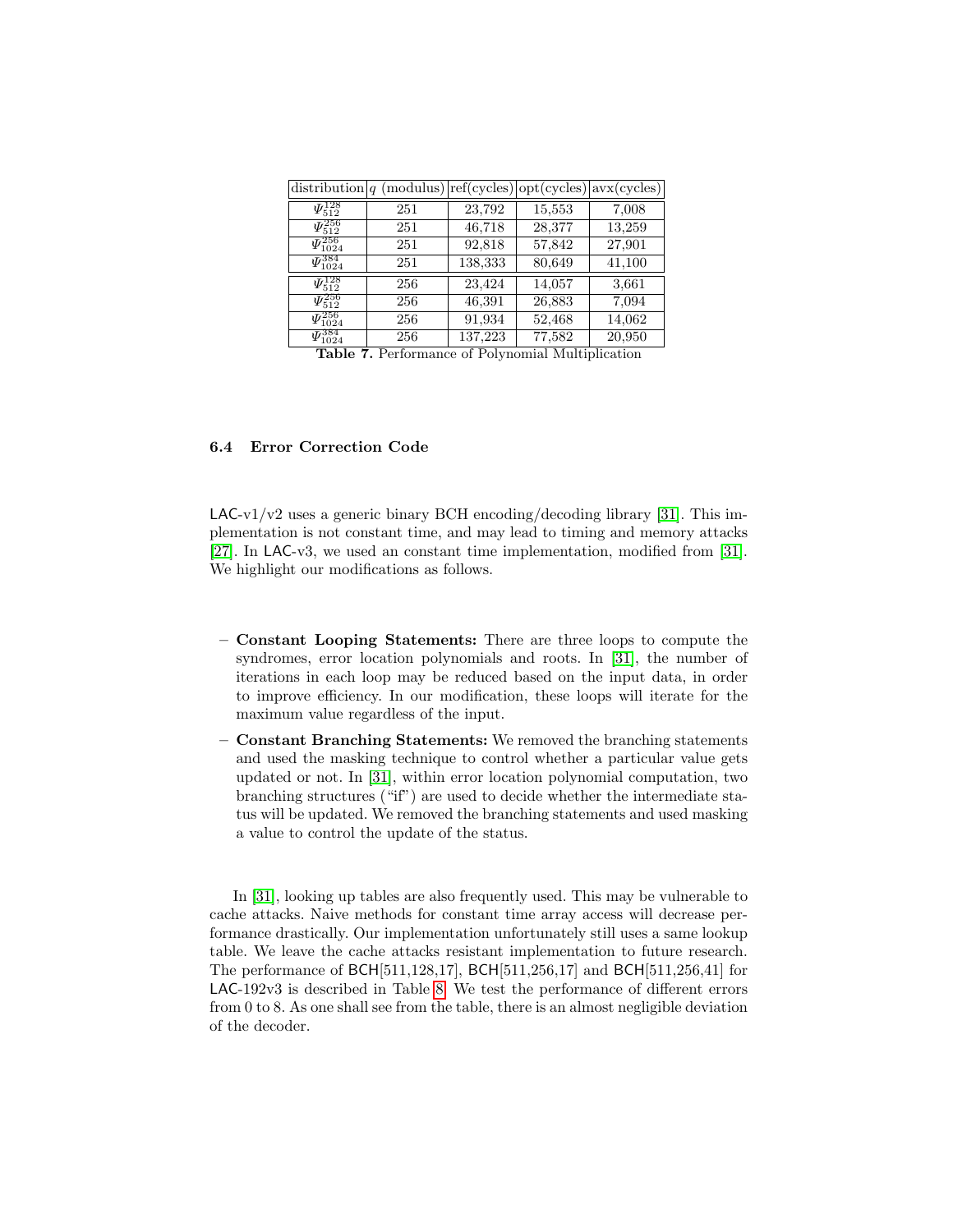| $\frac{distribution}{q}$                |     |         |        | $(modulus)$ ref(cycles)   opt(cycles)   avx(cycles) |
|-----------------------------------------|-----|---------|--------|-----------------------------------------------------|
| $\Psi_{512}^{128}$                      | 251 | 23,792  | 15,553 | 7,008                                               |
| $\varPsi_{512}^{256}$                   | 251 | 46,718  | 28,377 | 13,259                                              |
| $\varPsi^{256}_{1024}$                  | 251 | 92,818  | 57,842 | 27,901                                              |
| $\varPsi^{384}_{1024}$                  | 251 | 138,333 | 80,649 | 41,100                                              |
| $\varPsi_{512}^{128}$                   | 256 | 23,424  | 14,057 | 3,661                                               |
| $\varPsi_{512}^{256}$                   | 256 | 46,391  | 26,883 | 7,094                                               |
| $\overline{\mathit{\Psi}_{1024}^{256}}$ | 256 | 91,934  | 52,468 | 14,062                                              |
| $\varPsi_{1024}^{384}$                  | 256 | 137,223 | 77,582 | 20,950                                              |

<span id="page-25-0"></span>Table 7. Performance of Polynomial Multiplication

### 6.4 Error Correction Code

 $LAC-v1/v2$  uses a generic binary BCH encoding/decoding library [\[31\]](#page-32-13). This implementation is not constant time, and may lead to timing and memory attacks [\[27\]](#page-31-6). In LAC-v3, we used an constant time implementation, modified from [\[31\]](#page-32-13). We highlight our modifications as follows.

- Constant Looping Statements: There are three loops to compute the syndromes, error location polynomials and roots. In [\[31\]](#page-32-13), the number of iterations in each loop may be reduced based on the input data, in order to improve efficiency. In our modification, these loops will iterate for the maximum value regardless of the input.
- Constant Branching Statements: We removed the branching statements and used the masking technique to control whether a particular value gets updated or not. In [\[31\]](#page-32-13), within error location polynomial computation, two branching structures ("if") are used to decide whether the intermediate status will be updated. We removed the branching statements and used masking a value to control the update of the status.

In [\[31\]](#page-32-13), looking up tables are also frequently used. This may be vulnerable to cache attacks. Naive methods for constant time array access will decrease performance drastically. Our implementation unfortunately still uses a same lookup table. We leave the cache attacks resistant implementation to future research. The performance of BCH[511,128,17], BCH[511,256,17] and BCH[511,256,41] for LAC-192v3 is described in Table [8.](#page-26-0) We test the performance of different errors from 0 to 8. As one shall see from the table, there is an almost negligible deviation of the decoder.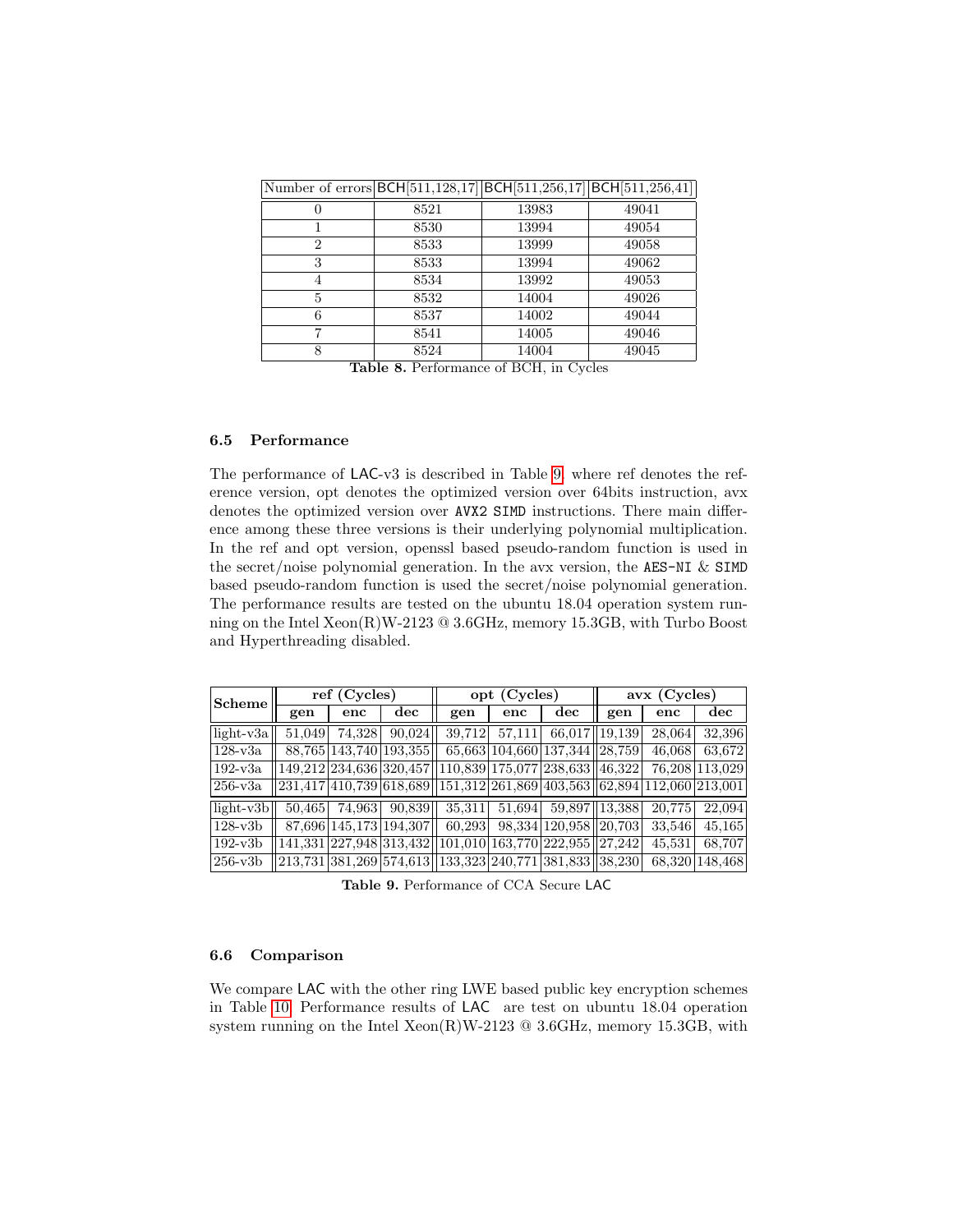| Number of errors BCH [511, 128, 17] BCH [511, 256, 17] BCH [511, 256, 41] |      |       |       |
|---------------------------------------------------------------------------|------|-------|-------|
| 0                                                                         | 8521 | 13983 | 49041 |
|                                                                           | 8530 | 13994 | 49054 |
| 2                                                                         | 8533 | 13999 | 49058 |
| 3                                                                         | 8533 | 13994 | 49062 |
| 4                                                                         | 8534 | 13992 | 49053 |
| 5                                                                         | 8532 | 14004 | 49026 |
| 6                                                                         | 8537 | 14002 | 49044 |
| ⇁                                                                         | 8541 | 14005 | 49046 |
| 8                                                                         | 8524 | 14004 | 49045 |

Table 8. Performance of BCH, in Cycles

## <span id="page-26-0"></span>6.5 Performance

The performance of LAC-v3 is described in Table [9.](#page-26-1) where ref denotes the reference version, opt denotes the optimized version over 64bits instruction, avx denotes the optimized version over AVX2 SIMD instructions. There main difference among these three versions is their underlying polynomial multiplication. In the ref and opt version, openssl based pseudo-random function is used in the secret/noise polynomial generation. In the avx version, the AES-NI  $&$  SIMD based pseudo-random function is used the secret/noise polynomial generation. The performance results are tested on the ubuntu 18.04 operation system running on the Intel Xeon(R)W-2123 @ 3.6GHz, memory 15.3GB, with Turbo Boost and Hyperthreading disabled.

| Scheme             |        | ref(Cycles) |                        |                                                                                                                                                                  | opt (Cycles) |                               | $avx$ (Cycles)  |        |                |  |
|--------------------|--------|-------------|------------------------|------------------------------------------------------------------------------------------------------------------------------------------------------------------|--------------|-------------------------------|-----------------|--------|----------------|--|
|                    | gen    | enc         | $\rm{dec}$             | gen                                                                                                                                                              | enc          | $\rm{dec}$                    | gen             | enc    | $\rm{dec}$     |  |
| $\left $ light-v3a | 51.049 | 74.328      | 90.024                 | 39.712                                                                                                                                                           | 57,111       |                               | 66,017   19,139 | 28,064 | 32,396         |  |
| $128 - v3a$        |        |             | 88,765 143,740 193,355 |                                                                                                                                                                  |              | 65,663 104,660 137,344 28,759 |                 | 46,068 | 63,672         |  |
| $192-v3a$          |        |             |                        | 149,212 234,636 320,457 110,839 175,077 238,633 46,322                                                                                                           |              |                               |                 |        | 76.208 113.029 |  |
| 256-v3a            |        |             |                        | $\left 231,417\right 410,739\right 6\overline{18,689}\left \left 151,312\right 261,869\left 403,563\right \left 62,894\right 112,060\left 213,001\right \right.$ |              |                               |                 |        |                |  |
| light-v3b          | 50.465 |             | 74,963 90,839          | 35,311                                                                                                                                                           |              | 51,694 59,897 13,388          |                 | 20.775 | 22,094         |  |
| $128-y3b$          |        |             |                        | 87,696 145,173 194,307 60,293                                                                                                                                    |              | 98,334 120,958 20,703         |                 | 33.546 | 45,165         |  |
| 192-y3b            |        |             |                        | $ 141,331 227,948 313,432  101,010 163,770 222,955  27,242$                                                                                                      |              |                               |                 | 45.531 | 68,707         |  |
| 256-y3b            |        |             |                        | 213,731  381,269   574,613   133,323   240,771   381,833   38,230                                                                                                |              |                               |                 |        | 68,320 148,468 |  |

<span id="page-26-1"></span>Table 9. Performance of CCA Secure LAC

### 6.6 Comparison

We compare LAC with the other ring LWE based public key encryption schemes in Table [10.](#page-27-0) Performance results of LAC are test on ubuntu 18.04 operation system running on the Intel  $Xeon(R)W-2123 \tQ 3.6\text{GHz}$ , memory 15.3GB, with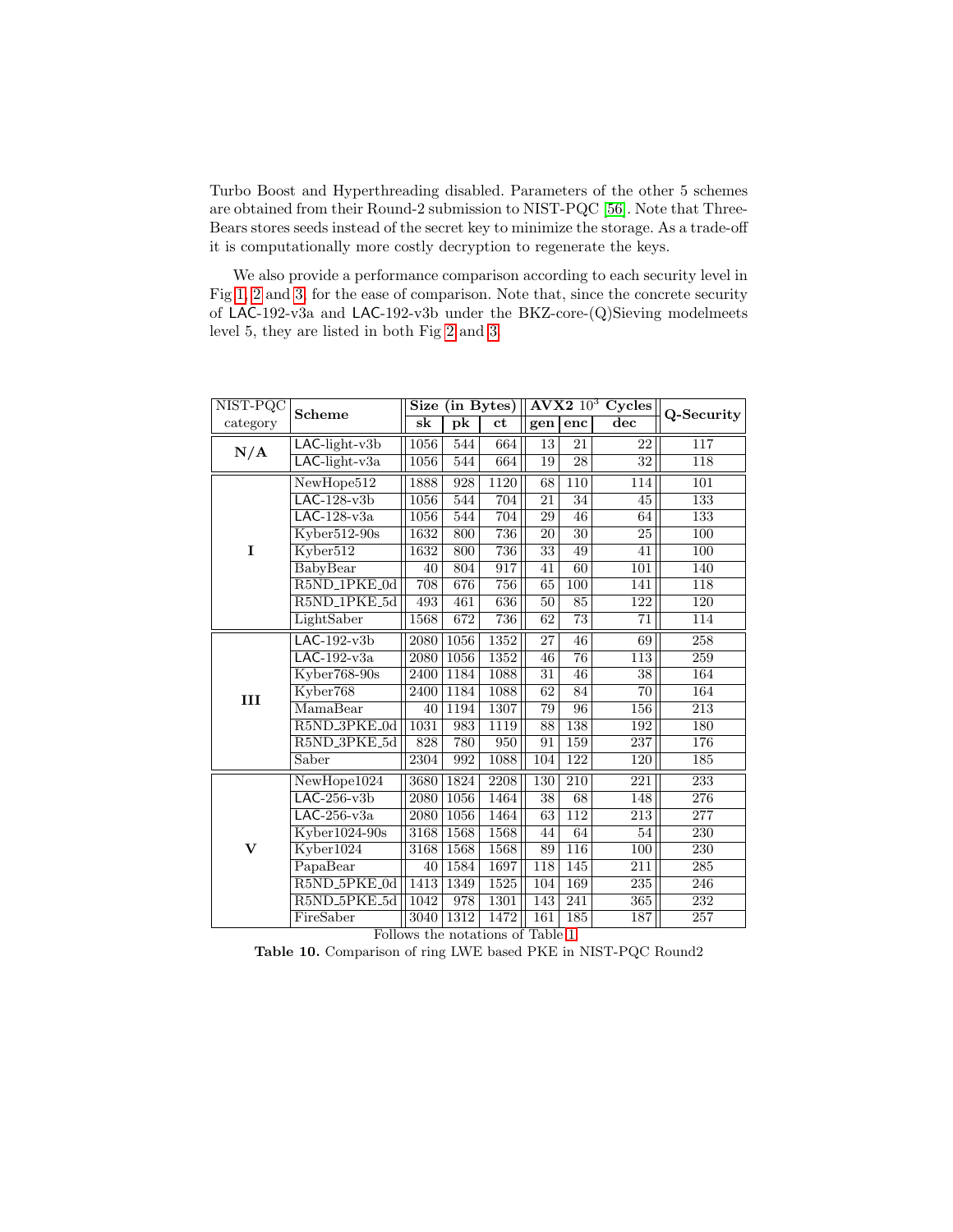Turbo Boost and Hyperthreading disabled. Parameters of the other 5 schemes are obtained from their Round-2 submission to NIST-PQC [\[56\]](#page-33-15). Note that Three-Bears stores seeds instead of the secret key to minimize the storage. As a trade-off it is computationally more costly decryption to regenerate the keys.

We also provide a performance comparison according to each security level in Fig [1,](#page-28-0) [2](#page-28-1) and [3,](#page-29-3) for the ease of comparison. Note that, since the concrete security of LAC-192-v3a and LAC-192-v3b under the BKZ-core-(Q)Sieving modelmeets level 5, they are listed in both Fig [2](#page-28-1) and [3.](#page-29-3)

| NIST-PQC     | <b>Scheme</b>                         | <b>Size</b>       |                          | (in Bytes)        |                 | $\mathbf{A}\mathbf{V}\mathbf{X}\mathbf{2}\ 10^3$ | Cycles           | Q-Security       |
|--------------|---------------------------------------|-------------------|--------------------------|-------------------|-----------------|--------------------------------------------------|------------------|------------------|
| category     |                                       | s <sub>k</sub>    | $\overline{\mathbf{pk}}$ | ct                | gen             | enc                                              | $\bf{dec}$       |                  |
| N/A          | LAC-light-v3b                         | 1056              | 544                      | 664               | 13              | 21                                               | 22               | 117              |
|              | $LAC$ -light-v3a                      | 1056              | 544                      | 664               | 19              | $\overline{28}$                                  | $\overline{32}$  | 118              |
|              | NewHope512                            | 1888              | 928                      | 1120              | 68              | 110                                              | 114              | 101              |
|              | $LAC-128-v3b$                         | 1056              | 544                      | 704               | 21              | 34                                               | 45               | 133              |
|              | $LAC-128-v3a$                         | 1056              | 544                      | 704               | 29              | 46                                               | 64               | 133              |
|              | Kyber512-90s                          | 1632              | 800                      | 736               | $\overline{20}$ | $\overline{30}$                                  | 25               | 100              |
| I            | Kyber512                              | 1632              | 800                      | 736               | $\overline{33}$ | 49                                               | 41               | 100              |
|              | BabyBear                              | 40                | 804                      | 917               | 41              | 60                                               | 101              | 140              |
|              | R5ND <sub>-1</sub> PKE <sub>-0d</sub> | 708               | 676                      | 756               | 65              | 100                                              | 141              | 118              |
|              | R5ND <sub>-1</sub> PKE <sub>-5d</sub> | 493               | 461                      | 636               | $\overline{50}$ | $\overline{85}$                                  | 122              | 120              |
|              | LightSaber                            | 1568              | 672                      | 736               | 62              | $\overline{73}$                                  | 71               | 114              |
|              | $LAC-192-v3b$                         | 2080              | 1056                     | 1352              | 27              | 46                                               | 69               | 258              |
|              | $LAC-192-v3a$                         | 2080              | 1056                     | 1352              | 46              | $\overline{76}$                                  | $\overline{113}$ | $\overline{259}$ |
|              | Kyber768-90s                          | 2400              | 1184                     | 1088              | 31              | 46                                               | 38               | 164              |
| III          | Kyber768                              | 2400              | 1184                     | 1088              | 62              | 84                                               | 70               | 164              |
|              | MamaBear                              | 40                | 1194                     | 1307              | 79              | $\overline{96}$                                  | 156              | $\overline{213}$ |
|              | R5ND_3PKE_0d                          | 1031              | 983                      | 1119              | 88              | $\overline{138}$                                 | 192              | 180              |
|              | R5ND <sub>3PKE5d</sub>                | 828               | 780                      | 950               | 91              | 159                                              | $\overline{237}$ | 176              |
|              | Saber                                 | $\overline{2304}$ | 992                      | 1088              | 104             | 122                                              | 120              | 185              |
|              | NewHope1024                           | 3680              | 1824                     | $\overline{2208}$ | 130             | 210                                              | 221              | 233              |
|              | $LAC-256-v3b$                         | 2080              | 1056                     | 1464              | 38              | 68                                               | 148              | 276              |
|              | $LAC-256-v3a$                         | 2080              | 1056                     | 1464              | $\overline{63}$ | 112                                              | 213              | 277              |
|              | Kyber1024-90s                         | 3168              | 1568                     | 1568              | 44              | 64                                               | 54               | 230              |
| $\mathbf{V}$ | Kyber1024                             | 3168              | 1568                     | 1568              | 89              | $\overline{116}$                                 | 100              | 230              |
|              | PapaBear                              | 40                | 1584                     | 1697              | 118             | 145                                              | $\overline{211}$ | 285              |
|              | R5ND_5PKE_0d                          | 1413              | 1349                     | 1525              | 104             | 169                                              | 235              | 246              |
|              | R5ND_5PKE_5d                          | 1042              | 978                      | 1301              | 143             | 241                                              | 365              | 232              |
|              | FireSaber                             | 3040              | 1312                     | 1472              | 161             | 185                                              | 187              | $257\,$          |

<span id="page-27-0"></span>Follows the notations of Table [1.](#page-6-0)

Table 10. Comparison of ring LWE based PKE in NIST-PQC Round2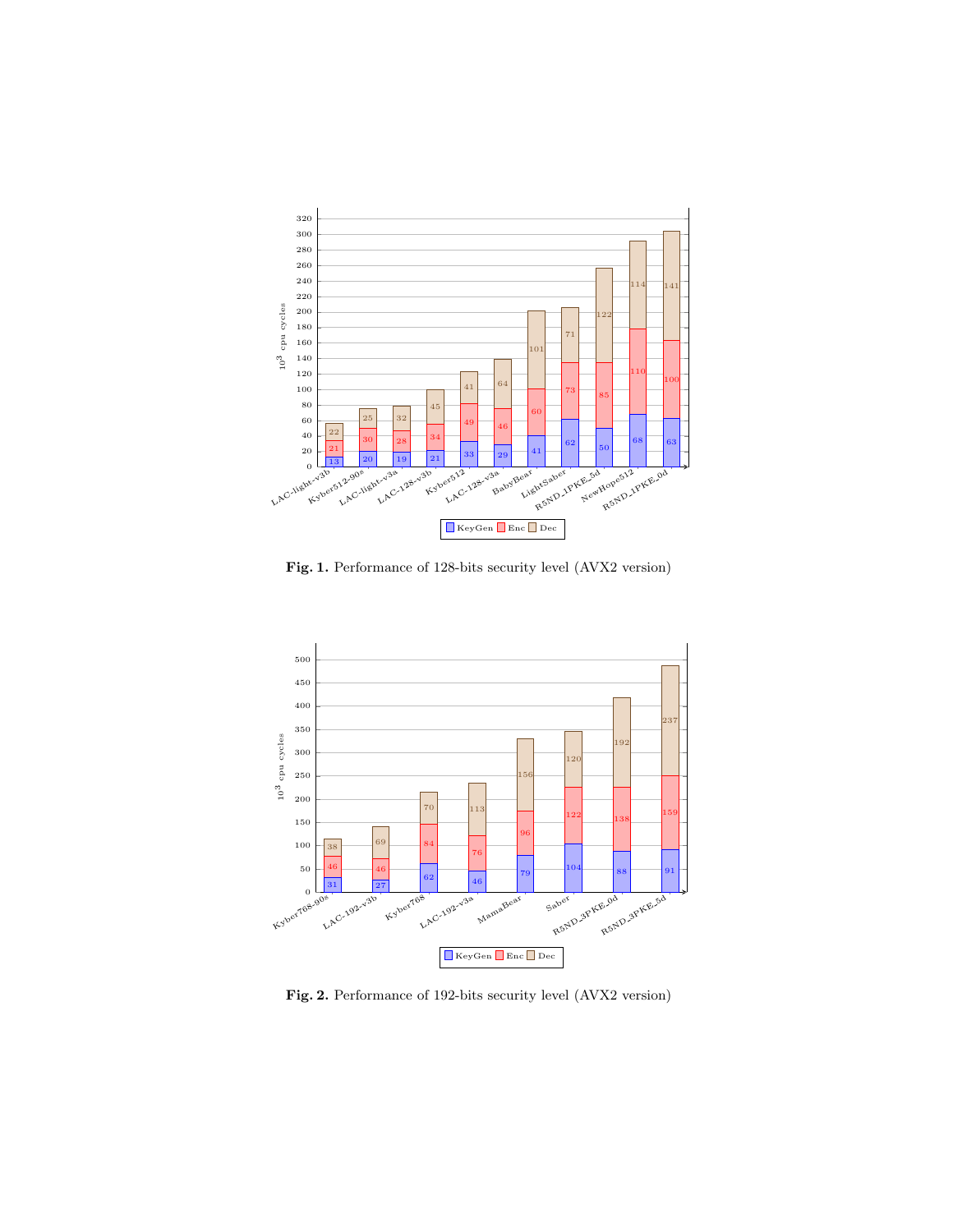

<span id="page-28-0"></span>Fig. 1. Performance of 128-bits security level (AVX2 version)



<span id="page-28-1"></span>Fig. 2. Performance of 192-bits security level (AVX2 version)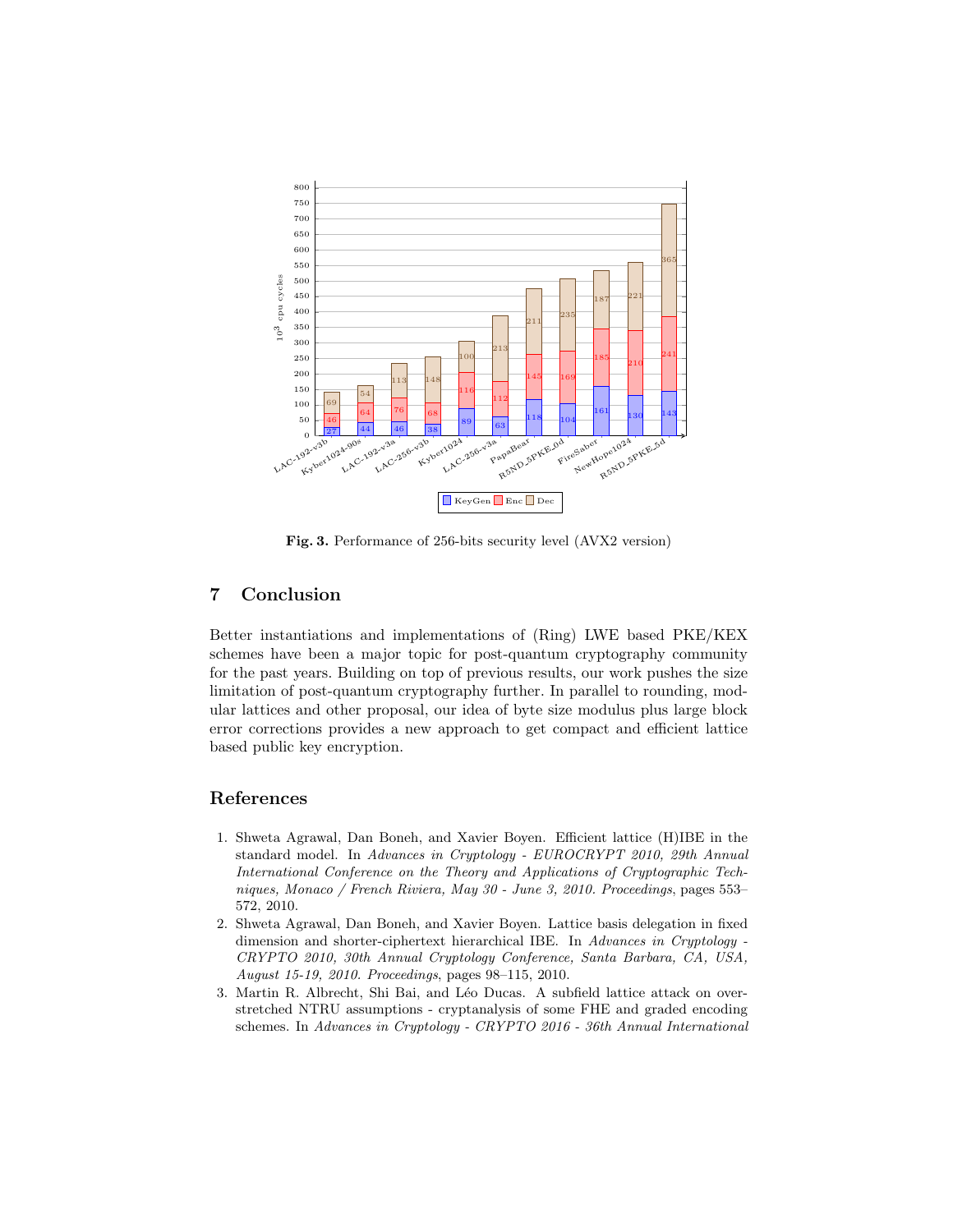

<span id="page-29-3"></span>Fig. 3. Performance of 256-bits security level (AVX2 version)

## 7 Conclusion

Better instantiations and implementations of (Ring) LWE based PKE/KEX schemes have been a major topic for post-quantum cryptography community for the past years. Building on top of previous results, our work pushes the size limitation of post-quantum cryptography further. In parallel to rounding, modular lattices and other proposal, our idea of byte size modulus plus large block error corrections provides a new approach to get compact and efficient lattice based public key encryption.

## References

- <span id="page-29-0"></span>1. Shweta Agrawal, Dan Boneh, and Xavier Boyen. Efficient lattice (H)IBE in the standard model. In Advances in Cryptology - EUROCRYPT 2010, 29th Annual International Conference on the Theory and Applications of Cryptographic Techniques, Monaco / French Riviera, May 30 - June 3, 2010. Proceedings, pages 553– 572, 2010.
- <span id="page-29-1"></span>2. Shweta Agrawal, Dan Boneh, and Xavier Boyen. Lattice basis delegation in fixed dimension and shorter-ciphertext hierarchical IBE. In Advances in Cryptology - CRYPTO 2010, 30th Annual Cryptology Conference, Santa Barbara, CA, USA, August 15-19, 2010. Proceedings, pages 98–115, 2010.
- <span id="page-29-2"></span>3. Martin R. Albrecht, Shi Bai, and Léo Ducas. A subfield lattice attack on overstretched NTRU assumptions - cryptanalysis of some FHE and graded encoding schemes. In Advances in Cryptology - CRYPTO 2016 - 36th Annual International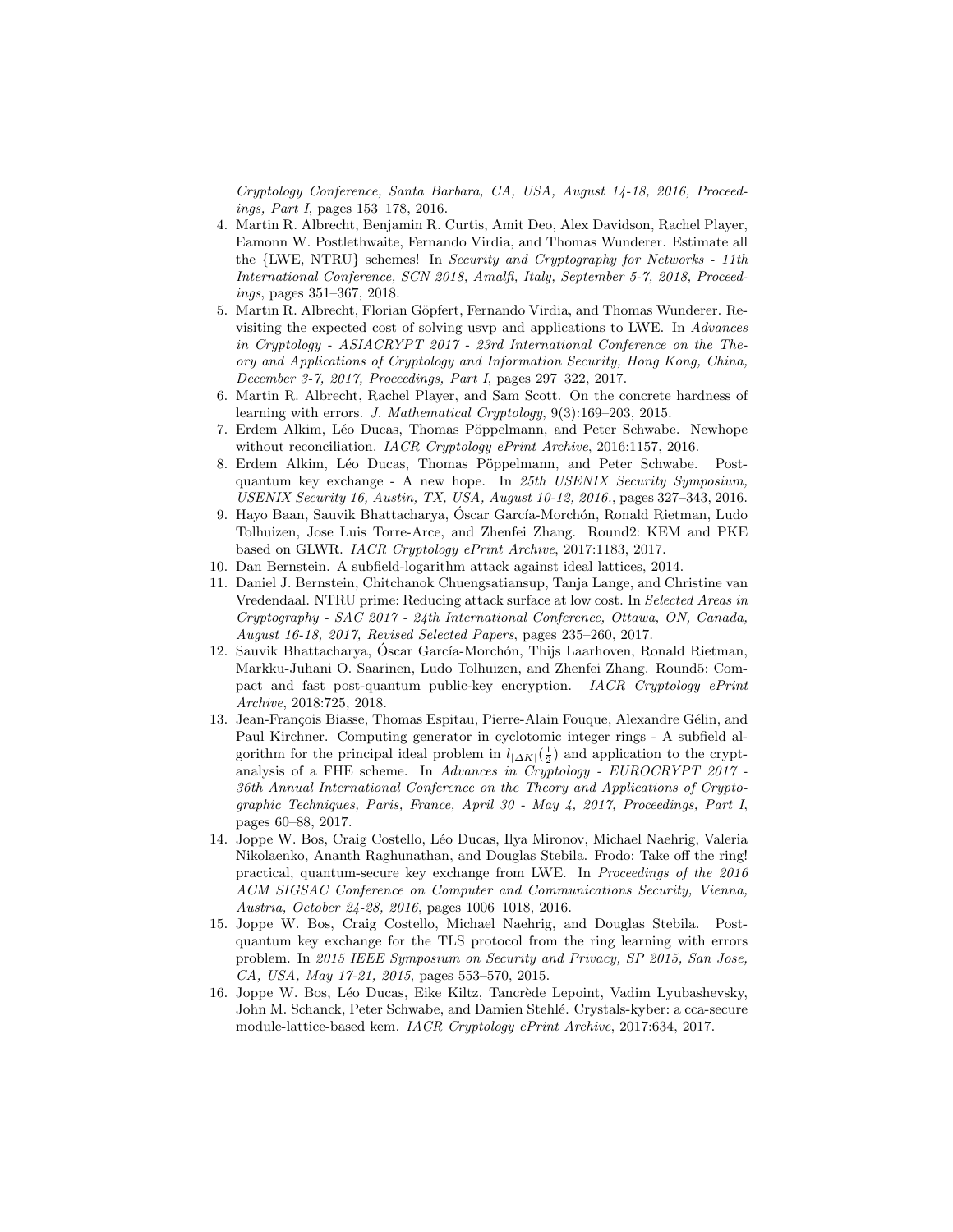Cryptology Conference, Santa Barbara, CA, USA, August 14-18, 2016, Proceedings, Part I, pages 153–178, 2016.

- <span id="page-30-8"></span>4. Martin R. Albrecht, Benjamin R. Curtis, Amit Deo, Alex Davidson, Rachel Player, Eamonn W. Postlethwaite, Fernando Virdia, and Thomas Wunderer. Estimate all the {LWE, NTRU} schemes! In Security and Cryptography for Networks - 11th International Conference, SCN 2018, Amalfi, Italy, September 5-7, 2018, Proceedings, pages 351–367, 2018.
- <span id="page-30-7"></span>5. Martin R. Albrecht, Florian Göpfert, Fernando Virdia, and Thomas Wunderer. Revisiting the expected cost of solving usvp and applications to LWE. In Advances in Cryptology - ASIACRYPT 2017 - 23rd International Conference on the Theory and Applications of Cryptology and Information Security, Hong Kong, China, December 3-7, 2017, Proceedings, Part I, pages 297–322, 2017.
- <span id="page-30-6"></span>6. Martin R. Albrecht, Rachel Player, and Sam Scott. On the concrete hardness of learning with errors. J. Mathematical Cryptology, 9(3):169–203, 2015.
- <span id="page-30-3"></span>7. Erdem Alkim, Léo Ducas, Thomas Pöppelmann, and Peter Schwabe. Newhope without reconciliation. IACR Cryptology ePrint Archive, 2016:1157, 2016.
- <span id="page-30-2"></span>8. Erdem Alkim, Léo Ducas, Thomas Pöppelmann, and Peter Schwabe. Postquantum key exchange - A new hope. In 25th USENIX Security Symposium, USENIX Security 16, Austin, TX, USA, August 10-12, 2016., pages 327–343, 2016.
- <span id="page-30-5"></span>9. Hayo Baan, Sauvik Bhattacharya, Óscar García-Morchón, Ronald Rietman, Ludo Tolhuizen, Jose Luis Torre-Arce, and Zhenfei Zhang. Round2: KEM and PKE based on GLWR. IACR Cryptology ePrint Archive, 2017:1183, 2017.
- <span id="page-30-10"></span>10. Dan Bernstein. A subfield-logarithm attack against ideal lattices, 2014.
- <span id="page-30-9"></span>11. Daniel J. Bernstein, Chitchanok Chuengsatiansup, Tanja Lange, and Christine van Vredendaal. NTRU prime: Reducing attack surface at low cost. In Selected Areas in Cryptography - SAC 2017 - 24th International Conference, Ottawa, ON, Canada, August 16-18, 2017, Revised Selected Papers, pages 235–260, 2017.
- <span id="page-30-12"></span>12. Sauvik Bhattacharya, Oscar García-Morchón, Thijs Laarhoven, Ronald Rietman, Markku-Juhani O. Saarinen, Ludo Tolhuizen, and Zhenfei Zhang. Round5: Compact and fast post-quantum public-key encryption. IACR Cryptology ePrint Archive, 2018:725, 2018.
- <span id="page-30-11"></span>13. Jean-François Biasse, Thomas Espitau, Pierre-Alain Fouque, Alexandre Gélin, and Paul Kirchner. Computing generator in cyclotomic integer rings - A subfield algorithm for the principal ideal problem in  $l_{|\Delta K|}(\frac{1}{2})$  and application to the cryptanalysis of a FHE scheme. In Advances in Cryptology - EUROCRYPT 2017 - 36th Annual International Conference on the Theory and Applications of Cryptographic Techniques, Paris, France, April 30 - May 4, 2017, Proceedings, Part I, pages 60–88, 2017.
- <span id="page-30-0"></span>14. Joppe W. Bos, Craig Costello, L´eo Ducas, Ilya Mironov, Michael Naehrig, Valeria Nikolaenko, Ananth Raghunathan, and Douglas Stebila. Frodo: Take off the ring! practical, quantum-secure key exchange from LWE. In Proceedings of the 2016 ACM SIGSAC Conference on Computer and Communications Security, Vienna, Austria, October 24-28, 2016, pages 1006–1018, 2016.
- <span id="page-30-1"></span>15. Joppe W. Bos, Craig Costello, Michael Naehrig, and Douglas Stebila. Postquantum key exchange for the TLS protocol from the ring learning with errors problem. In 2015 IEEE Symposium on Security and Privacy, SP 2015, San Jose, CA, USA, May 17-21, 2015, pages 553–570, 2015.
- <span id="page-30-4"></span>16. Joppe W. Bos, Léo Ducas, Eike Kiltz, Tancrède Lepoint, Vadim Lyubashevsky, John M. Schanck, Peter Schwabe, and Damien Stehlé. Crystals-kyber: a cca-secure module-lattice-based kem. IACR Cryptology ePrint Archive, 2017:634, 2017.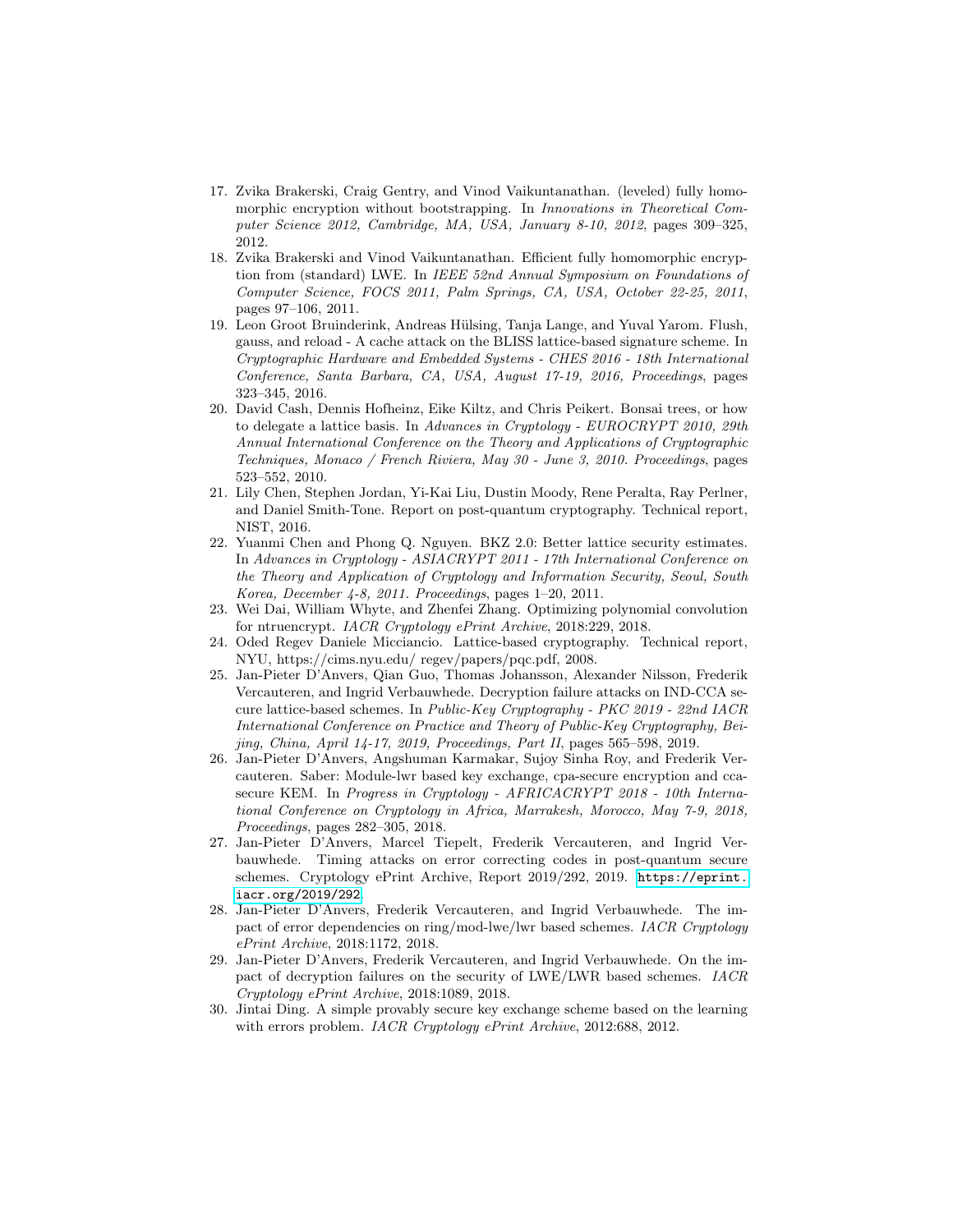- <span id="page-31-3"></span>17. Zvika Brakerski, Craig Gentry, and Vinod Vaikuntanathan. (leveled) fully homomorphic encryption without bootstrapping. In *Innovations in Theoretical Com*puter Science 2012, Cambridge, MA, USA, January 8-10, 2012, pages 309–325, 2012.
- <span id="page-31-2"></span>18. Zvika Brakerski and Vinod Vaikuntanathan. Efficient fully homomorphic encryption from (standard) LWE. In IEEE 52nd Annual Symposium on Foundations of Computer Science, FOCS 2011, Palm Springs, CA, USA, October 22-25, 2011, pages 97–106, 2011.
- <span id="page-31-12"></span>19. Leon Groot Bruinderink, Andreas Hülsing, Tanja Lange, and Yuval Yarom. Flush, gauss, and reload - A cache attack on the BLISS lattice-based signature scheme. In Cryptographic Hardware and Embedded Systems - CHES 2016 - 18th International Conference, Santa Barbara, CA, USA, August 17-19, 2016, Proceedings, pages 323–345, 2016.
- <span id="page-31-1"></span>20. David Cash, Dennis Hofheinz, Eike Kiltz, and Chris Peikert. Bonsai trees, or how to delegate a lattice basis. In Advances in Cryptology - EUROCRYPT 2010, 29th Annual International Conference on the Theory and Applications of Cryptographic Techniques, Monaco / French Riviera, May 30 - June 3, 2010. Proceedings, pages 523–552, 2010.
- <span id="page-31-0"></span>21. Lily Chen, Stephen Jordan, Yi-Kai Liu, Dustin Moody, Rene Peralta, Ray Perlner, and Daniel Smith-Tone. Report on post-quantum cryptography. Technical report, NIST, 2016.
- <span id="page-31-5"></span>22. Yuanmi Chen and Phong Q. Nguyen. BKZ 2.0: Better lattice security estimates. In Advances in Cryptology - ASIACRYPT 2011 - 17th International Conference on the Theory and Application of Cryptology and Information Security, Seoul, South Korea, December 4-8, 2011. Proceedings, pages 1–20, 2011.
- <span id="page-31-10"></span>23. Wei Dai, William Whyte, and Zhenfei Zhang. Optimizing polynomial convolution for ntruencrypt. IACR Cryptology ePrint Archive, 2018:229, 2018.
- <span id="page-31-13"></span>24. Oded Regev Daniele Micciancio. Lattice-based cryptography. Technical report, NYU, https://cims.nyu.edu/ regev/papers/pqc.pdf, 2008.
- <span id="page-31-9"></span>25. Jan-Pieter D'Anvers, Qian Guo, Thomas Johansson, Alexander Nilsson, Frederik Vercauteren, and Ingrid Verbauwhede. Decryption failure attacks on IND-CCA secure lattice-based schemes. In Public-Key Cryptography - PKC 2019 - 22nd IACR International Conference on Practice and Theory of Public-Key Cryptography, Beijing, China, April 14-17, 2019, Proceedings, Part II, pages 565–598, 2019.
- <span id="page-31-11"></span>26. Jan-Pieter D'Anvers, Angshuman Karmakar, Sujoy Sinha Roy, and Frederik Vercauteren. Saber: Module-lwr based key exchange, cpa-secure encryption and ccasecure KEM. In Progress in Cryptology - AFRICACRYPT 2018 - 10th International Conference on Cryptology in Africa, Marrakesh, Morocco, May 7-9, 2018, Proceedings, pages 282–305, 2018.
- <span id="page-31-6"></span>27. Jan-Pieter D'Anvers, Marcel Tiepelt, Frederik Vercauteren, and Ingrid Verbauwhede. Timing attacks on error correcting codes in post-quantum secure schemes. Cryptology ePrint Archive, Report 2019/292, 2019. [https://eprint.](https://eprint.iacr.org/2019/292) [iacr.org/2019/292](https://eprint.iacr.org/2019/292).
- <span id="page-31-8"></span>28. Jan-Pieter D'Anvers, Frederik Vercauteren, and Ingrid Verbauwhede. The impact of error dependencies on ring/mod-lwe/lwr based schemes. IACR Cryptology ePrint Archive, 2018:1172, 2018.
- <span id="page-31-7"></span>29. Jan-Pieter D'Anvers, Frederik Vercauteren, and Ingrid Verbauwhede. On the impact of decryption failures on the security of LWE/LWR based schemes. IACR Cryptology ePrint Archive, 2018:1089, 2018.
- <span id="page-31-4"></span>30. Jintai Ding. A simple provably secure key exchange scheme based on the learning with errors problem. IACR Cryptology ePrint Archive, 2012:688, 2012.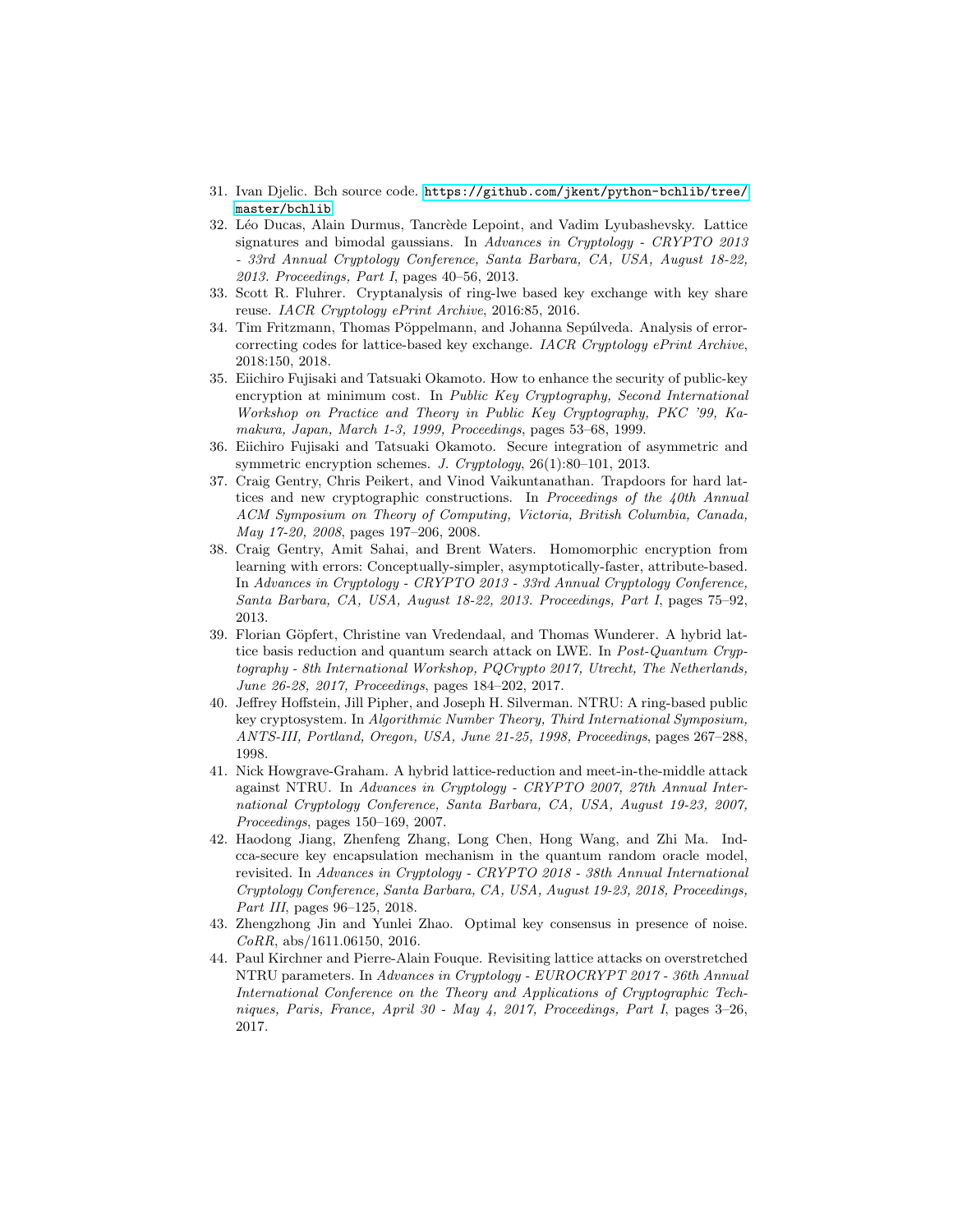- <span id="page-32-13"></span>31. Ivan Djelic. Bch source code. [https://github.com/jkent/python-bchlib/tree/](https://github.com /jkent/python-bchlib/tree/master/bchlib) [master/bchlib](https://github.com /jkent/python-bchlib/tree/master/bchlib).
- <span id="page-32-4"></span>32. Léo Ducas, Alain Durmus, Tancrède Lepoint, and Vadim Lyubashevsky. Lattice signatures and bimodal gaussians. In Advances in Cryptology - CRYPTO 2013 - 33rd Annual Cryptology Conference, Santa Barbara, CA, USA, August 18-22, 2013. Proceedings, Part I, pages 40–56, 2013.
- <span id="page-32-12"></span>33. Scott R. Fluhrer. Cryptanalysis of ring-lwe based key exchange with key share reuse. IACR Cryptology ePrint Archive, 2016:85, 2016.
- <span id="page-32-7"></span>34. Tim Fritzmann, Thomas Pöppelmann, and Johanna Sepúlveda. Analysis of errorcorrecting codes for lattice-based key exchange. IACR Cryptology ePrint Archive, 2018:150, 2018.
- <span id="page-32-8"></span>35. Eiichiro Fujisaki and Tatsuaki Okamoto. How to enhance the security of public-key encryption at minimum cost. In Public Key Cryptography, Second International Workshop on Practice and Theory in Public Key Cryptography, PKC '99, Kamakura, Japan, March 1-3, 1999, Proceedings, pages 53–68, 1999.
- <span id="page-32-9"></span>36. Eiichiro Fujisaki and Tatsuaki Okamoto. Secure integration of asymmetric and symmetric encryption schemes. J. Cryptology, 26(1):80–101, 2013.
- <span id="page-32-0"></span>37. Craig Gentry, Chris Peikert, and Vinod Vaikuntanathan. Trapdoors for hard lattices and new cryptographic constructions. In Proceedings of the 40th Annual ACM Symposium on Theory of Computing, Victoria, British Columbia, Canada, May 17-20, 2008, pages 197–206, 2008.
- <span id="page-32-1"></span>38. Craig Gentry, Amit Sahai, and Brent Waters. Homomorphic encryption from learning with errors: Conceptually-simpler, asymptotically-faster, attribute-based. In Advances in Cryptology - CRYPTO 2013 - 33rd Annual Cryptology Conference, Santa Barbara, CA, USA, August 18-22, 2013. Proceedings, Part I, pages 75–92, 2013.
- <span id="page-32-6"></span>39. Florian Göpfert, Christine van Vredendaal, and Thomas Wunderer. A hybrid lattice basis reduction and quantum search attack on LWE. In Post-Quantum Cryptography - 8th International Workshop, PQCrypto 2017, Utrecht, The Netherlands, June 26-28, 2017, Proceedings, pages 184–202, 2017.
- <span id="page-32-2"></span>40. Jeffrey Hoffstein, Jill Pipher, and Joseph H. Silverman. NTRU: A ring-based public key cryptosystem. In Algorithmic Number Theory, Third International Symposium, ANTS-III, Portland, Oregon, USA, June 21-25, 1998, Proceedings, pages 267–288, 1998.
- <span id="page-32-5"></span>41. Nick Howgrave-Graham. A hybrid lattice-reduction and meet-in-the-middle attack against NTRU. In Advances in Cryptology - CRYPTO 2007, 27th Annual International Cryptology Conference, Santa Barbara, CA, USA, August 19-23, 2007, Proceedings, pages 150–169, 2007.
- <span id="page-32-10"></span>42. Haodong Jiang, Zhenfeng Zhang, Long Chen, Hong Wang, and Zhi Ma. Indcca-secure key encapsulation mechanism in the quantum random oracle model, revisited. In Advances in Cryptology - CRYPTO 2018 - 38th Annual International Cryptology Conference, Santa Barbara, CA, USA, August 19-23, 2018, Proceedings, Part III, pages 96–125, 2018.
- <span id="page-32-3"></span>43. Zhengzhong Jin and Yunlei Zhao. Optimal key consensus in presence of noise.  $CoRR$ , abs/1611.06150, 2016.
- <span id="page-32-11"></span>44. Paul Kirchner and Pierre-Alain Fouque. Revisiting lattice attacks on overstretched NTRU parameters. In Advances in Cryptology - EUROCRYPT 2017 - 36th Annual International Conference on the Theory and Applications of Cryptographic Techniques, Paris, France, April 30 - May 4, 2017, Proceedings, Part I, pages 3–26, 2017.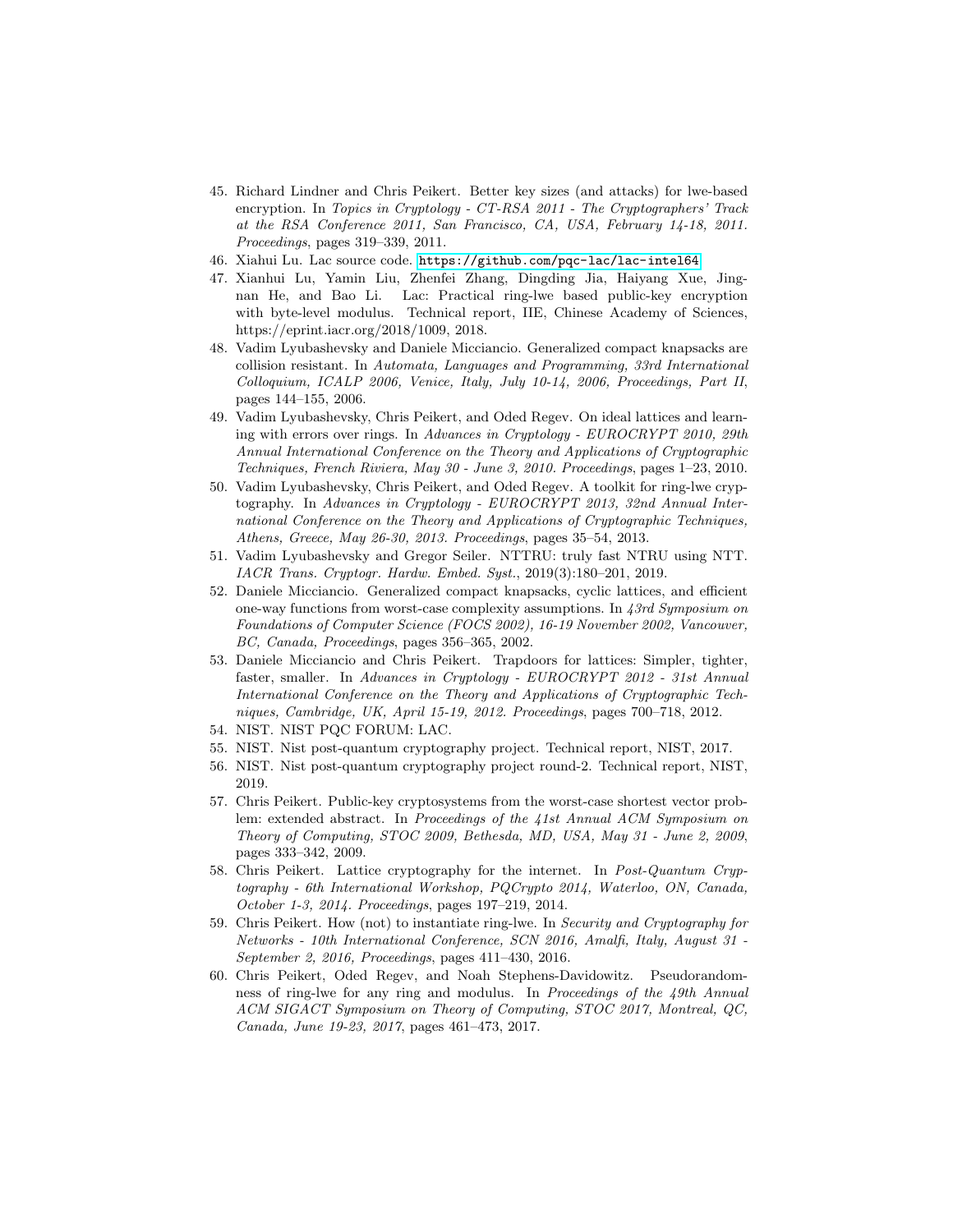- <span id="page-33-2"></span>45. Richard Lindner and Chris Peikert. Better key sizes (and attacks) for lwe-based encryption. In Topics in Cryptology - CT-RSA 2011 - The Cryptographers' Track at the RSA Conference 2011, San Francisco, CA, USA, February 14-18, 2011. Proceedings, pages 319–339, 2011.
- <span id="page-33-14"></span>46. Xiahui Lu. Lac source code. <https://github.com/pqc-lac/lac-intel64>.
- <span id="page-33-13"></span>47. Xianhui Lu, Yamin Liu, Zhenfei Zhang, Dingding Jia, Haiyang Xue, Jingnan He, and Bao Li. Lac: Practical ring-lwe based public-key encryption with byte-level modulus. Technical report, IIE, Chinese Academy of Sciences, https://eprint.iacr.org/2018/1009, 2018.
- <span id="page-33-5"></span>48. Vadim Lyubashevsky and Daniele Micciancio. Generalized compact knapsacks are collision resistant. In Automata, Languages and Programming, 33rd International Colloquium, ICALP 2006, Venice, Italy, July 10-14, 2006, Proceedings, Part II, pages 144–155, 2006.
- <span id="page-33-6"></span>49. Vadim Lyubashevsky, Chris Peikert, and Oded Regev. On ideal lattices and learning with errors over rings. In Advances in Cryptology - EUROCRYPT 2010, 29th Annual International Conference on the Theory and Applications of Cryptographic Techniques, French Riviera, May 30 - June 3, 2010. Proceedings, pages 1–23, 2010.
- <span id="page-33-7"></span>50. Vadim Lyubashevsky, Chris Peikert, and Oded Regev. A toolkit for ring-lwe cryptography. In Advances in Cryptology - EUROCRYPT 2013, 32nd Annual International Conference on the Theory and Applications of Cryptographic Techniques, Athens, Greece, May 26-30, 2013. Proceedings, pages 35–54, 2013.
- <span id="page-33-10"></span>51. Vadim Lyubashevsky and Gregor Seiler. NTTRU: truly fast NTRU using NTT. IACR Trans. Cryptogr. Hardw. Embed. Syst., 2019(3):180–201, 2019.
- <span id="page-33-4"></span>52. Daniele Micciancio. Generalized compact knapsacks, cyclic lattices, and efficient one-way functions from worst-case complexity assumptions. In 43rd Symposium on Foundations of Computer Science (FOCS 2002), 16-19 November 2002, Vancouver, BC, Canada, Proceedings, pages 356–365, 2002.
- <span id="page-33-3"></span>53. Daniele Micciancio and Chris Peikert. Trapdoors for lattices: Simpler, tighter, faster, smaller. In Advances in Cryptology - EUROCRYPT 2012 - 31st Annual International Conference on the Theory and Applications of Cryptographic Techniques, Cambridge, UK, April 15-19, 2012. Proceedings, pages 700–718, 2012.
- <span id="page-33-12"></span>54. NIST. NIST PQC FORUM: LAC.
- <span id="page-33-0"></span>55. NIST. Nist post-quantum cryptography project. Technical report, NIST, 2017.
- <span id="page-33-15"></span>56. NIST. Nist post-quantum cryptography project round-2. Technical report, NIST, 2019.
- <span id="page-33-1"></span>57. Chris Peikert. Public-key cryptosystems from the worst-case shortest vector problem: extended abstract. In Proceedings of the 41st Annual ACM Symposium on Theory of Computing, STOC 2009, Bethesda, MD, USA, May 31 - June 2, 2009, pages 333–342, 2009.
- <span id="page-33-9"></span>58. Chris Peikert. Lattice cryptography for the internet. In Post-Quantum Cryptography - 6th International Workshop, PQCrypto 2014, Waterloo, ON, Canada, October 1-3, 2014. Proceedings, pages 197–219, 2014.
- <span id="page-33-11"></span>59. Chris Peikert. How (not) to instantiate ring-lwe. In Security and Cryptography for Networks - 10th International Conference, SCN 2016, Amalfi, Italy, August 31 - September 2, 2016, Proceedings, pages 411–430, 2016.
- <span id="page-33-8"></span>60. Chris Peikert, Oded Regev, and Noah Stephens-Davidowitz. Pseudorandomness of ring-lwe for any ring and modulus. In Proceedings of the 49th Annual ACM SIGACT Symposium on Theory of Computing, STOC 2017, Montreal, QC, Canada, June 19-23, 2017, pages 461–473, 2017.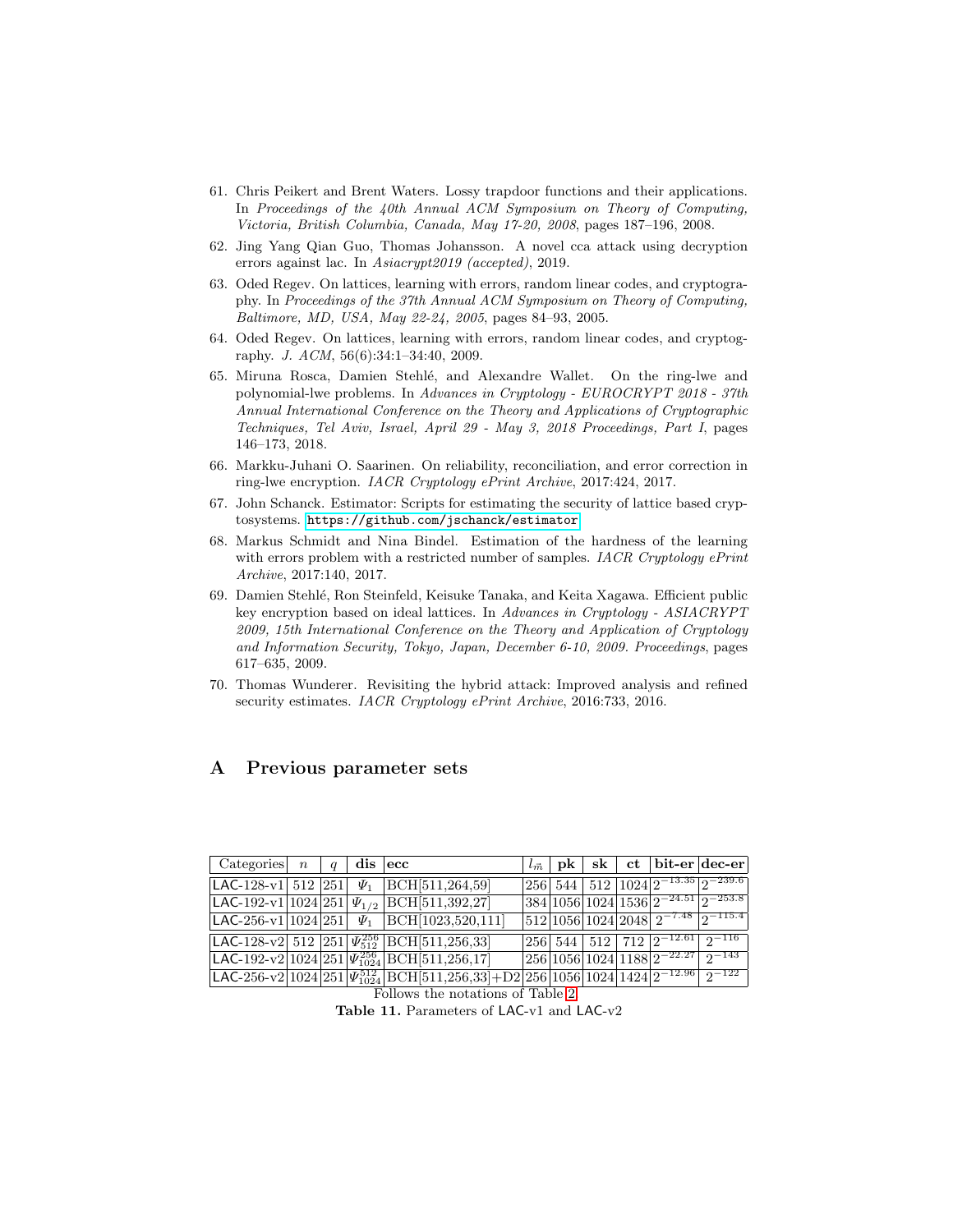- <span id="page-34-1"></span>61. Chris Peikert and Brent Waters. Lossy trapdoor functions and their applications. In Proceedings of the 40th Annual ACM Symposium on Theory of Computing, Victoria, British Columbia, Canada, May 17-20, 2008, pages 187–196, 2008.
- <span id="page-34-5"></span>62. Jing Yang Qian Guo, Thomas Johansson. A novel cca attack using decryption errors against lac. In Asiacrypt2019 (accepted), 2019.
- <span id="page-34-0"></span>63. Oded Regev. On lattices, learning with errors, random linear codes, and cryptography. In Proceedings of the 37th Annual ACM Symposium on Theory of Computing, Baltimore, MD, USA, May 22-24, 2005, pages 84–93, 2005.
- <span id="page-34-7"></span>64. Oded Regev. On lattices, learning with errors, random linear codes, and cryptography. J. ACM, 56(6):34:1–34:40, 2009.
- <span id="page-34-4"></span>65. Miruna Rosca, Damien Stehl´e, and Alexandre Wallet. On the ring-lwe and polynomial-lwe problems. In Advances in Cryptology - EUROCRYPT 2018 - 37th Annual International Conference on the Theory and Applications of Cryptographic Techniques, Tel Aviv, Israel, April 29 - May 3, 2018 Proceedings, Part I, pages 146–173, 2018.
- <span id="page-34-3"></span>66. Markku-Juhani O. Saarinen. On reliability, reconciliation, and error correction in ring-lwe encryption. IACR Cryptology ePrint Archive, 2017:424, 2017.
- <span id="page-34-10"></span>67. John Schanck. Estimator: Scripts for estimating the security of lattice based cryptosystems. <https://github.com/jschanck/estimator>.
- <span id="page-34-9"></span>68. Markus Schmidt and Nina Bindel. Estimation of the hardness of the learning with errors problem with a restricted number of samples. IACR Cryptology ePrint Archive, 2017:140, 2017.
- <span id="page-34-2"></span>69. Damien Stehl´e, Ron Steinfeld, Keisuke Tanaka, and Keita Xagawa. Efficient public key encryption based on ideal lattices. In Advances in Cryptology - ASIACRYPT 2009, 15th International Conference on the Theory and Application of Cryptology and Information Security, Tokyo, Japan, December 6-10, 2009. Proceedings, pages 617–635, 2009.
- <span id="page-34-8"></span>70. Thomas Wunderer. Revisiting the hybrid attack: Improved analysis and refined security estimates. IACR Cryptology ePrint Archive, 2016:733, 2016.

## <span id="page-34-6"></span>A Previous parameter sets

| Categories $n \mid q \mid \text{dis } \mid \text{ecc}$ |  |                                                                                                                                                                                                                          |  |  |                                                                                        | $l_{\vec{m}}$   pk   sk   ct   bit-er   dec-er |
|--------------------------------------------------------|--|--------------------------------------------------------------------------------------------------------------------------------------------------------------------------------------------------------------------------|--|--|----------------------------------------------------------------------------------------|------------------------------------------------|
|                                                        |  | LAC-128-v1 512 251 $\Psi_1$ BCH [511,264,59]                                                                                                                                                                             |  |  | $ 256 $ 544   512   1024   2 <sup>-13.35</sup>   2 <sup>-239.6</sup>                   |                                                |
|                                                        |  | LAC-192-v1 1024 251 $\Psi_{1/2}$ BCH 511,392,27                                                                                                                                                                          |  |  | $ 384 1056 1024 1536 2^{-24.51} 2^{-253.8} $                                           |                                                |
|                                                        |  | LAC-256-v1 1024 251 $\Psi_1$ BCH [1023,520,111]                                                                                                                                                                          |  |  | $ 512 1056 1024 2048 2^{-7.48} 2^{-115.4} $                                            |                                                |
|                                                        |  | [LAC-128-v2] 512 [251] $\overline{\Psi_{512}^{256}}$ [BCH[511,256,33]                                                                                                                                                    |  |  | $256$ 544 512 712 $2^{-12.61}$ $2^{-116}$                                              |                                                |
|                                                        |  | LAC-192-v2 1024 251 $ \Psi_{1024}^{256} $ BCH [511,256,17]                                                                                                                                                               |  |  | $\left  \frac{256}{1056} \right  \frac{1024}{1188} \left  2^{-22.27} \right  2^{-143}$ |                                                |
|                                                        |  | $\left  \text{LAC-256-v2}\right 1024 \left  251\right  \Psi_{1024}^{512} \left  \text{BCH}[511,256,33]+\text{D2}\right  256 \left  1056\right  1024 \left  1424\right  2^{-12.96}\left  \right. 2^{-122} \left. \right $ |  |  |                                                                                        |                                                |

Follows the notations of Table [2.](#page-15-0)

Table 11. Parameters of LAC-v1 and LAC-v2